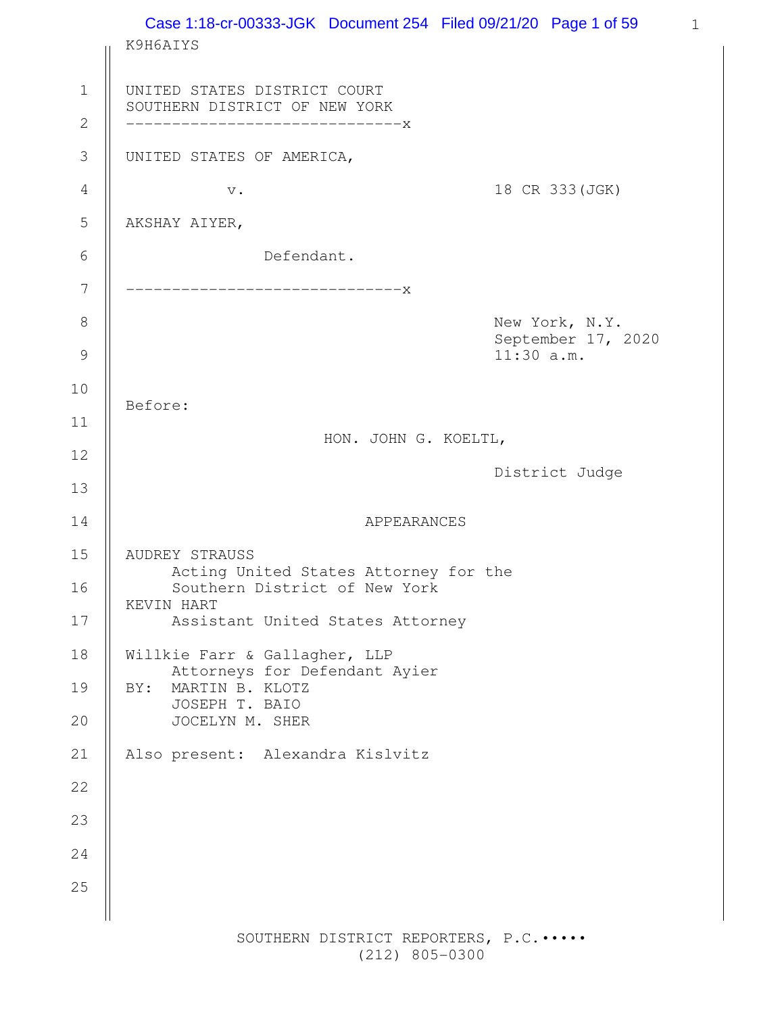|         | Case 1:18-cr-00333-JGK Document 254 Filed 09/21/20 Page 1 of 59<br>K9H6AIYS                                                                |                                                      |
|---------|--------------------------------------------------------------------------------------------------------------------------------------------|------------------------------------------------------|
|         | UNITED STATES DISTRICT COURT<br>SOUTHERN DISTRICT OF NEW YORK<br>------------------------------X                                           |                                                      |
|         | UNITED STATES OF AMERICA,                                                                                                                  |                                                      |
|         | $\mathbf v$ .                                                                                                                              | 18 CR 333 (JGK)                                      |
|         | AKSHAY AIYER,                                                                                                                              |                                                      |
|         | Defendant.                                                                                                                                 |                                                      |
|         | -----------------------------X                                                                                                             |                                                      |
|         |                                                                                                                                            | New York, N.Y.<br>September 17, 2020<br>$11:30$ a.m. |
|         |                                                                                                                                            |                                                      |
| Before: |                                                                                                                                            |                                                      |
|         | HON. JOHN G. KOELTL,                                                                                                                       |                                                      |
|         |                                                                                                                                            | District Judge                                       |
|         | APPEARANCES                                                                                                                                |                                                      |
|         | AUDREY STRAUSS<br>Acting United States Attorney for the<br>Southern District of New York<br>KEVIN HART<br>Assistant United States Attorney |                                                      |
|         | Willkie Farr & Gallagher, LLP                                                                                                              |                                                      |
| BY:     | Attorneys for Defendant Ayier<br>MARTIN B. KLOTZ<br>JOSEPH T. BAIO                                                                         |                                                      |
|         | JOCELYN M. SHER                                                                                                                            |                                                      |
|         | Also present: Alexandra Kislvitz                                                                                                           |                                                      |
|         |                                                                                                                                            |                                                      |
|         |                                                                                                                                            |                                                      |
|         |                                                                                                                                            |                                                      |
|         |                                                                                                                                            |                                                      |

(212) 805-0300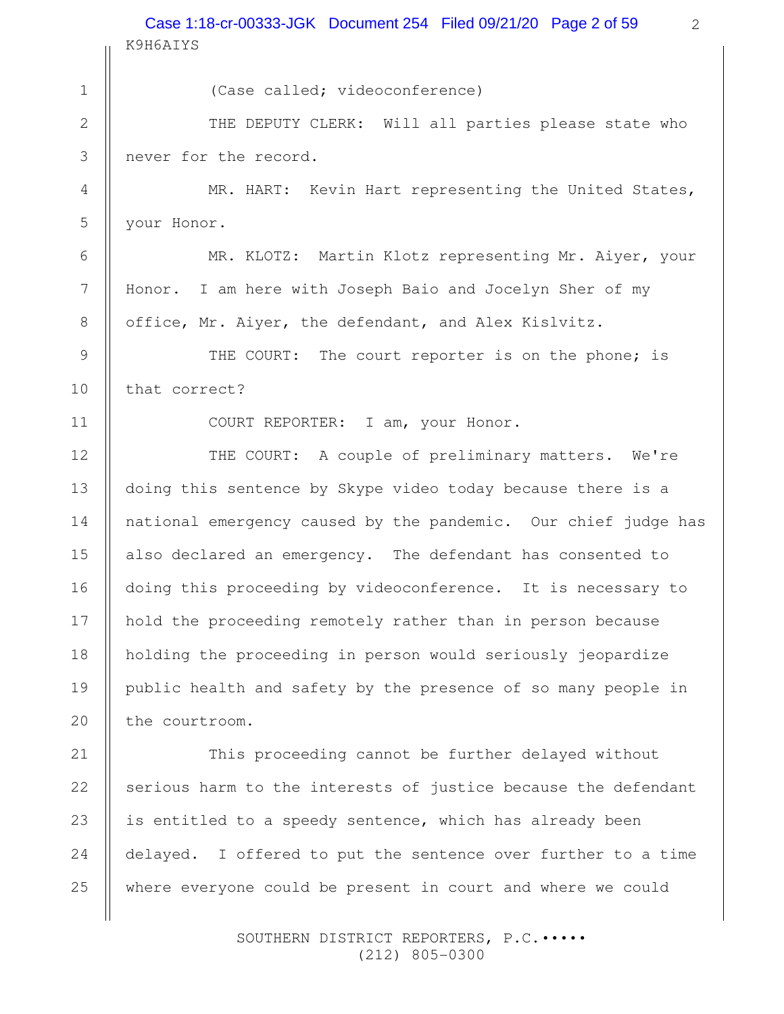K9H6AIYS Case 1:18-cr-00333-JGK Document 254 Filed 09/21/20 Page 2 of 59

(Case called; videoconference) THE DEPUTY CLERK: Will all parties please state who never for the record. MR. HART: Kevin Hart representing the United States, your Honor. MR. KLOTZ: Martin Klotz representing Mr. Aiyer, your Honor. I am here with Joseph Baio and Jocelyn Sher of my office, Mr. Aiyer, the defendant, and Alex Kislvitz. THE COURT: The court reporter is on the phone; is that correct? COURT REPORTER: I am, your Honor. THE COURT: A couple of preliminary matters. We're doing this sentence by Skype video today because there is a national emergency caused by the pandemic. Our chief judge has also declared an emergency. The defendant has consented to doing this proceeding by videoconference. It is necessary to hold the proceeding remotely rather than in person because holding the proceeding in person would seriously jeopardize public health and safety by the presence of so many people in the courtroom. This proceeding cannot be further delayed without serious harm to the interests of justice because the defendant is entitled to a speedy sentence, which has already been delayed. I offered to put the sentence over further to a time 1 2 3 4 5 6 7 8 9 10 11 12 13 14 15 16 17 18 19 20 21 22 23 24

> SOUTHERN DISTRICT REPORTERS, P.C. .... (212) 805-0300

where everyone could be present in court and where we could

25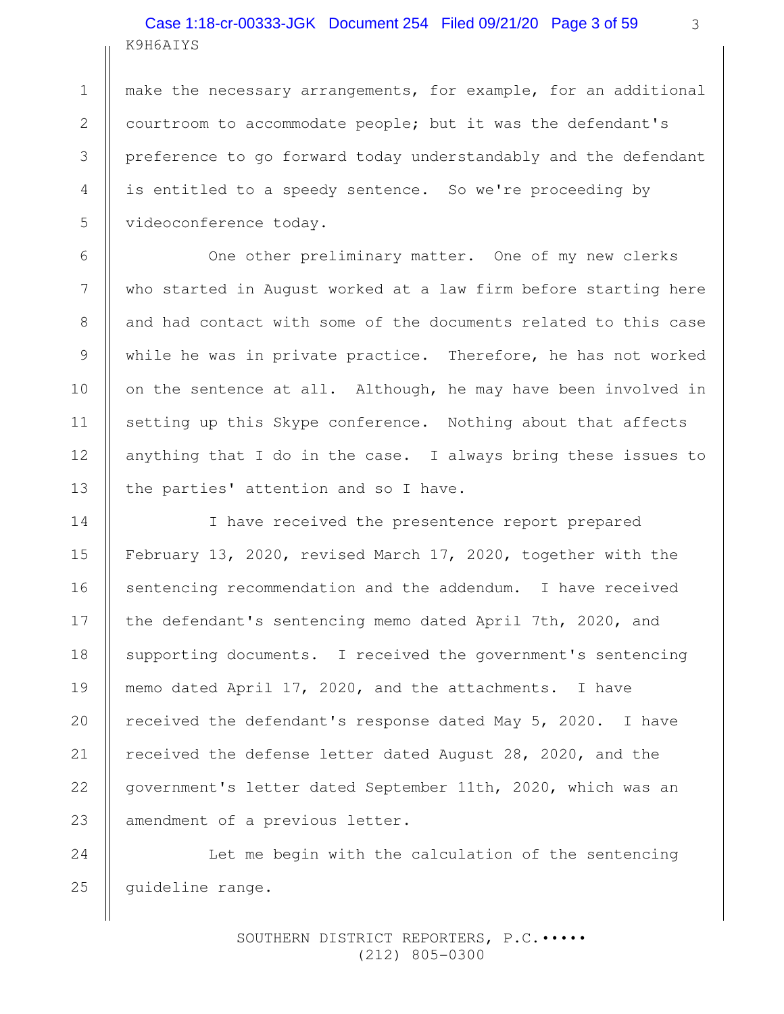# K9H6AIYS Case 1:18-cr-00333-JGK Document 254 Filed 09/21/20 Page 3 of 59

1

2

3

4

5

6

7

8

9

10

11

12

13

make the necessary arrangements, for example, for an additional courtroom to accommodate people; but it was the defendant's preference to go forward today understandably and the defendant is entitled to a speedy sentence. So we're proceeding by videoconference today.

One other preliminary matter. One of my new clerks who started in August worked at a law firm before starting here and had contact with some of the documents related to this case while he was in private practice. Therefore, he has not worked on the sentence at all. Although, he may have been involved in setting up this Skype conference. Nothing about that affects anything that I do in the case. I always bring these issues to the parties' attention and so I have.

I have received the presentence report prepared February 13, 2020, revised March 17, 2020, together with the sentencing recommendation and the addendum. I have received the defendant's sentencing memo dated April 7th, 2020, and supporting documents. I received the government's sentencing memo dated April 17, 2020, and the attachments. I have received the defendant's response dated May 5, 2020. I have received the defense letter dated August 28, 2020, and the government's letter dated September 11th, 2020, which was an amendment of a previous letter. 14 15 16 17 18 19 20 21 22 23

Let me begin with the calculation of the sentencing guideline range. 24 25

> SOUTHERN DISTRICT REPORTERS, P.C.••••• (212) 805-0300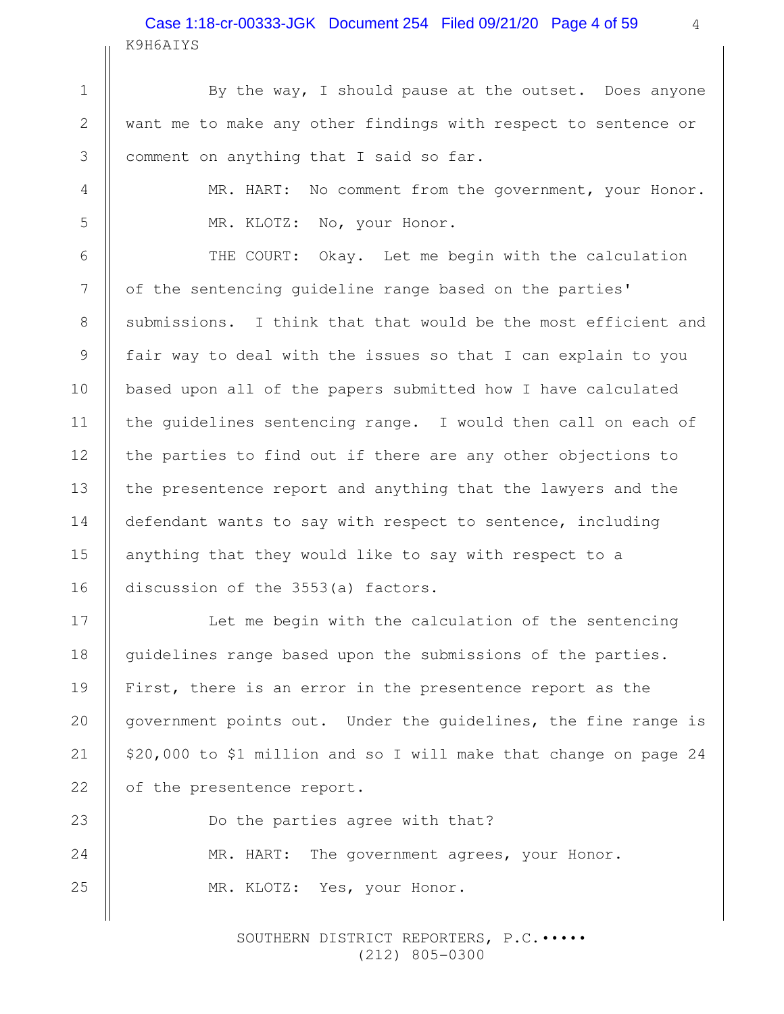# K9H6AIYS Case 1:18-cr-00333-JGK Document 254 Filed 09/21/20 Page 4 of 59

1

2

3

4

5

6

7

8

9

10

11

12

13

14

15

16

17

18

19

20

21

22

23

24

25

By the way, I should pause at the outset. Does anyone want me to make any other findings with respect to sentence or comment on anything that I said so far.

> MR. HART: No comment from the government, your Honor. MR. KLOTZ: No, your Honor.

THE COURT: Okay. Let me begin with the calculation of the sentencing guideline range based on the parties' submissions. I think that that would be the most efficient and fair way to deal with the issues so that I can explain to you based upon all of the papers submitted how I have calculated the guidelines sentencing range. I would then call on each of the parties to find out if there are any other objections to the presentence report and anything that the lawyers and the defendant wants to say with respect to sentence, including anything that they would like to say with respect to a discussion of the 3553(a) factors.

Let me begin with the calculation of the sentencing guidelines range based upon the submissions of the parties. First, there is an error in the presentence report as the government points out. Under the guidelines, the fine range is \$20,000 to \$1 million and so I will make that change on page 24 of the presentence report.

Do the parties agree with that? MR. HART: The government agrees, your Honor. MR. KLOTZ: Yes, your Honor.

> SOUTHERN DISTRICT REPORTERS, P.C. .... (212) 805-0300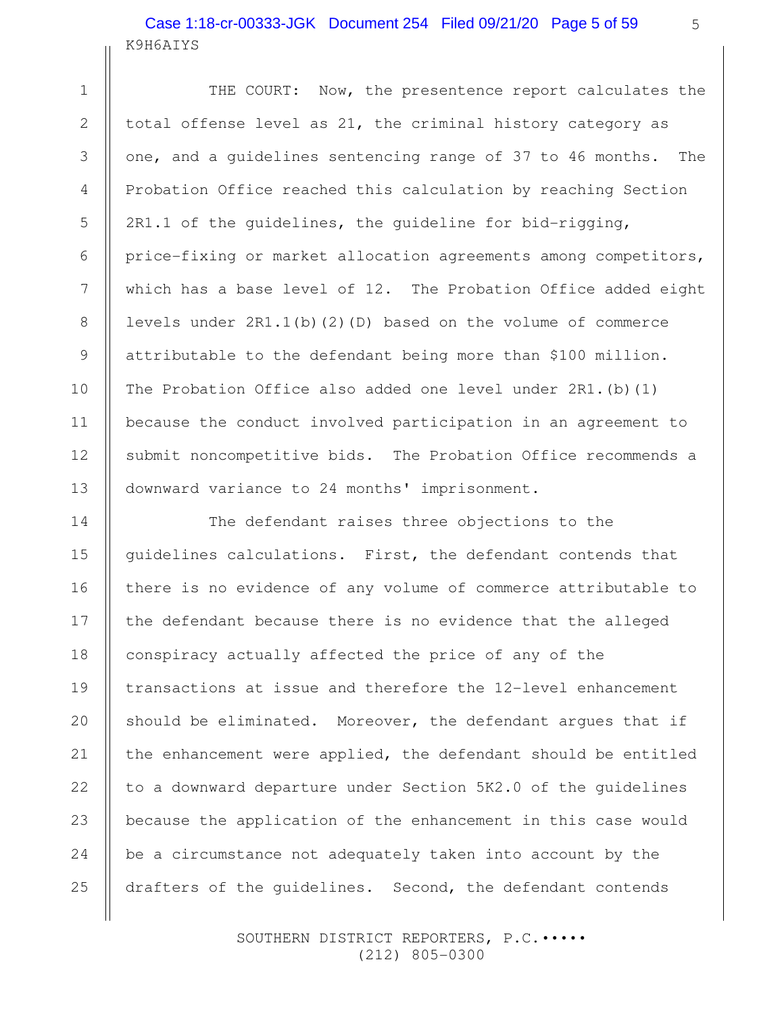# K9H6AIYS Case 1:18-cr-00333-JGK Document 254 Filed 09/21/20 Page 5 of 59

1

2

3

4

5

6

7

8

9

10

11

12

13

14

15

16

17

18

20

21

22

24

25

THE COURT: Now, the presentence report calculates the total offense level as 21, the criminal history category as one, and a guidelines sentencing range of 37 to 46 months. The Probation Office reached this calculation by reaching Section 2R1.1 of the guidelines, the guideline for bid-rigging, price-fixing or market allocation agreements among competitors, which has a base level of 12. The Probation Office added eight levels under 2R1.1(b)(2)(D) based on the volume of commerce attributable to the defendant being more than \$100 million. The Probation Office also added one level under 2R1.(b)(1) because the conduct involved participation in an agreement to submit noncompetitive bids. The Probation Office recommends a downward variance to 24 months' imprisonment.

The defendant raises three objections to the guidelines calculations. First, the defendant contends that there is no evidence of any volume of commerce attributable to the defendant because there is no evidence that the alleged conspiracy actually affected the price of any of the transactions at issue and therefore the 12-level enhancement should be eliminated. Moreover, the defendant argues that if the enhancement were applied, the defendant should be entitled to a downward departure under Section 5K2.0 of the guidelines because the application of the enhancement in this case would be a circumstance not adequately taken into account by the drafters of the guidelines. Second, the defendant contends 19 23

> SOUTHERN DISTRICT REPORTERS, P.C. .... (212) 805-0300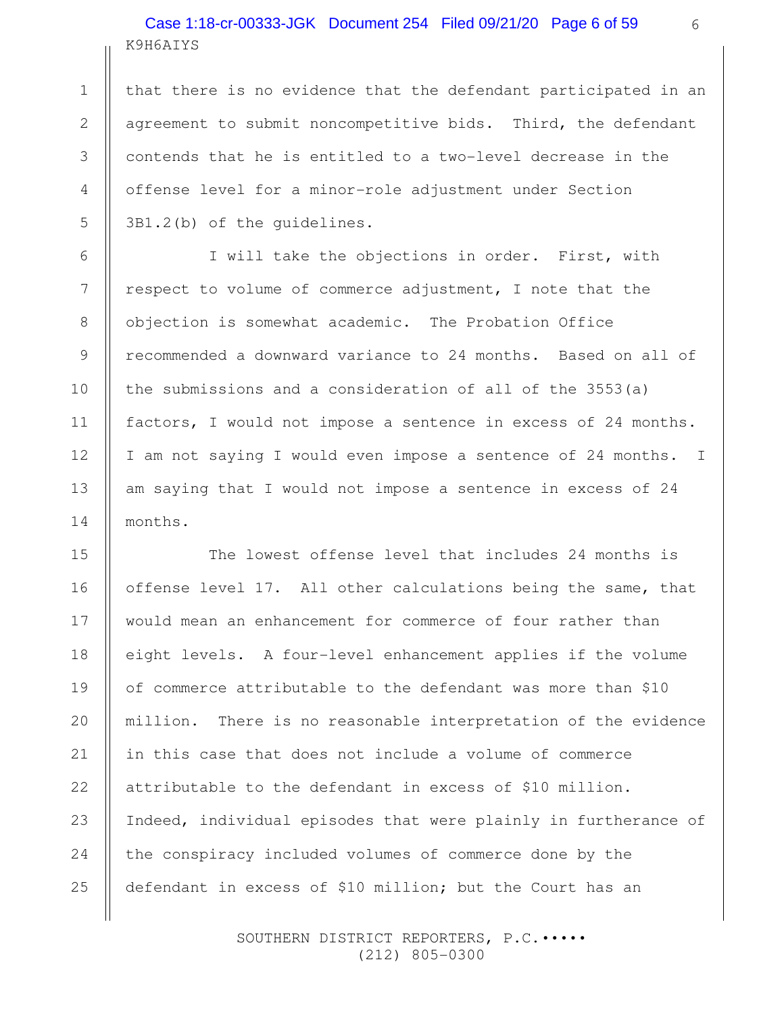# K9H6AIYS Case 1:18-cr-00333-JGK Document 254 Filed 09/21/20 Page 6 of 59

1

2

3

4

5

6

7

8

9

10

11

12

13

14

15

16

17

18

20

21

22

24

25

that there is no evidence that the defendant participated in an agreement to submit noncompetitive bids. Third, the defendant contends that he is entitled to a two-level decrease in the offense level for a minor-role adjustment under Section 3B1.2(b) of the guidelines.

I will take the objections in order. First, with respect to volume of commerce adjustment, I note that the objection is somewhat academic. The Probation Office recommended a downward variance to 24 months. Based on all of the submissions and a consideration of all of the 3553(a) factors, I would not impose a sentence in excess of 24 months. I am not saying I would even impose a sentence of 24 months. I am saying that I would not impose a sentence in excess of 24 months.

The lowest offense level that includes 24 months is offense level 17. All other calculations being the same, that would mean an enhancement for commerce of four rather than eight levels. A four-level enhancement applies if the volume of commerce attributable to the defendant was more than \$10 million. There is no reasonable interpretation of the evidence in this case that does not include a volume of commerce attributable to the defendant in excess of \$10 million. Indeed, individual episodes that were plainly in furtherance of the conspiracy included volumes of commerce done by the defendant in excess of \$10 million; but the Court has an 19 23

> SOUTHERN DISTRICT REPORTERS, P.C. .... (212) 805-0300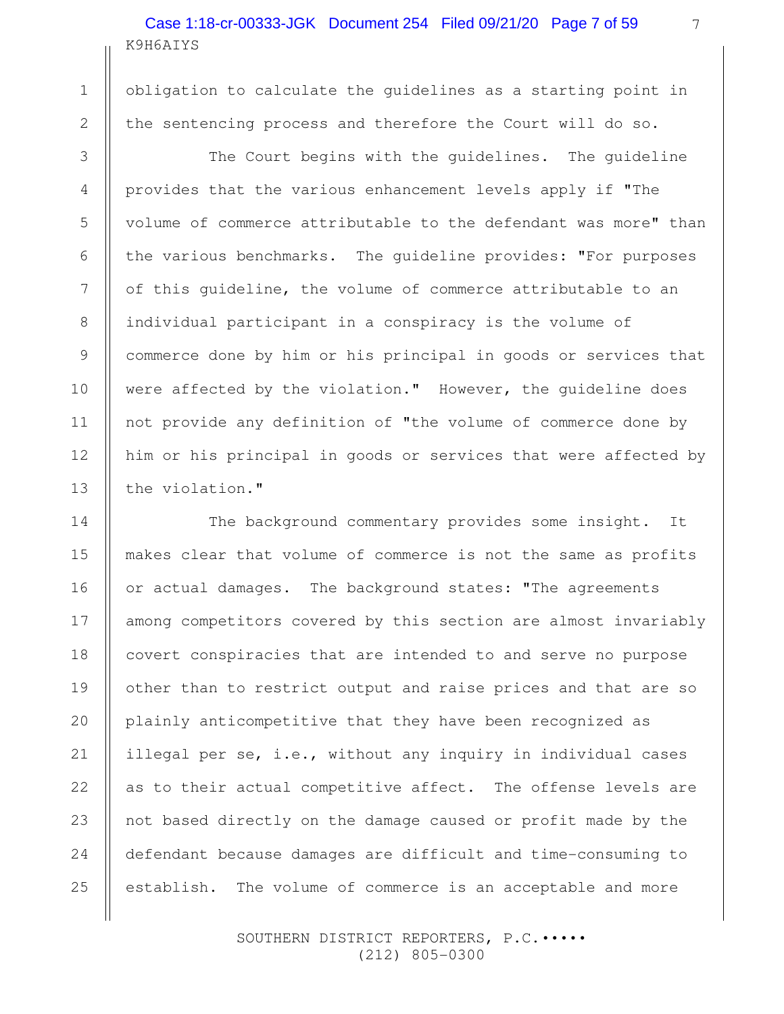# K9H6AIYS Case 1:18-cr-00333-JGK Document 254 Filed 09/21/20 Page 7 of 59

1

2

3

4

5

6

7

8

9

10

11

12

13

14

15

16

18

20

21

22

25

obligation to calculate the guidelines as a starting point in the sentencing process and therefore the Court will do so.

The Court begins with the guidelines. The guideline provides that the various enhancement levels apply if "The volume of commerce attributable to the defendant was more" than the various benchmarks. The guideline provides: "For purposes of this guideline, the volume of commerce attributable to an individual participant in a conspiracy is the volume of commerce done by him or his principal in goods or services that were affected by the violation." However, the guideline does not provide any definition of "the volume of commerce done by him or his principal in goods or services that were affected by the violation."

The background commentary provides some insight. It makes clear that volume of commerce is not the same as profits or actual damages. The background states: "The agreements among competitors covered by this section are almost invariably covert conspiracies that are intended to and serve no purpose other than to restrict output and raise prices and that are so plainly anticompetitive that they have been recognized as illegal per se, i.e., without any inquiry in individual cases as to their actual competitive affect. The offense levels are not based directly on the damage caused or profit made by the defendant because damages are difficult and time-consuming to establish. The volume of commerce is an acceptable and more 17 19 23 24

> SOUTHERN DISTRICT REPORTERS, P.C. .... (212) 805-0300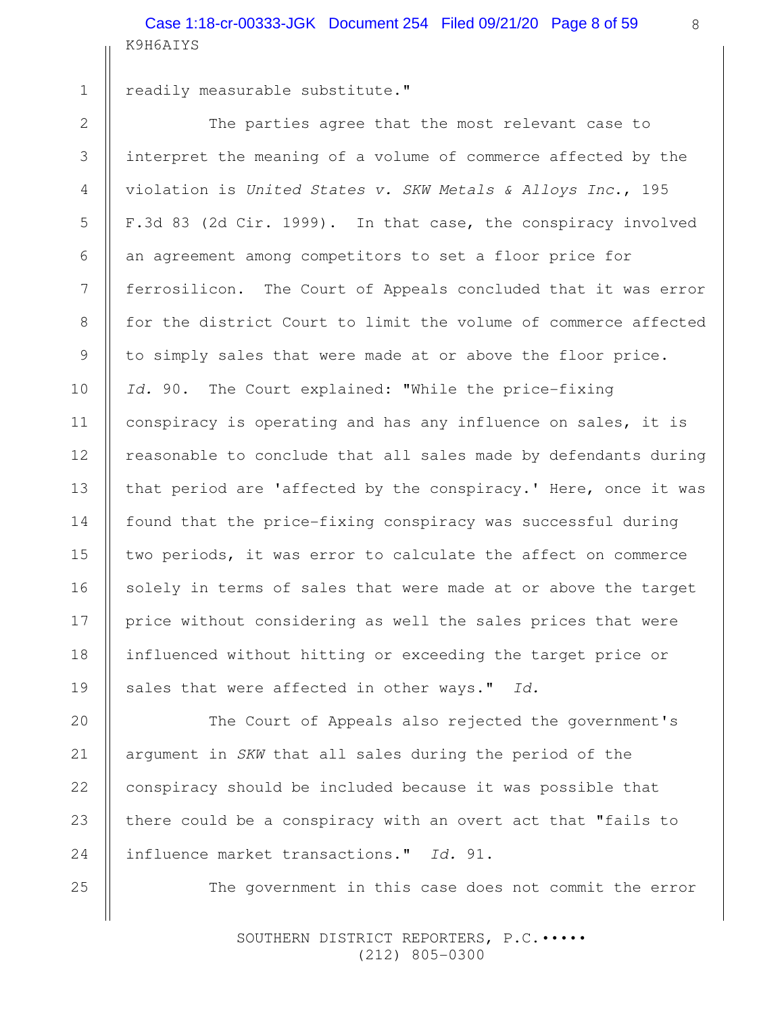K9H6AIYS Case 1:18-cr-00333-JGK Document 254 Filed 09/21/20 Page 8 of 59

1

2

3

4

5

6

7

8

9

10

11

12

13

14

15

16

17

18

19

20

21

22

23

24

25

readily measurable substitute."

The parties agree that the most relevant case to interpret the meaning of a volume of commerce affected by the violation is United States v. SKW Metals & Alloys Inc., 195 F.3d 83 (2d Cir. 1999). In that case, the conspiracy involved an agreement among competitors to set a floor price for ferrosilicon. The Court of Appeals concluded that it was error for the district Court to limit the volume of commerce affected to simply sales that were made at or above the floor price. Id. 90. The Court explained: "While the price-fixing conspiracy is operating and has any influence on sales, it is reasonable to conclude that all sales made by defendants during that period are 'affected by the conspiracy.' Here, once it was found that the price-fixing conspiracy was successful during two periods, it was error to calculate the affect on commerce solely in terms of sales that were made at or above the target price without considering as well the sales prices that were influenced without hitting or exceeding the target price or sales that were affected in other ways." Id.

The Court of Appeals also rejected the government's argument in SKW that all sales during the period of the conspiracy should be included because it was possible that there could be a conspiracy with an overt act that "fails to influence market transactions." Id. 91.

The government in this case does not commit the error

SOUTHERN DISTRICT REPORTERS, P.C. .... (212) 805-0300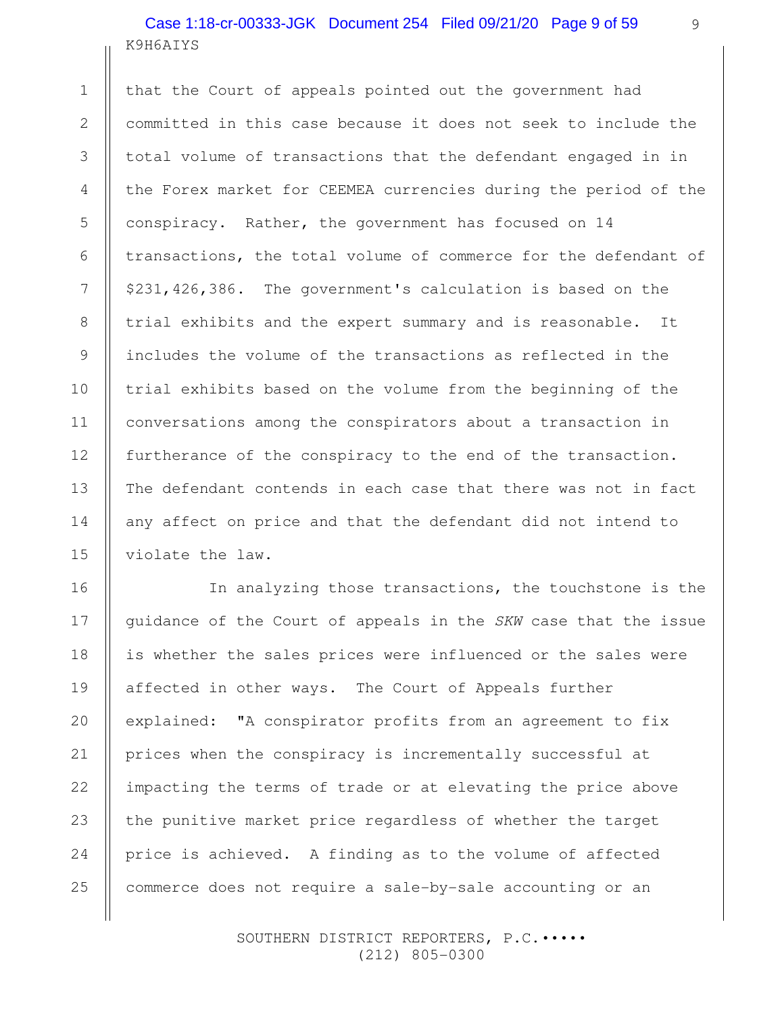# K9H6AIYS Case 1:18-cr-00333-JGK Document 254 Filed 09/21/20 Page 9 of 59

1

2

3

4

5

6

7

8

9

10

11

12

13

14

15

that the Court of appeals pointed out the government had committed in this case because it does not seek to include the total volume of transactions that the defendant engaged in in the Forex market for CEEMEA currencies during the period of the conspiracy. Rather, the government has focused on 14 transactions, the total volume of commerce for the defendant of \$231,426,386. The government's calculation is based on the trial exhibits and the expert summary and is reasonable. It includes the volume of the transactions as reflected in the trial exhibits based on the volume from the beginning of the conversations among the conspirators about a transaction in furtherance of the conspiracy to the end of the transaction. The defendant contends in each case that there was not in fact any affect on price and that the defendant did not intend to violate the law.

In analyzing those transactions, the touchstone is the guidance of the Court of appeals in the SKW case that the issue is whether the sales prices were influenced or the sales were affected in other ways. The Court of Appeals further explained: "A conspirator profits from an agreement to fix prices when the conspiracy is incrementally successful at impacting the terms of trade or at elevating the price above the punitive market price regardless of whether the target price is achieved. A finding as to the volume of affected commerce does not require a sale-by-sale accounting or an 16 17 18 19 20 21 22 23 24 25

> SOUTHERN DISTRICT REPORTERS, P.C. .... (212) 805-0300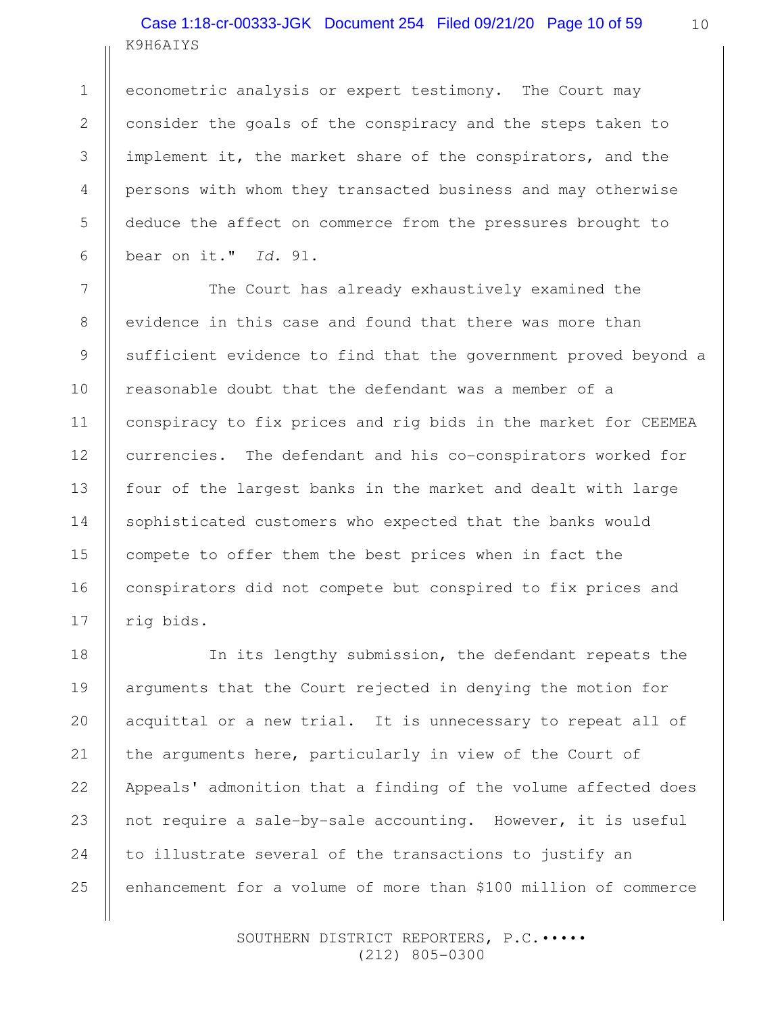# K9H6AIYS Case 1:18-cr-00333-JGK Document 254 Filed 09/21/20 Page 10 of 59

1

2

3

4

5

6

7

8

9

10

11

12

13

14

15

16

17

econometric analysis or expert testimony. The Court may consider the goals of the conspiracy and the steps taken to implement it, the market share of the conspirators, and the persons with whom they transacted business and may otherwise deduce the affect on commerce from the pressures brought to bear on it." Id. 91.

The Court has already exhaustively examined the evidence in this case and found that there was more than sufficient evidence to find that the government proved beyond a reasonable doubt that the defendant was a member of a conspiracy to fix prices and rig bids in the market for CEEMEA currencies. The defendant and his co-conspirators worked for four of the largest banks in the market and dealt with large sophisticated customers who expected that the banks would compete to offer them the best prices when in fact the conspirators did not compete but conspired to fix prices and rig bids.

In its lengthy submission, the defendant repeats the arguments that the Court rejected in denying the motion for acquittal or a new trial. It is unnecessary to repeat all of the arguments here, particularly in view of the Court of Appeals' admonition that a finding of the volume affected does not require a sale-by-sale accounting. However, it is useful to illustrate several of the transactions to justify an enhancement for a volume of more than \$100 million of commerce 18 19 20 21 22 23 24 25

> SOUTHERN DISTRICT REPORTERS, P.C. .... (212) 805-0300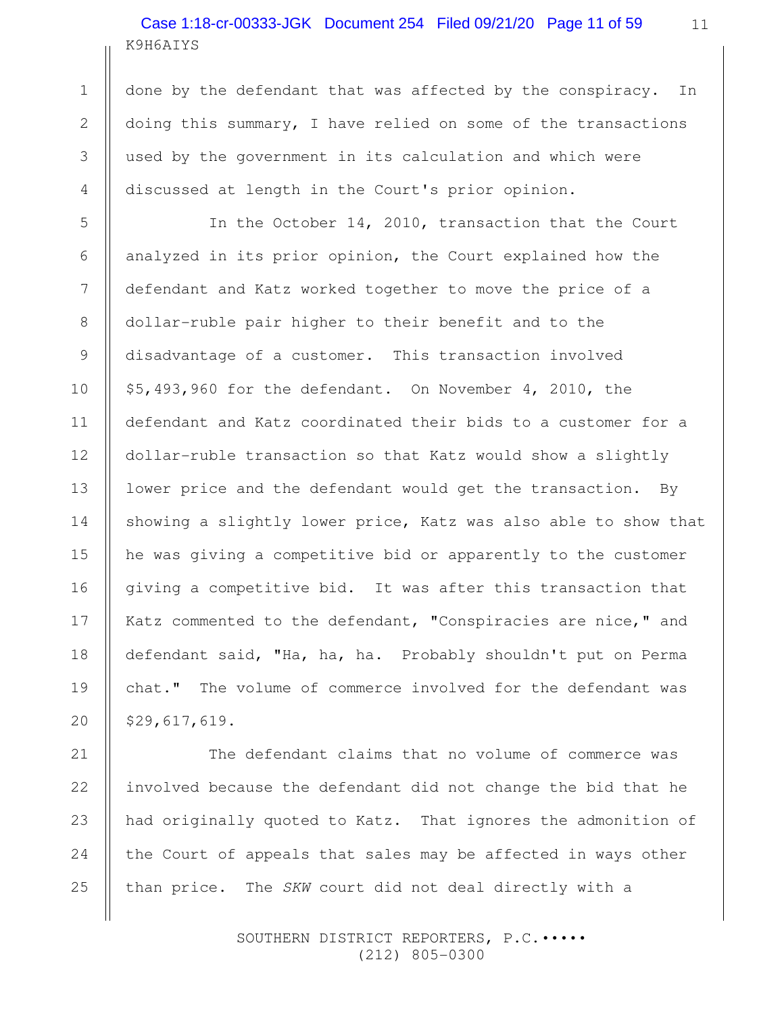# K9H6AIYS Case 1:18-cr-00333-JGK Document 254 Filed 09/21/20 Page 11 of 59

done by the defendant that was affected by the conspiracy. In doing this summary, I have relied on some of the transactions used by the government in its calculation and which were discussed at length in the Court's prior opinion.

In the October 14, 2010, transaction that the Court analyzed in its prior opinion, the Court explained how the defendant and Katz worked together to move the price of a dollar-ruble pair higher to their benefit and to the disadvantage of a customer. This transaction involved \$5,493,960 for the defendant. On November 4, 2010, the defendant and Katz coordinated their bids to a customer for a dollar-ruble transaction so that Katz would show a slightly lower price and the defendant would get the transaction. By showing a slightly lower price, Katz was also able to show that he was giving a competitive bid or apparently to the customer giving a competitive bid. It was after this transaction that Katz commented to the defendant, "Conspiracies are nice," and defendant said, "Ha, ha, ha. Probably shouldn't put on Perma chat." The volume of commerce involved for the defendant was \$29,617,619.

The defendant claims that no volume of commerce was involved because the defendant did not change the bid that he had originally quoted to Katz. That ignores the admonition of the Court of appeals that sales may be affected in ways other than price. The SKW court did not deal directly with a

> SOUTHERN DISTRICT REPORTERS, P.C. .... (212) 805-0300

25

1

2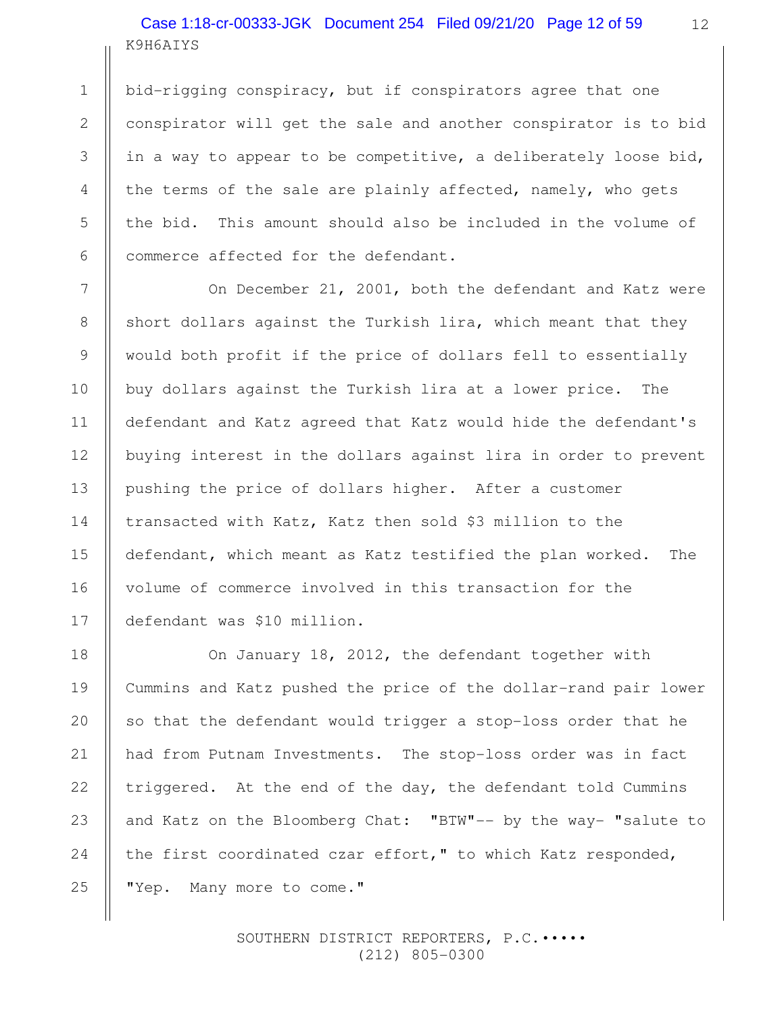# K9H6AIYS Case 1:18-cr-00333-JGK Document 254 Filed 09/21/20 Page 12 of 59

bid-rigging conspiracy, but if conspirators agree that one conspirator will get the sale and another conspirator is to bid in a way to appear to be competitive, a deliberately loose bid, the terms of the sale are plainly affected, namely, who gets the bid. This amount should also be included in the volume of commerce affected for the defendant.

On December 21, 2001, both the defendant and Katz were short dollars against the Turkish lira, which meant that they would both profit if the price of dollars fell to essentially buy dollars against the Turkish lira at a lower price. The defendant and Katz agreed that Katz would hide the defendant's buying interest in the dollars against lira in order to prevent pushing the price of dollars higher. After a customer transacted with Katz, Katz then sold \$3 million to the defendant, which meant as Katz testified the plan worked. The volume of commerce involved in this transaction for the defendant was \$10 million.

On January 18, 2012, the defendant together with Cummins and Katz pushed the price of the dollar-rand pair lower so that the defendant would trigger a stop-loss order that he had from Putnam Investments. The stop-loss order was in fact triggered. At the end of the day, the defendant told Cummins and Katz on the Bloomberg Chat: "BTW"-- by the way- "salute to the first coordinated czar effort," to which Katz responded, "Yep. Many more to come." 25

> SOUTHERN DISTRICT REPORTERS, P.C. .... (212) 805-0300

1

2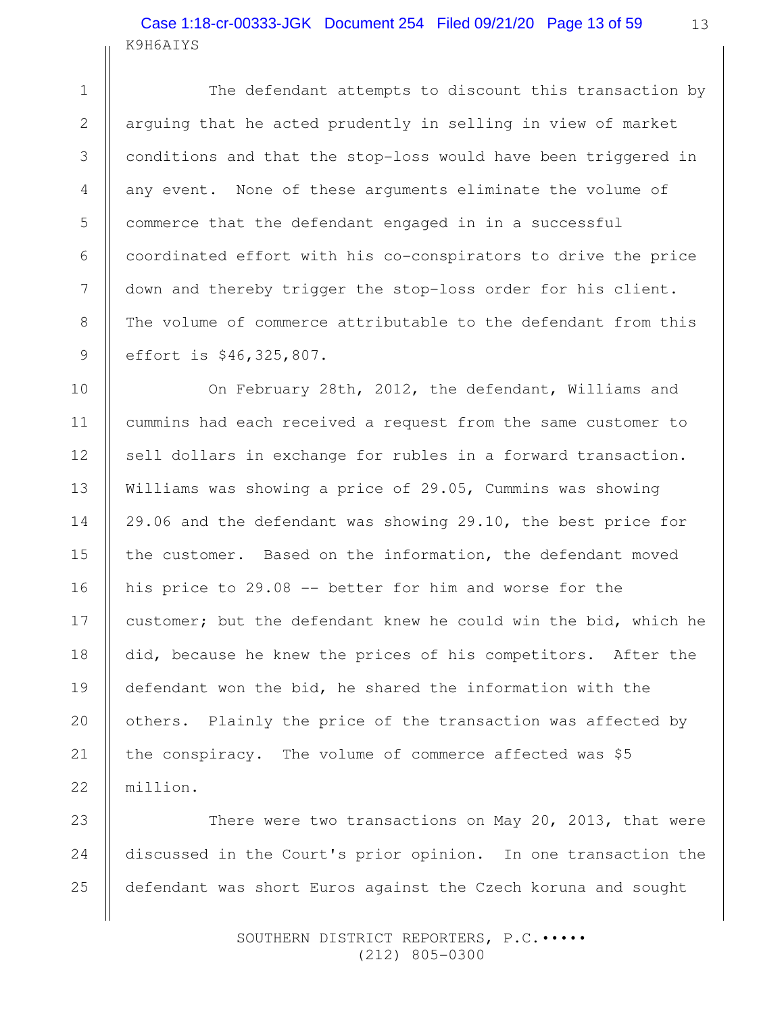### K9H6AIYS Case 1:18-cr-00333-JGK Document 254 Filed 09/21/20 Page 13 of 59

The defendant attempts to discount this transaction by arguing that he acted prudently in selling in view of market conditions and that the stop-loss would have been triggered in any event. None of these arguments eliminate the volume of commerce that the defendant engaged in in a successful coordinated effort with his co-conspirators to drive the price down and thereby trigger the stop-loss order for his client. The volume of commerce attributable to the defendant from this effort is \$46,325,807.

On February 28th, 2012, the defendant, Williams and cummins had each received a request from the same customer to sell dollars in exchange for rubles in a forward transaction. Williams was showing a price of 29.05, Cummins was showing 29.06 and the defendant was showing 29.10, the best price for the customer. Based on the information, the defendant moved his price to 29.08 -- better for him and worse for the customer; but the defendant knew he could win the bid, which he did, because he knew the prices of his competitors. After the defendant won the bid, he shared the information with the others. Plainly the price of the transaction was affected by the conspiracy. The volume of commerce affected was \$5 million.

There were two transactions on May 20, 2013, that were discussed in the Court's prior opinion. In one transaction the defendant was short Euros against the Czech koruna and sought 24 25

> SOUTHERN DISTRICT REPORTERS, P.C. .... (212) 805-0300

1

2

3

4

5

6

7

8

9

10

11

12

13

14

15

16

17

18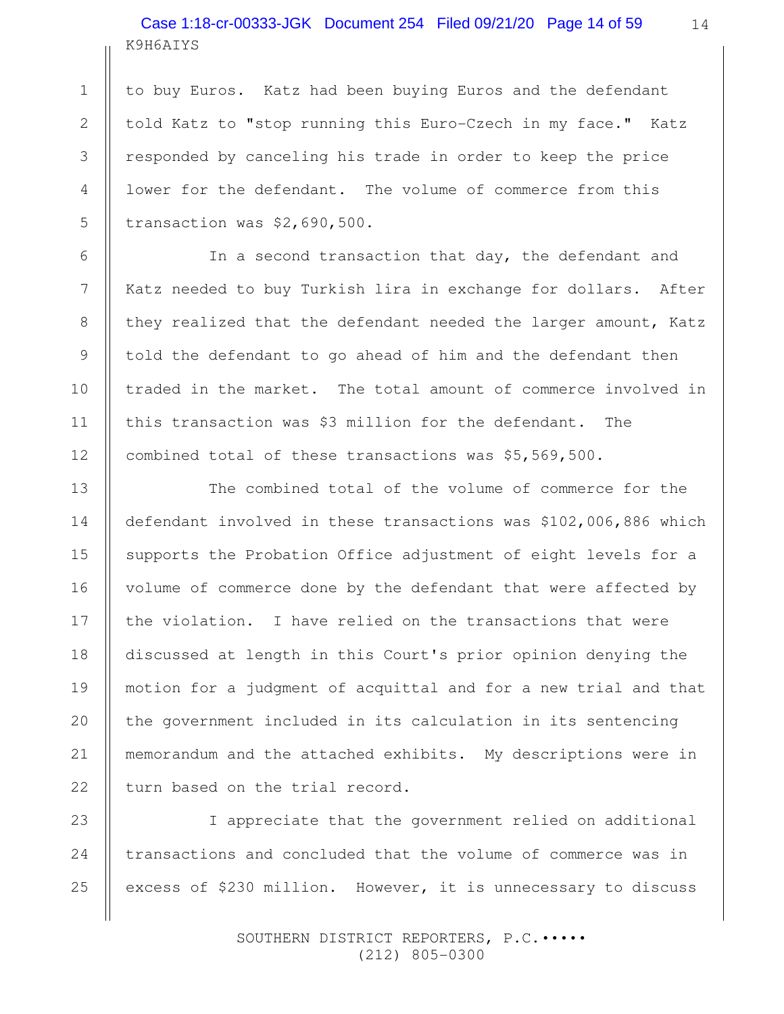# K9H6AIYS Case 1:18-cr-00333-JGK Document 254 Filed 09/21/20 Page 14 of 59

to buy Euros. Katz had been buying Euros and the defendant told Katz to "stop running this Euro-Czech in my face." Katz responded by canceling his trade in order to keep the price lower for the defendant. The volume of commerce from this transaction was \$2,690,500.

In a second transaction that day, the defendant and Katz needed to buy Turkish lira in exchange for dollars. After they realized that the defendant needed the larger amount, Katz told the defendant to go ahead of him and the defendant then traded in the market. The total amount of commerce involved in this transaction was \$3 million for the defendant. The combined total of these transactions was \$5,569,500.

The combined total of the volume of commerce for the defendant involved in these transactions was \$102,006,886 which supports the Probation Office adjustment of eight levels for a volume of commerce done by the defendant that were affected by the violation. I have relied on the transactions that were discussed at length in this Court's prior opinion denying the motion for a judgment of acquittal and for a new trial and that the government included in its calculation in its sentencing memorandum and the attached exhibits. My descriptions were in turn based on the trial record.

I appreciate that the government relied on additional transactions and concluded that the volume of commerce was in excess of \$230 million. However, it is unnecessary to discuss 23 24 25

> SOUTHERN DISTRICT REPORTERS, P.C. .... (212) 805-0300

1

2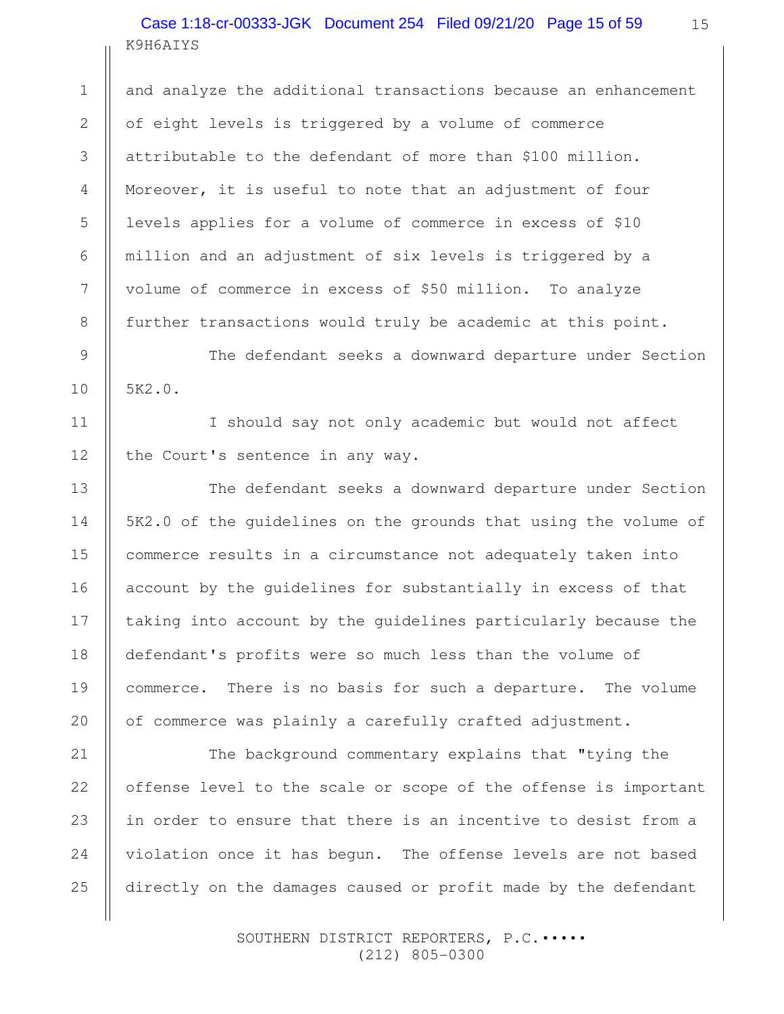### K9H6AIYS Case 1:18-cr-00333-JGK Document 254 Filed 09/21/20 Page 15 of 59

1

2

3

4

5

6

7

8

9

10

11

12

13

14

15

16

17

18

19

20

and analyze the additional transactions because an enhancement of eight levels is triggered by a volume of commerce attributable to the defendant of more than \$100 million. Moreover, it is useful to note that an adjustment of four levels applies for a volume of commerce in excess of \$10 million and an adjustment of six levels is triggered by a volume of commerce in excess of \$50 million. To analyze further transactions would truly be academic at this point.

The defendant seeks a downward departure under Section 5K2.0.

I should say not only academic but would not affect the Court's sentence in any way.

The defendant seeks a downward departure under Section 5K2.0 of the guidelines on the grounds that using the volume of commerce results in a circumstance not adequately taken into account by the guidelines for substantially in excess of that taking into account by the guidelines particularly because the defendant's profits were so much less than the volume of commerce. There is no basis for such a departure. The volume of commerce was plainly a carefully crafted adjustment.

The background commentary explains that "tying the offense level to the scale or scope of the offense is important in order to ensure that there is an incentive to desist from a violation once it has begun. The offense levels are not based directly on the damages caused or profit made by the defendant 21 22 23 24 25

> SOUTHERN DISTRICT REPORTERS, P.C. .... (212) 805-0300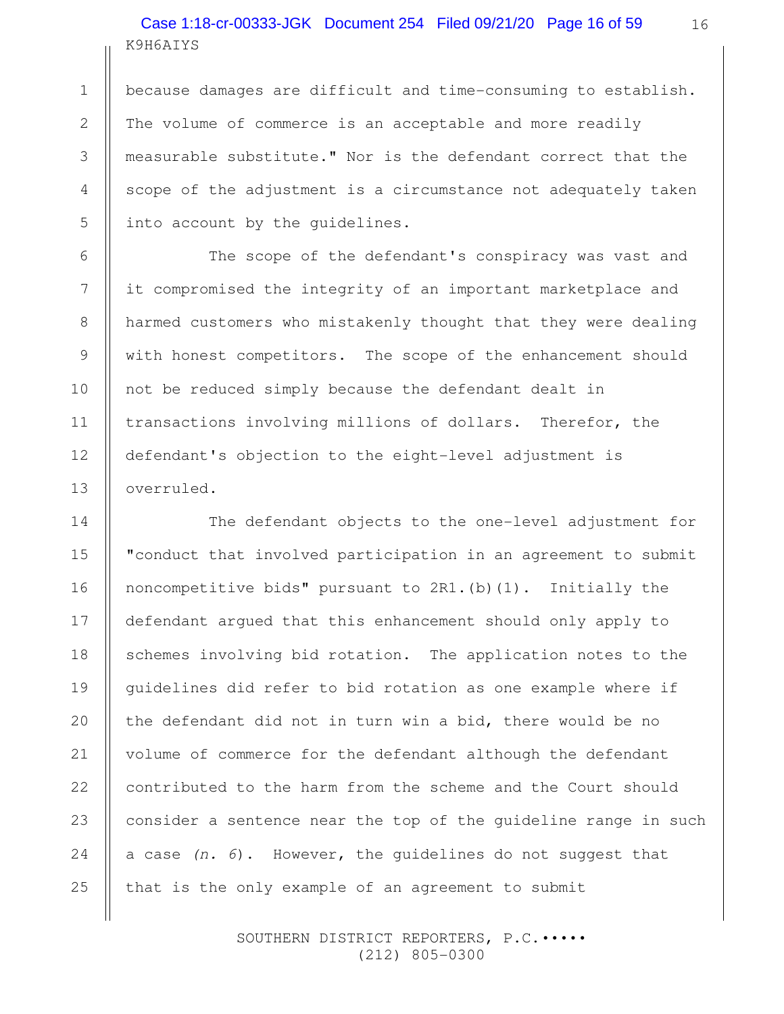# K9H6AIYS Case 1:18-cr-00333-JGK Document 254 Filed 09/21/20 Page 16 of 59

because damages are difficult and time-consuming to establish. The volume of commerce is an acceptable and more readily measurable substitute." Nor is the defendant correct that the scope of the adjustment is a circumstance not adequately taken into account by the guidelines.

The scope of the defendant's conspiracy was vast and it compromised the integrity of an important marketplace and harmed customers who mistakenly thought that they were dealing with honest competitors. The scope of the enhancement should not be reduced simply because the defendant dealt in transactions involving millions of dollars. Therefor, the defendant's objection to the eight-level adjustment is overruled.

The defendant objects to the one-level adjustment for "conduct that involved participation in an agreement to submit noncompetitive bids" pursuant to  $2R1.$  (b)  $(1)$ . Initially the defendant argued that this enhancement should only apply to schemes involving bid rotation. The application notes to the guidelines did refer to bid rotation as one example where if the defendant did not in turn win a bid, there would be no volume of commerce for the defendant although the defendant contributed to the harm from the scheme and the Court should consider a sentence near the top of the guideline range in such a case  $(n, 6)$ . However, the quidelines do not suggest that that is the only example of an agreement to submit 17 19 23 24 25

> SOUTHERN DISTRICT REPORTERS, P.C. .... (212) 805-0300

1

2

3

4

5

6

7

8

9

10

11

12

13

14

15

16

18

20

21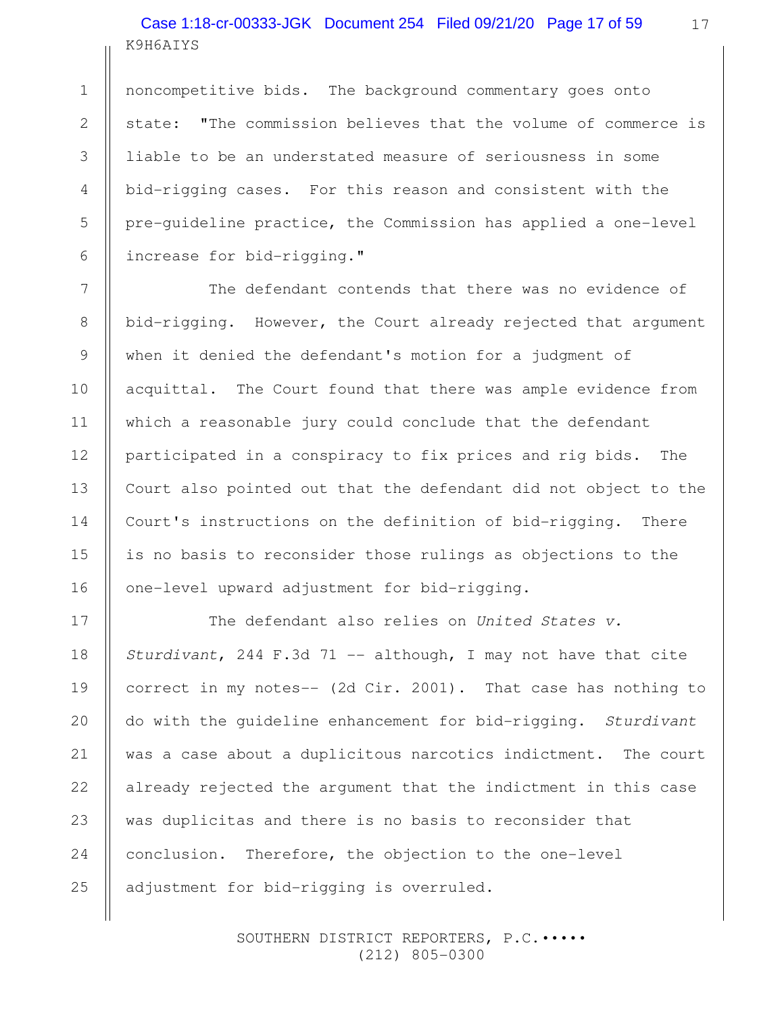# K9H6AIYS Case 1:18-cr-00333-JGK Document 254 Filed 09/21/20 Page 17 of 59

noncompetitive bids. The background commentary goes onto state: "The commission believes that the volume of commerce is liable to be an understated measure of seriousness in some bid-rigging cases. For this reason and consistent with the pre-guideline practice, the Commission has applied a one-level increase for bid-rigging."

The defendant contends that there was no evidence of bid-rigging. However, the Court already rejected that argument when it denied the defendant's motion for a judgment of acquittal. The Court found that there was ample evidence from which a reasonable jury could conclude that the defendant participated in a conspiracy to fix prices and rig bids. The Court also pointed out that the defendant did not object to the Court's instructions on the definition of bid-rigging. There is no basis to reconsider those rulings as objections to the one-level upward adjustment for bid-rigging.

The defendant also relies on United States v. Sturdivant, 244 F.3d 71 -- although, I may not have that cite correct in my notes-- (2d Cir. 2001). That case has nothing to do with the guideline enhancement for bid-rigging. Sturdivant was a case about a duplicitous narcotics indictment. The court already rejected the argument that the indictment in this case was duplicitas and there is no basis to reconsider that conclusion. Therefore, the objection to the one-level adjustment for bid-rigging is overruled.

> SOUTHERN DISTRICT REPORTERS, P.C.••••• (212) 805-0300

24

25

1

2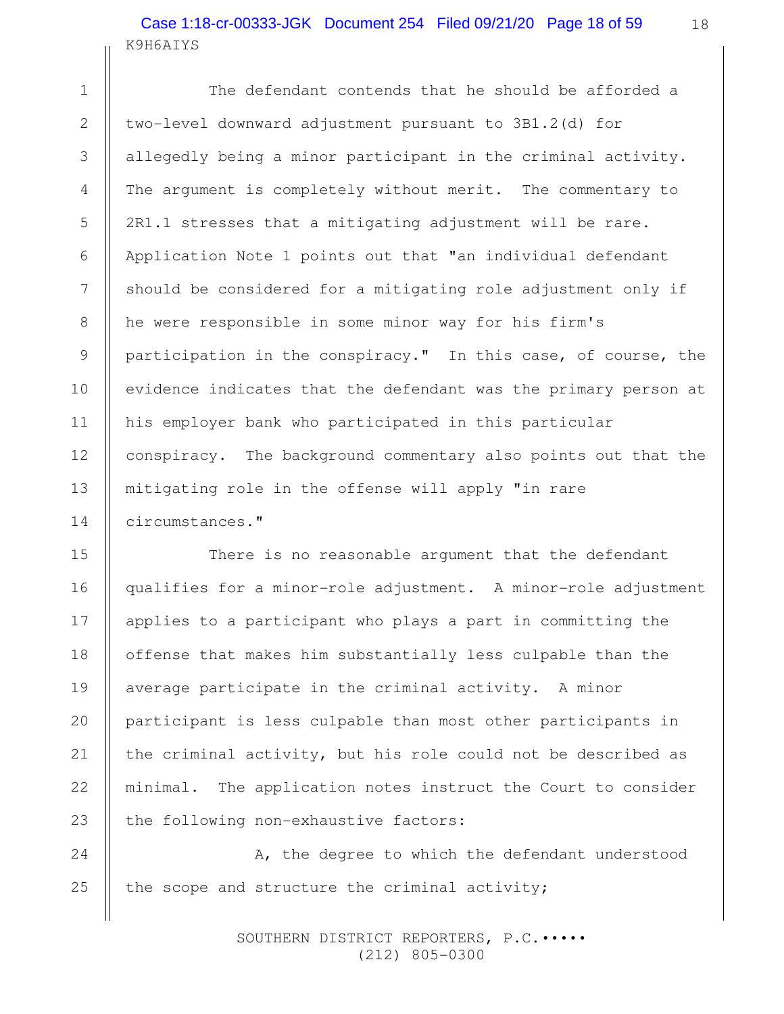### K9H6AIYS Case 1:18-cr-00333-JGK Document 254 Filed 09/21/20 Page 18 of 59

1

2

3

4

5

6

7

8

9

10

11

12

13

14

15

16

17

18

20

21

22

The defendant contends that he should be afforded a two-level downward adjustment pursuant to 3B1.2(d) for allegedly being a minor participant in the criminal activity. The argument is completely without merit. The commentary to 2R1.1 stresses that a mitigating adjustment will be rare. Application Note 1 points out that "an individual defendant should be considered for a mitigating role adjustment only if he were responsible in some minor way for his firm's participation in the conspiracy." In this case, of course, the evidence indicates that the defendant was the primary person at his employer bank who participated in this particular conspiracy. The background commentary also points out that the mitigating role in the offense will apply "in rare circumstances."

There is no reasonable argument that the defendant qualifies for a minor-role adjustment. A minor-role adjustment applies to a participant who plays a part in committing the offense that makes him substantially less culpable than the average participate in the criminal activity. A minor participant is less culpable than most other participants in the criminal activity, but his role could not be described as minimal. The application notes instruct the Court to consider the following non-exhaustive factors: 19 23

 A, the degree to which the defendant understood the scope and structure the criminal activity; 24 25

> SOUTHERN DISTRICT REPORTERS, P.C.••••• (212) 805-0300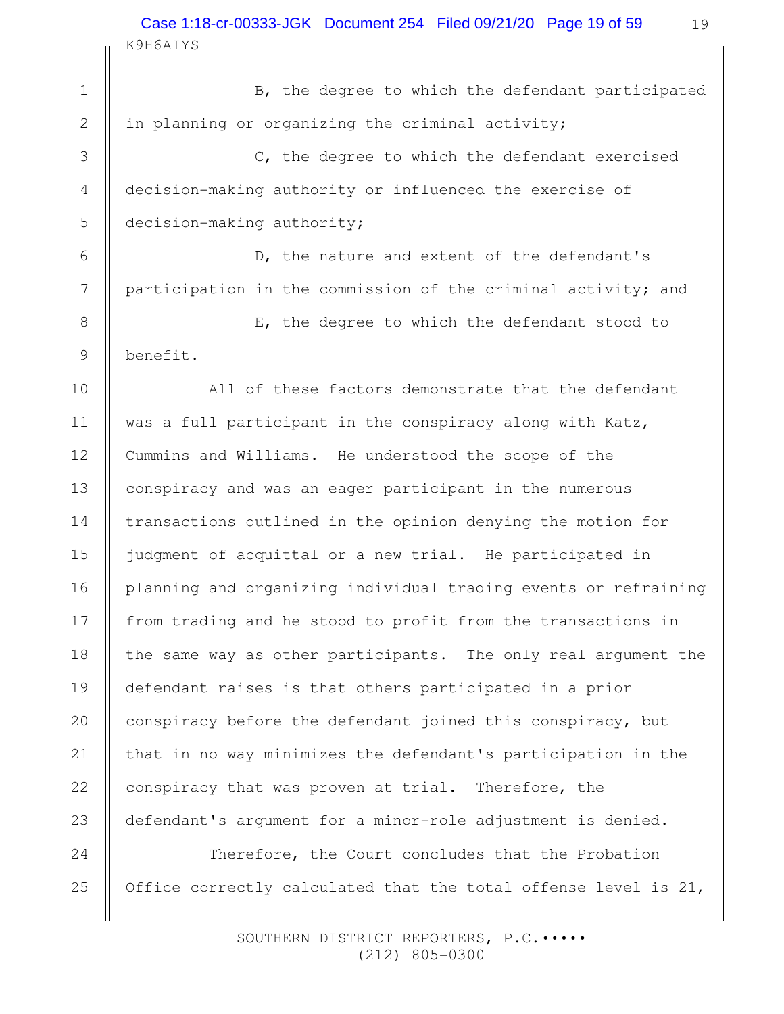K9H6AIYS Case 1:18-cr-00333-JGK Document 254 Filed 09/21/20 Page 19 of 59

 B, the degree to which the defendant participated in planning or organizing the criminal activity; C, the degree to which the defendant exercised decision-making authority or influenced the exercise of decision-making authority; D, the nature and extent of the defendant's participation in the commission of the criminal activity; and E, the degree to which the defendant stood to benefit. All of these factors demonstrate that the defendant was a full participant in the conspiracy along with Katz, Cummins and Williams. He understood the scope of the conspiracy and was an eager participant in the numerous transactions outlined in the opinion denying the motion for judgment of acquittal or a new trial. He participated in planning and organizing individual trading events or refraining from trading and he stood to profit from the transactions in the same way as other participants. The only real argument the defendant raises is that others participated in a prior conspiracy before the defendant joined this conspiracy, but that in no way minimizes the defendant's participation in the conspiracy that was proven at trial. Therefore, the defendant's argument for a minor-role adjustment is denied. Therefore, the Court concludes that the Probation Office correctly calculated that the total offense level is 21, 1 2 3 4 5 6 7 8 9 10 11 12 13 14 15 16 17 18 19 20 21 22 23 24 25

> SOUTHERN DISTRICT REPORTERS, P.C.••••• (212) 805-0300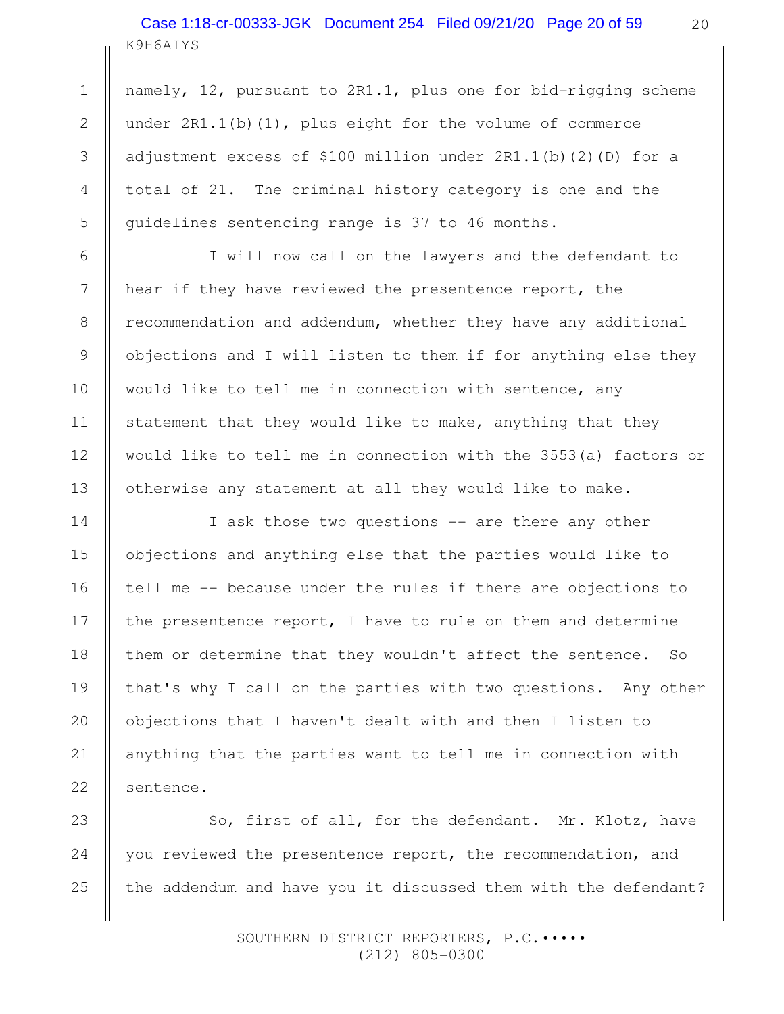K9H6AIYS Case 1:18-cr-00333-JGK Document 254 Filed 09/21/20 Page 20 of 59

namely, 12, pursuant to 2R1.1, plus one for bid-rigging scheme under  $2R1.1(b)(1)$ , plus eight for the volume of commerce adjustment excess of \$100 million under 2R1.1(b)(2)(D) for a total of 21. The criminal history category is one and the guidelines sentencing range is 37 to 46 months.

I will now call on the lawyers and the defendant to hear if they have reviewed the presentence report, the recommendation and addendum, whether they have any additional objections and I will listen to them if for anything else they would like to tell me in connection with sentence, any statement that they would like to make, anything that they would like to tell me in connection with the 3553(a) factors or otherwise any statement at all they would like to make.

I ask those two questions -- are there any other objections and anything else that the parties would like to tell me -- because under the rules if there are objections to the presentence report, I have to rule on them and determine them or determine that they wouldn't affect the sentence. So that's why I call on the parties with two questions. Any other objections that I haven't dealt with and then I listen to anything that the parties want to tell me in connection with sentence.

So, first of all, for the defendant. Mr. Klotz, have you reviewed the presentence report, the recommendation, and the addendum and have you it discussed them with the defendant?

> SOUTHERN DISTRICT REPORTERS, P.C.••••• (212) 805-0300

1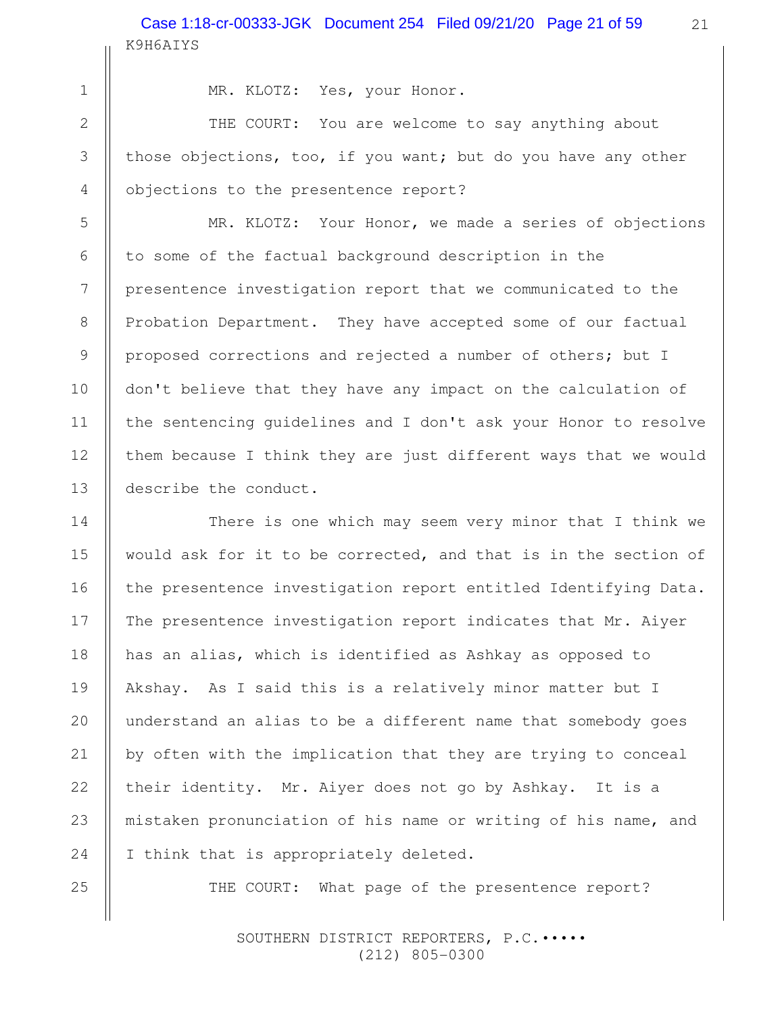8

9

10

11

12

13

16

18

20

21

22

MR. KLOTZ: Yes, your Honor.

THE COURT: You are welcome to say anything about those objections, too, if you want; but do you have any other objections to the presentence report?

MR. KLOTZ: Your Honor, we made a series of objections to some of the factual background description in the presentence investigation report that we communicated to the Probation Department. They have accepted some of our factual proposed corrections and rejected a number of others; but I don't believe that they have any impact on the calculation of the sentencing guidelines and I don't ask your Honor to resolve them because I think they are just different ways that we would describe the conduct.

There is one which may seem very minor that I think we would ask for it to be corrected, and that is in the section of the presentence investigation report entitled Identifying Data. The presentence investigation report indicates that Mr. Aiyer has an alias, which is identified as Ashkay as opposed to Akshay. As I said this is a relatively minor matter but I understand an alias to be a different name that somebody goes by often with the implication that they are trying to conceal their identity. Mr. Aiyer does not go by Ashkay. It is a mistaken pronunciation of his name or writing of his name, and I think that is appropriately deleted. 14 15 17 19 23 24

25

THE COURT: What page of the presentence report?

SOUTHERN DISTRICT REPORTERS, P.C. .... (212) 805-0300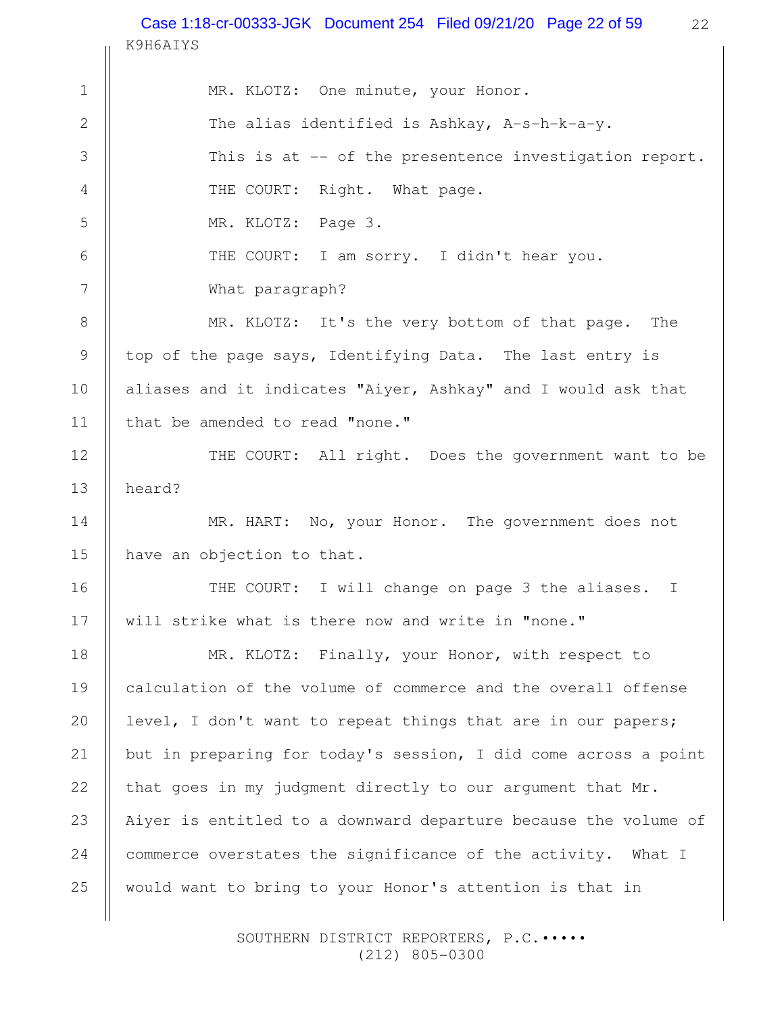22 K9H6AIYS MR. KLOTZ: One minute, your Honor. The alias identified is Ashkay, A-s-h-k-a-y. This is at -- of the presentence investigation report. THE COURT: Right. What page. MR. KLOTZ: Page 3. THE COURT: I am sorry. I didn't hear you. What paragraph? MR. KLOTZ: It's the very bottom of that page. The top of the page says, Identifying Data. The last entry is aliases and it indicates "Aiyer, Ashkay" and I would ask that that be amended to read "none." THE COURT: All right. Does the government want to be heard? MR. HART: No, your Honor. The government does not have an objection to that. THE COURT: I will change on page 3 the aliases. I will strike what is there now and write in "none." MR. KLOTZ: Finally, your Honor, with respect to calculation of the volume of commerce and the overall offense level, I don't want to repeat things that are in our papers; but in preparing for today's session, I did come across a point that goes in my judgment directly to our argument that Mr. Aiyer is entitled to a downward departure because the volume of commerce overstates the significance of the activity. What I would want to bring to your Honor's attention is that in 1 2 3 4 5 6 7 8 9 10 11 12 13 14 15 16 17 18 19 20 21 22 23 24 25 Case 1:18-cr-00333-JGK Document 254 Filed 09/21/20 Page 22 of 59

> SOUTHERN DISTRICT REPORTERS, P.C.••••• (212) 805-0300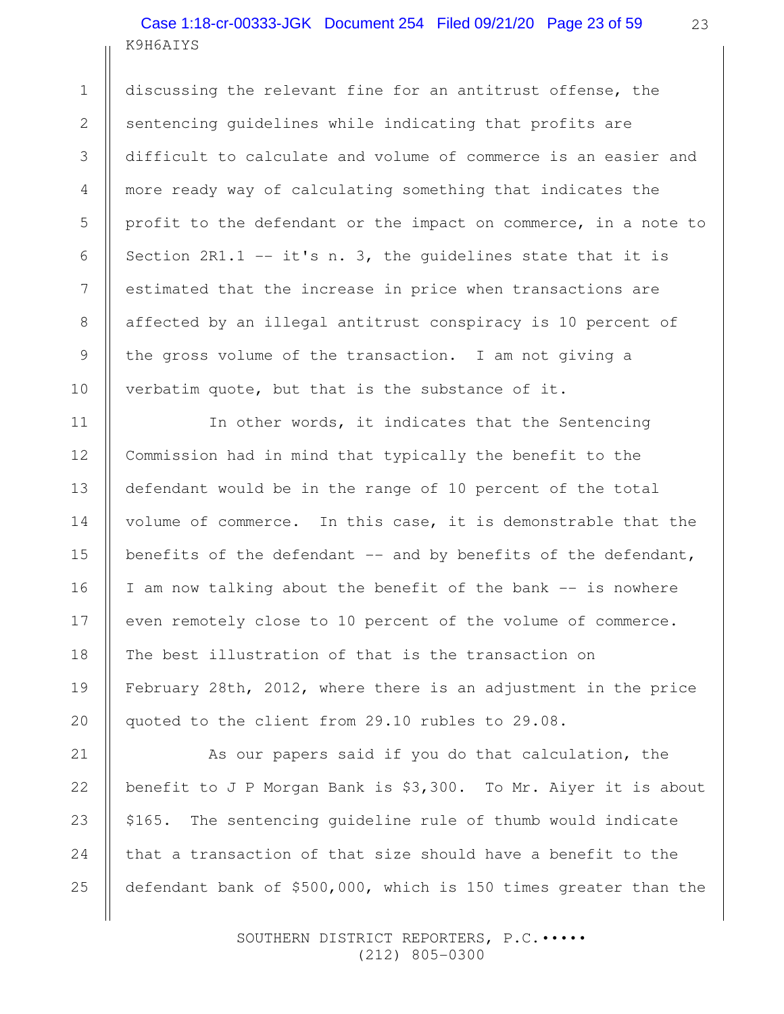# K9H6AIYS Case 1:18-cr-00333-JGK Document 254 Filed 09/21/20 Page 23 of 59

discussing the relevant fine for an antitrust offense, the sentencing guidelines while indicating that profits are difficult to calculate and volume of commerce is an easier and more ready way of calculating something that indicates the profit to the defendant or the impact on commerce, in a note to Section  $2R1.1 - - it's n. 3$ , the quidelines state that it is estimated that the increase in price when transactions are affected by an illegal antitrust conspiracy is 10 percent of the gross volume of the transaction. I am not giving a verbatim quote, but that is the substance of it.

In other words, it indicates that the Sentencing Commission had in mind that typically the benefit to the defendant would be in the range of 10 percent of the total volume of commerce. In this case, it is demonstrable that the benefits of the defendant -- and by benefits of the defendant, I am now talking about the benefit of the bank -- is nowhere even remotely close to 10 percent of the volume of commerce. The best illustration of that is the transaction on February 28th, 2012, where there is an adjustment in the price quoted to the client from 29.10 rubles to 29.08.

As our papers said if you do that calculation, the benefit to J P Morgan Bank is \$3,300. To Mr. Aiyer it is about \$165. The sentencing guideline rule of thumb would indicate that a transaction of that size should have a benefit to the defendant bank of \$500,000, which is 150 times greater than the

> SOUTHERN DISTRICT REPORTERS, P.C. .... (212) 805-0300

25

1

2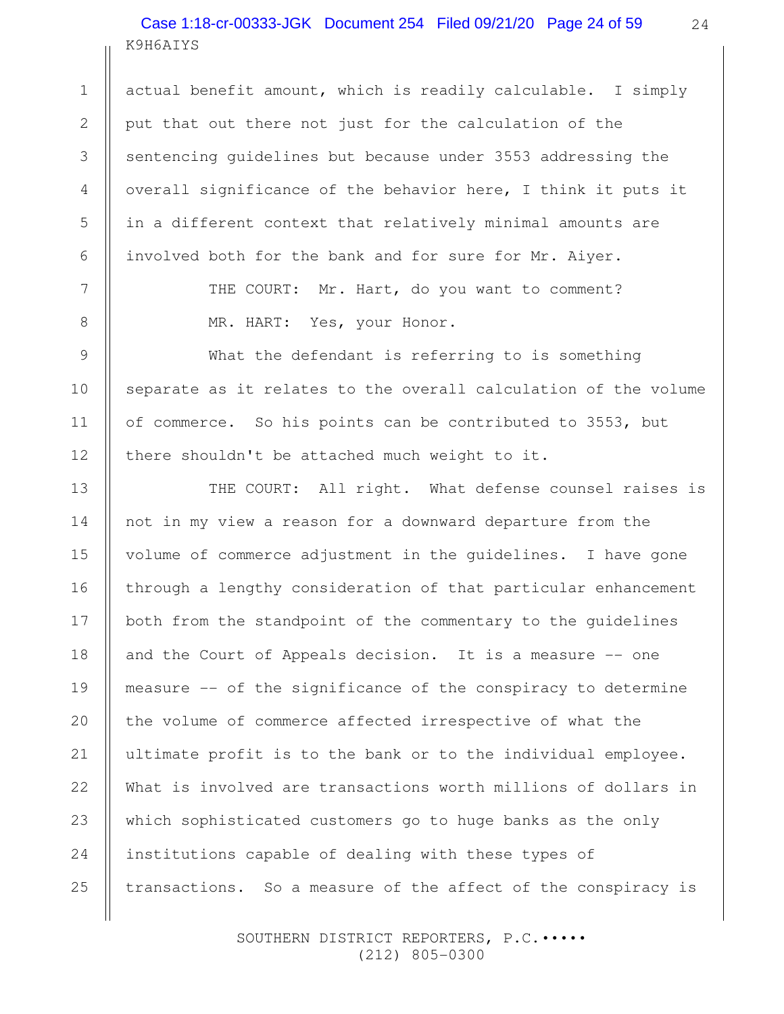K9H6AIYS Case 1:18-cr-00333-JGK Document 254 Filed 09/21/20 Page 24 of 59

1

2

3

4

5

6

7

8

9

10

11

12

24

actual benefit amount, which is readily calculable. I simply put that out there not just for the calculation of the sentencing guidelines but because under 3553 addressing the overall significance of the behavior here, I think it puts it in a different context that relatively minimal amounts are involved both for the bank and for sure for Mr. Aiyer.

> THE COURT: Mr. Hart, do you want to comment? MR. HART: Yes, your Honor.

What the defendant is referring to is something separate as it relates to the overall calculation of the volume of commerce. So his points can be contributed to 3553, but there shouldn't be attached much weight to it.

THE COURT: All right. What defense counsel raises is not in my view a reason for a downward departure from the volume of commerce adjustment in the guidelines. I have gone through a lengthy consideration of that particular enhancement both from the standpoint of the commentary to the guidelines and the Court of Appeals decision. It is a measure -- one measure -- of the significance of the conspiracy to determine the volume of commerce affected irrespective of what the ultimate profit is to the bank or to the individual employee. What is involved are transactions worth millions of dollars in which sophisticated customers go to huge banks as the only institutions capable of dealing with these types of transactions. So a measure of the affect of the conspiracy is 13 14 15 16 17 18 19 20 21 22 23 24 25

> SOUTHERN DISTRICT REPORTERS, P.C. .... (212) 805-0300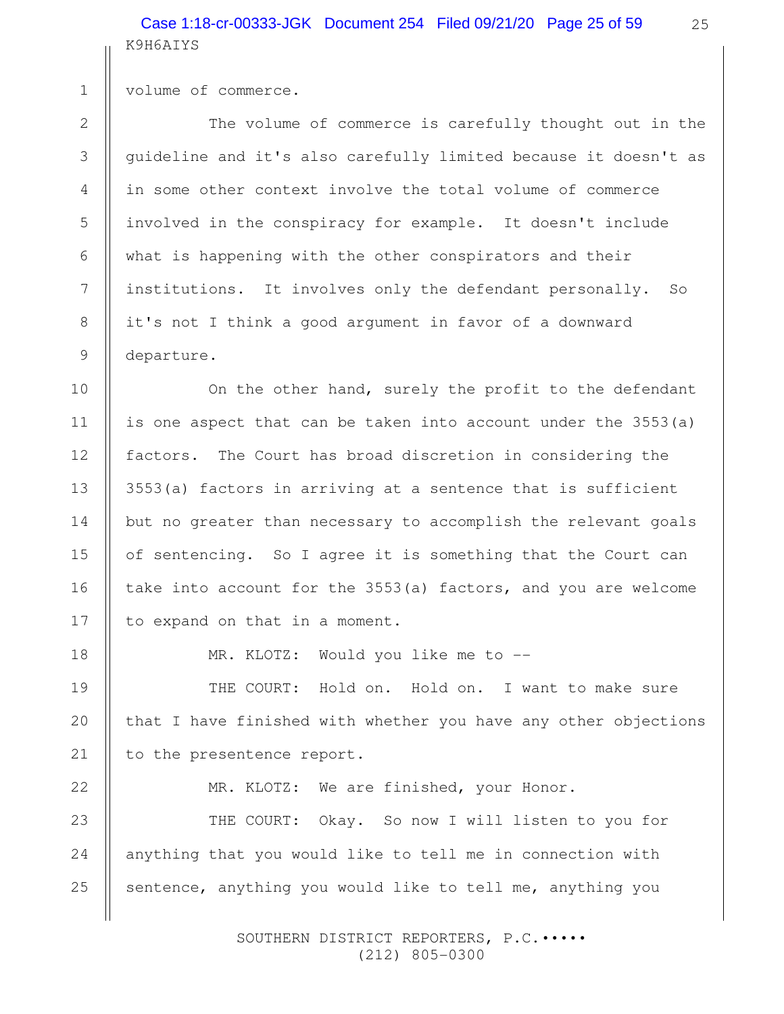# K9H6AIYS Case 1:18-cr-00333-JGK Document 254 Filed 09/21/20 Page 25 of 59

volume of commerce.

1

2

3

4

5

6

7

8

9

10

11

12

13

14

15

16

17

The volume of commerce is carefully thought out in the guideline and it's also carefully limited because it doesn't as in some other context involve the total volume of commerce involved in the conspiracy for example. It doesn't include what is happening with the other conspirators and their institutions. It involves only the defendant personally. So it's not I think a good argument in favor of a downward departure.

On the other hand, surely the profit to the defendant is one aspect that can be taken into account under the 3553(a) factors. The Court has broad discretion in considering the 3553(a) factors in arriving at a sentence that is sufficient but no greater than necessary to accomplish the relevant goals of sentencing. So I agree it is something that the Court can take into account for the 3553(a) factors, and you are welcome to expand on that in a moment.

18

19

20

21

MR. KLOTZ: Would you like me to --

THE COURT: Hold on. Hold on. I want to make sure that I have finished with whether you have any other objections to the presentence report.

22

MR. KLOTZ: We are finished, your Honor.

THE COURT: Okay. So now I will listen to you for anything that you would like to tell me in connection with sentence, anything you would like to tell me, anything you 23 24 25

> SOUTHERN DISTRICT REPORTERS, P.C. .... (212) 805-0300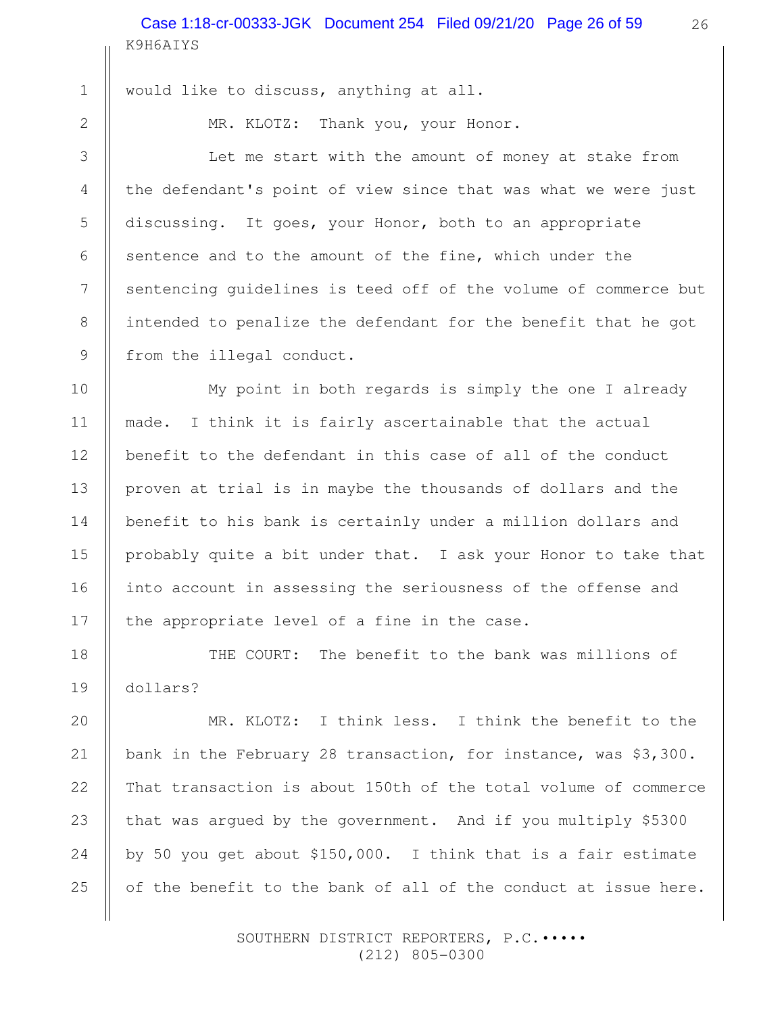K9H6AIYS Case 1:18-cr-00333-JGK Document 254 Filed 09/21/20 Page 26 of 59

 2 3 4

5

6

7

8

9

10

11

12

13

14

15

16

17

18

19

20

21

22

23

24

25

1

would like to discuss, anything at all.

MR. KLOTZ: Thank you, your Honor.

Let me start with the amount of money at stake from the defendant's point of view since that was what we were just discussing. It goes, your Honor, both to an appropriate sentence and to the amount of the fine, which under the sentencing guidelines is teed off of the volume of commerce but intended to penalize the defendant for the benefit that he got from the illegal conduct.

My point in both regards is simply the one I already made. I think it is fairly ascertainable that the actual benefit to the defendant in this case of all of the conduct proven at trial is in maybe the thousands of dollars and the benefit to his bank is certainly under a million dollars and probably quite a bit under that. I ask your Honor to take that into account in assessing the seriousness of the offense and the appropriate level of a fine in the case.

THE COURT: The benefit to the bank was millions of dollars?

MR. KLOTZ: I think less. I think the benefit to the bank in the February 28 transaction, for instance, was \$3,300. That transaction is about 150th of the total volume of commerce that was argued by the government. And if you multiply \$5300 by 50 you get about \$150,000. I think that is a fair estimate of the benefit to the bank of all of the conduct at issue here.

> SOUTHERN DISTRICT REPORTERS, P.C. .... (212) 805-0300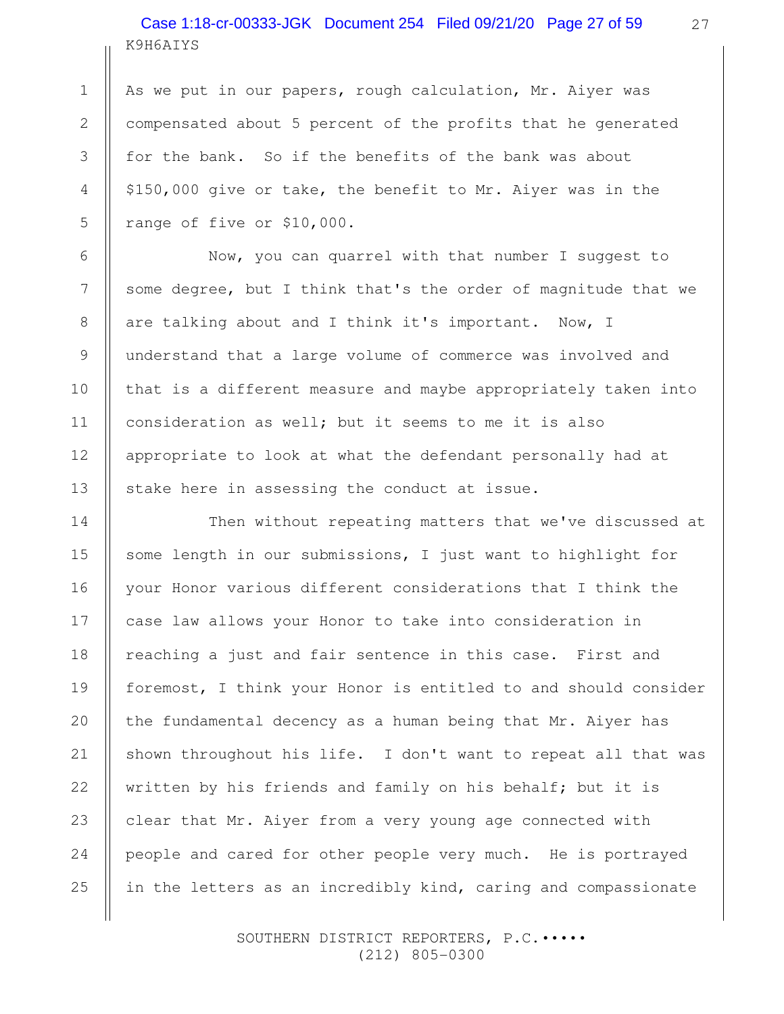# K9H6AIYS Case 1:18-cr-00333-JGK Document 254 Filed 09/21/20 Page 27 of 59

1

2

3

4

5

6

7

8

9

10

11

12

13

14

15

16

17

18

19

20

21

22

23

24

25

As we put in our papers, rough calculation, Mr. Aiyer was compensated about 5 percent of the profits that he generated for the bank. So if the benefits of the bank was about \$150,000 give or take, the benefit to Mr. Aiyer was in the range of five or \$10,000.

Now, you can quarrel with that number I suggest to some degree, but I think that's the order of magnitude that we are talking about and I think it's important. Now, I understand that a large volume of commerce was involved and that is a different measure and maybe appropriately taken into consideration as well; but it seems to me it is also appropriate to look at what the defendant personally had at stake here in assessing the conduct at issue.

Then without repeating matters that we've discussed at some length in our submissions, I just want to highlight for your Honor various different considerations that I think the case law allows your Honor to take into consideration in reaching a just and fair sentence in this case. First and foremost, I think your Honor is entitled to and should consider the fundamental decency as a human being that Mr. Aiyer has shown throughout his life. I don't want to repeat all that was written by his friends and family on his behalf; but it is clear that Mr. Aiyer from a very young age connected with people and cared for other people very much. He is portrayed in the letters as an incredibly kind, caring and compassionate

> SOUTHERN DISTRICT REPORTERS, P.C.••••• (212) 805-0300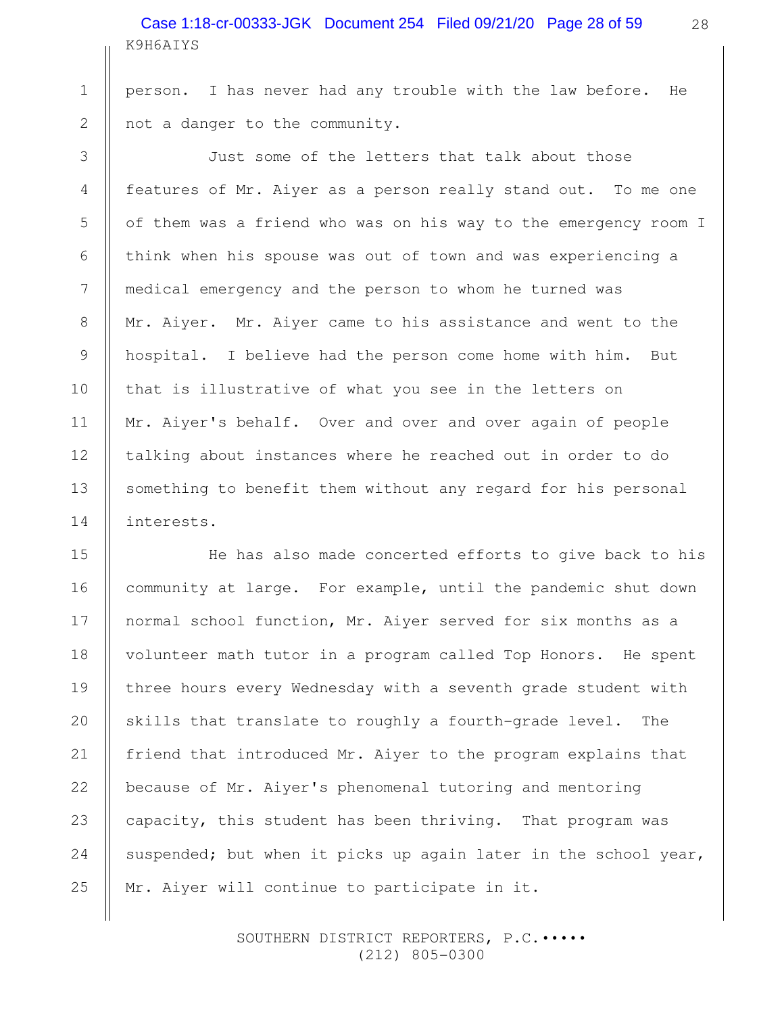K9H6AIYS Case 1:18-cr-00333-JGK Document 254 Filed 09/21/20 Page 28 of 59 28

person. I has never had any trouble with the law before. He not a danger to the community.

1

2

3

4

5

6

7

8

9

10

11

12

13

14

16

18

21

22

Just some of the letters that talk about those features of Mr. Aiyer as a person really stand out. To me one of them was a friend who was on his way to the emergency room I think when his spouse was out of town and was experiencing a medical emergency and the person to whom he turned was Mr. Aiyer. Mr. Aiyer came to his assistance and went to the hospital. I believe had the person come home with him. But that is illustrative of what you see in the letters on Mr. Aiyer's behalf. Over and over and over again of people talking about instances where he reached out in order to do something to benefit them without any regard for his personal interests.

He has also made concerted efforts to give back to his community at large. For example, until the pandemic shut down normal school function, Mr. Aiyer served for six months as a volunteer math tutor in a program called Top Honors. He spent three hours every Wednesday with a seventh grade student with skills that translate to roughly a fourth-grade level. The friend that introduced Mr. Aiyer to the program explains that because of Mr. Aiyer's phenomenal tutoring and mentoring capacity, this student has been thriving. That program was suspended; but when it picks up again later in the school year, Mr. Aiyer will continue to participate in it. 15 17 19 20 23 24 25

> SOUTHERN DISTRICT REPORTERS, P.C.••••• (212) 805-0300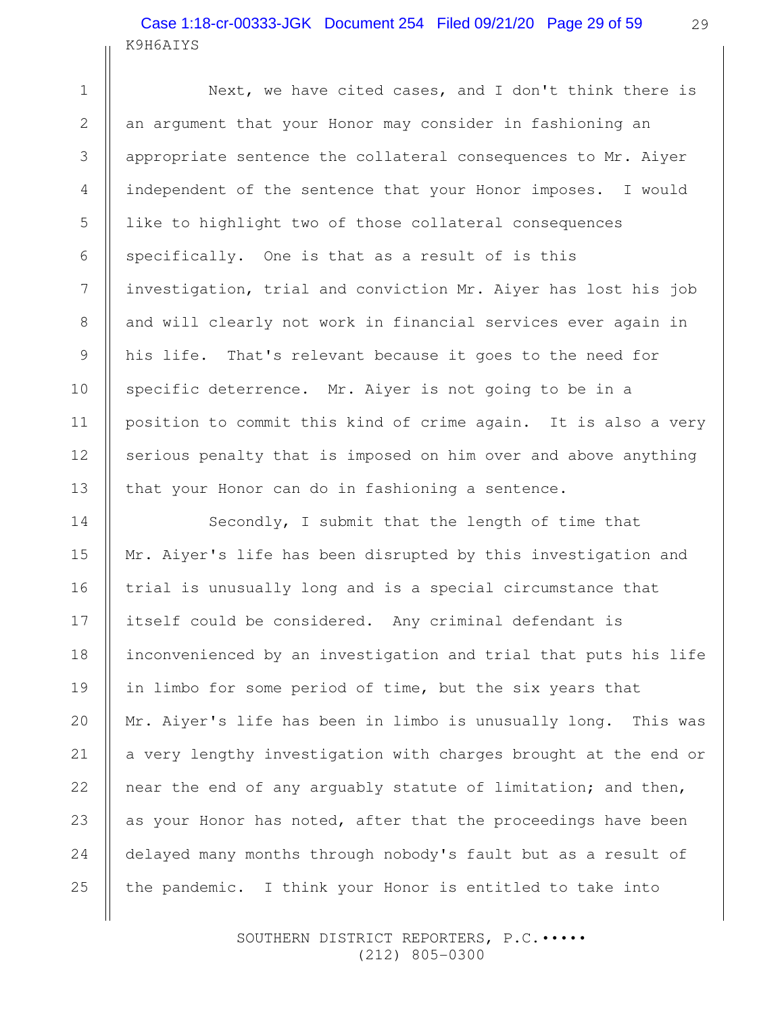# K9H6AIYS Case 1:18-cr-00333-JGK Document 254 Filed 09/21/20 Page 29 of 59

1

2

3

4

5

6

7

8

9

10

11

12

13

14

15

16

17

18

19

20

21

22

23

24

25

Next, we have cited cases, and I don't think there is an argument that your Honor may consider in fashioning an appropriate sentence the collateral consequences to Mr. Aiyer independent of the sentence that your Honor imposes. I would like to highlight two of those collateral consequences specifically. One is that as a result of is this investigation, trial and conviction Mr. Aiyer has lost his job and will clearly not work in financial services ever again in his life. That's relevant because it goes to the need for specific deterrence. Mr. Aiyer is not going to be in a position to commit this kind of crime again. It is also a very serious penalty that is imposed on him over and above anything that your Honor can do in fashioning a sentence.

Secondly, I submit that the length of time that Mr. Aiyer's life has been disrupted by this investigation and trial is unusually long and is a special circumstance that itself could be considered. Any criminal defendant is inconvenienced by an investigation and trial that puts his life in limbo for some period of time, but the six years that Mr. Aiyer's life has been in limbo is unusually long. This was a very lengthy investigation with charges brought at the end or near the end of any arguably statute of limitation; and then, as your Honor has noted, after that the proceedings have been delayed many months through nobody's fault but as a result of the pandemic. I think your Honor is entitled to take into

> SOUTHERN DISTRICT REPORTERS, P.C.••••• (212) 805-0300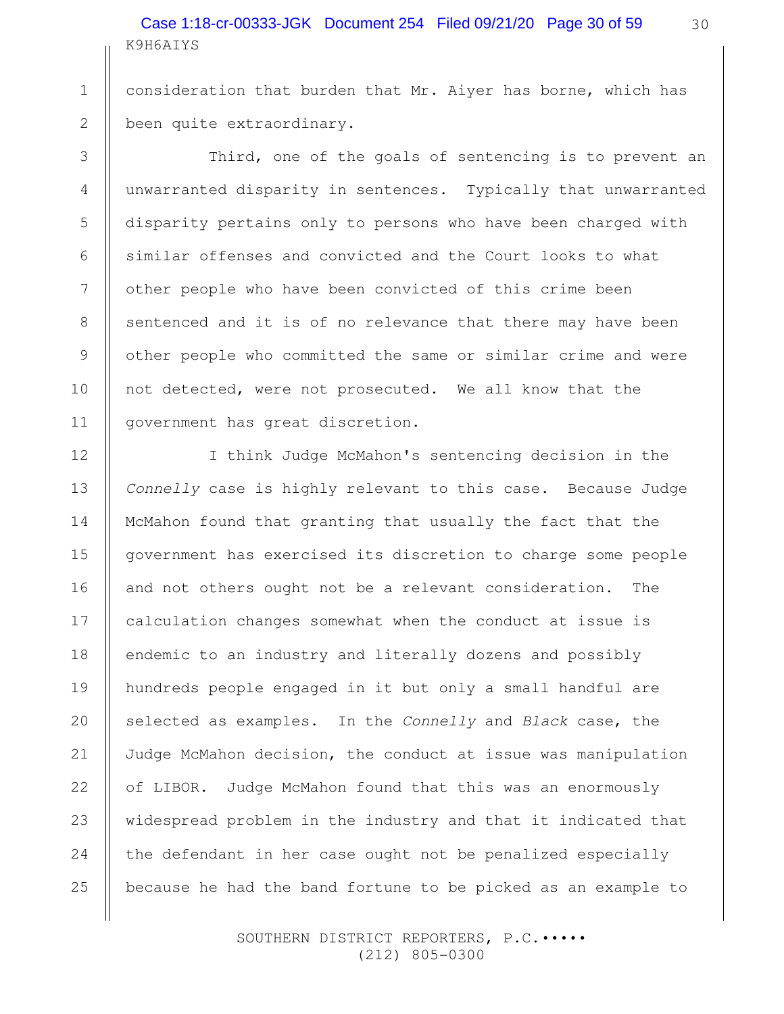K9H6AIYS Case 1:18-cr-00333-JGK Document 254 Filed 09/21/20 Page 30 of 59 30

consideration that burden that Mr. Aiyer has borne, which has been quite extraordinary.

Third, one of the goals of sentencing is to prevent an unwarranted disparity in sentences. Typically that unwarranted disparity pertains only to persons who have been charged with similar offenses and convicted and the Court looks to what other people who have been convicted of this crime been sentenced and it is of no relevance that there may have been other people who committed the same or similar crime and were not detected, were not prosecuted. We all know that the government has great discretion.

I think Judge McMahon's sentencing decision in the Connelly case is highly relevant to this case. Because Judge McMahon found that granting that usually the fact that the government has exercised its discretion to charge some people and not others ought not be a relevant consideration. The calculation changes somewhat when the conduct at issue is endemic to an industry and literally dozens and possibly hundreds people engaged in it but only a small handful are selected as examples. In the Connelly and Black case, the Judge McMahon decision, the conduct at issue was manipulation of LIBOR. Judge McMahon found that this was an enormously widespread problem in the industry and that it indicated that the defendant in her case ought not be penalized especially because he had the band fortune to be picked as an example to

> SOUTHERN DISTRICT REPORTERS, P.C.••••• (212) 805-0300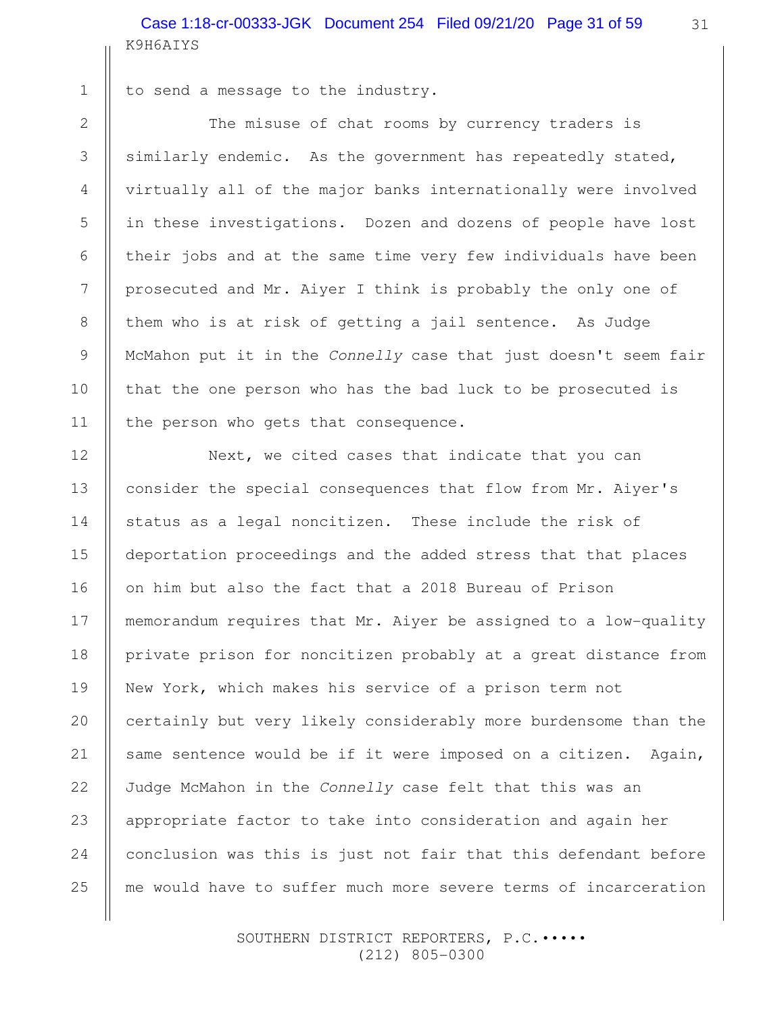K9H6AIYS Case 1:18-cr-00333-JGK Document 254 Filed 09/21/20 Page 31 of 59

 1 2

3

4

5

6

7

8

9

10

11

12

13

14

15

16

18

19

20

21

22

23

24

25

to send a message to the industry.

The misuse of chat rooms by currency traders is similarly endemic. As the government has repeatedly stated, virtually all of the major banks internationally were involved in these investigations. Dozen and dozens of people have lost their jobs and at the same time very few individuals have been prosecuted and Mr. Aiyer I think is probably the only one of them who is at risk of getting a jail sentence. As Judge McMahon put it in the Connelly case that just doesn't seem fair that the one person who has the bad luck to be prosecuted is the person who gets that consequence.

Next, we cited cases that indicate that you can consider the special consequences that flow from Mr. Aiyer's status as a legal noncitizen. These include the risk of deportation proceedings and the added stress that that places on him but also the fact that a 2018 Bureau of Prison memorandum requires that Mr. Aiyer be assigned to a low-quality private prison for noncitizen probably at a great distance from New York, which makes his service of a prison term not certainly but very likely considerably more burdensome than the same sentence would be if it were imposed on a citizen. Again, Judge McMahon in the Connelly case felt that this was an appropriate factor to take into consideration and again her conclusion was this is just not fair that this defendant before me would have to suffer much more severe terms of incarceration 17

> SOUTHERN DISTRICT REPORTERS, P.C.••••• (212) 805-0300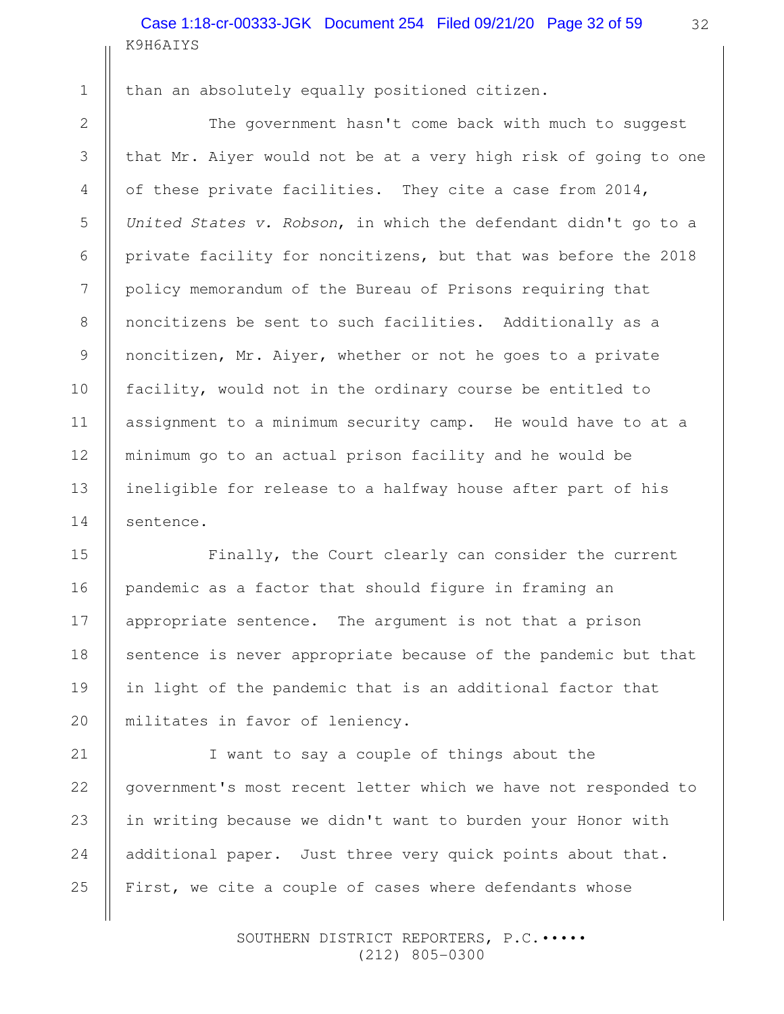K9H6AIYS Case 1:18-cr-00333-JGK Document 254 Filed 09/21/20 Page 32 of 59

 1 2

3

4

5

6

7

8

9

10

11

12

13

14

15

16

17

18

19

20

than an absolutely equally positioned citizen.

The government hasn't come back with much to suggest that Mr. Aiyer would not be at a very high risk of going to one of these private facilities. They cite a case from 2014, United States v. Robson, in which the defendant didn't go to a private facility for noncitizens, but that was before the 2018 policy memorandum of the Bureau of Prisons requiring that noncitizens be sent to such facilities. Additionally as a noncitizen, Mr. Aiyer, whether or not he goes to a private facility, would not in the ordinary course be entitled to assignment to a minimum security camp. He would have to at a minimum go to an actual prison facility and he would be ineligible for release to a halfway house after part of his sentence.

Finally, the Court clearly can consider the current pandemic as a factor that should figure in framing an appropriate sentence. The argument is not that a prison sentence is never appropriate because of the pandemic but that in light of the pandemic that is an additional factor that militates in favor of leniency.

I want to say a couple of things about the government's most recent letter which we have not responded to in writing because we didn't want to burden your Honor with additional paper. Just three very quick points about that. First, we cite a couple of cases where defendants whose 21 22 23 24 25

> SOUTHERN DISTRICT REPORTERS, P.C.••••• (212) 805-0300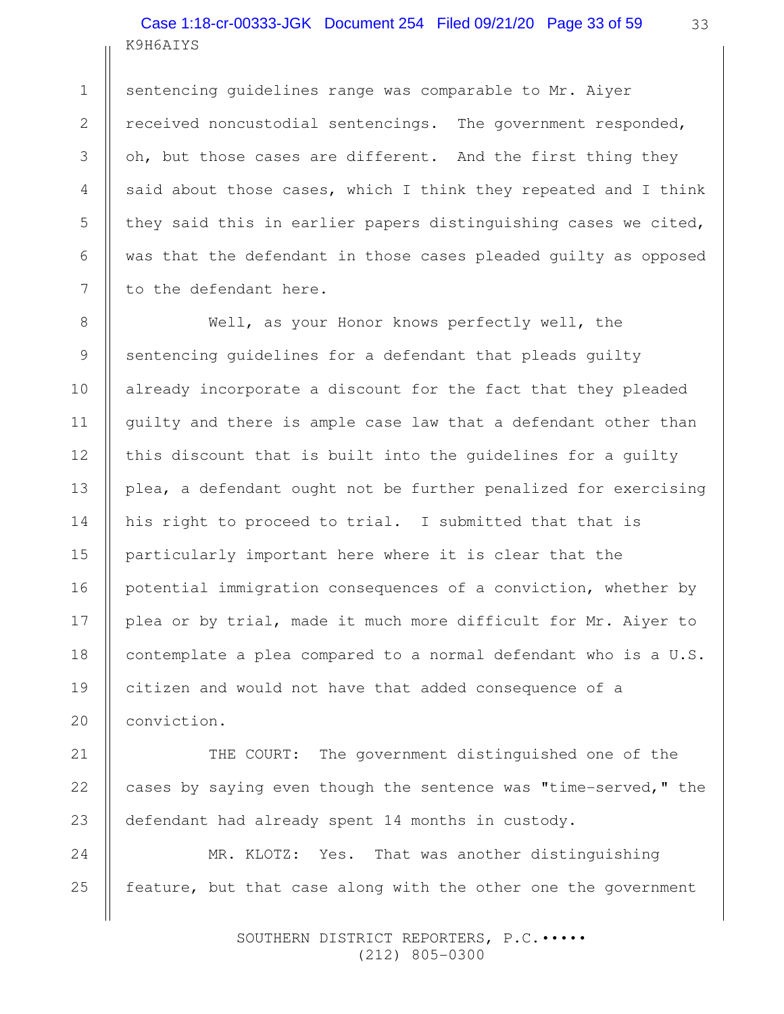K9H6AIYS Case 1:18-cr-00333-JGK Document 254 Filed 09/21/20 Page 33 of 59

1

2

3

4

5

6

7

8

9

10

11

12

13

14

15

16

17

18

19

20

21

22

23

sentencing guidelines range was comparable to Mr. Aiyer received noncustodial sentencings. The government responded, oh, but those cases are different. And the first thing they said about those cases, which I think they repeated and I think they said this in earlier papers distinguishing cases we cited, was that the defendant in those cases pleaded guilty as opposed to the defendant here.

Well, as your Honor knows perfectly well, the sentencing guidelines for a defendant that pleads guilty already incorporate a discount for the fact that they pleaded guilty and there is ample case law that a defendant other than this discount that is built into the guidelines for a guilty plea, a defendant ought not be further penalized for exercising his right to proceed to trial. I submitted that that is particularly important here where it is clear that the potential immigration consequences of a conviction, whether by plea or by trial, made it much more difficult for Mr. Aiyer to contemplate a plea compared to a normal defendant who is a U.S. citizen and would not have that added consequence of a conviction.

THE COURT: The government distinguished one of the cases by saying even though the sentence was "time-served," the defendant had already spent 14 months in custody.

MR. KLOTZ: Yes. That was another distinguishing feature, but that case along with the other one the government 24 25

> SOUTHERN DISTRICT REPORTERS, P.C.••••• (212) 805-0300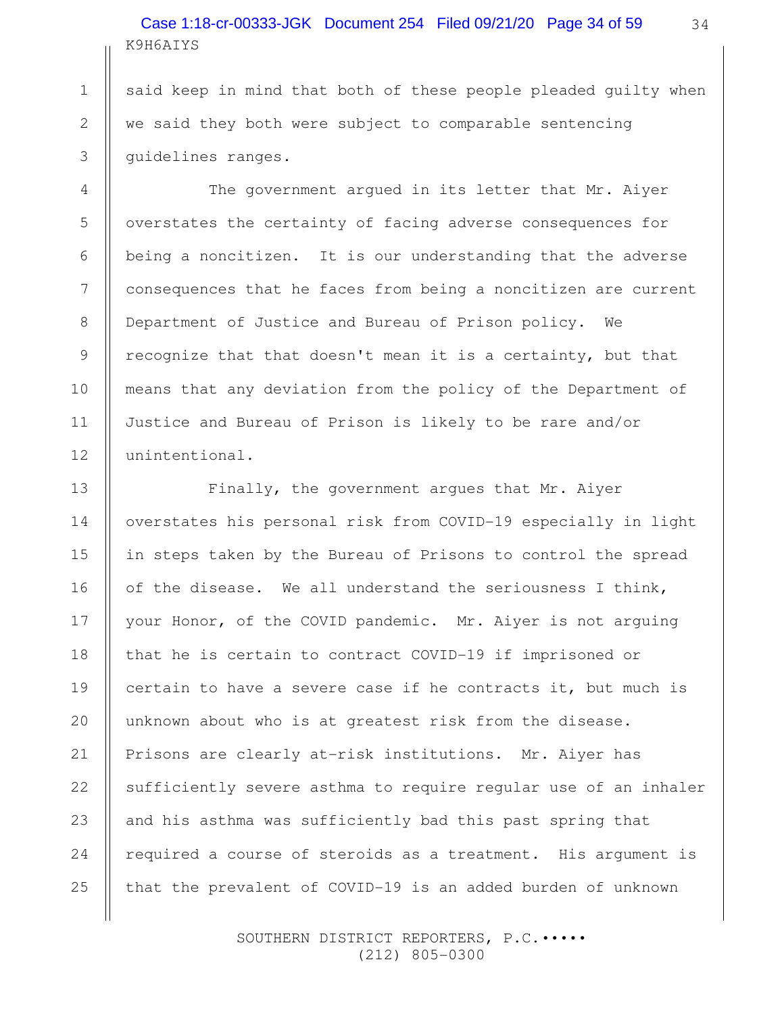# K9H6AIYS Case 1:18-cr-00333-JGK Document 254 Filed 09/21/20 Page 34 of 59

said keep in mind that both of these people pleaded guilty when we said they both were subject to comparable sentencing guidelines ranges.

1

2

3

4

5

6

7

8

9

10

11

12

13

14

15

16

17

18

19

20

21

22

23

24

25

The government argued in its letter that Mr. Aiyer overstates the certainty of facing adverse consequences for being a noncitizen. It is our understanding that the adverse consequences that he faces from being a noncitizen are current Department of Justice and Bureau of Prison policy. We recognize that that doesn't mean it is a certainty, but that means that any deviation from the policy of the Department of Justice and Bureau of Prison is likely to be rare and/or unintentional.

Finally, the government argues that Mr. Aiyer overstates his personal risk from COVID-19 especially in light in steps taken by the Bureau of Prisons to control the spread of the disease. We all understand the seriousness I think, your Honor, of the COVID pandemic. Mr. Aiyer is not arguing that he is certain to contract COVID-19 if imprisoned or certain to have a severe case if he contracts it, but much is unknown about who is at greatest risk from the disease. Prisons are clearly at-risk institutions. Mr. Aiyer has sufficiently severe asthma to require regular use of an inhaler and his asthma was sufficiently bad this past spring that required a course of steroids as a treatment. His argument is that the prevalent of COVID-19 is an added burden of unknown

> SOUTHERN DISTRICT REPORTERS, P.C.••••• (212) 805-0300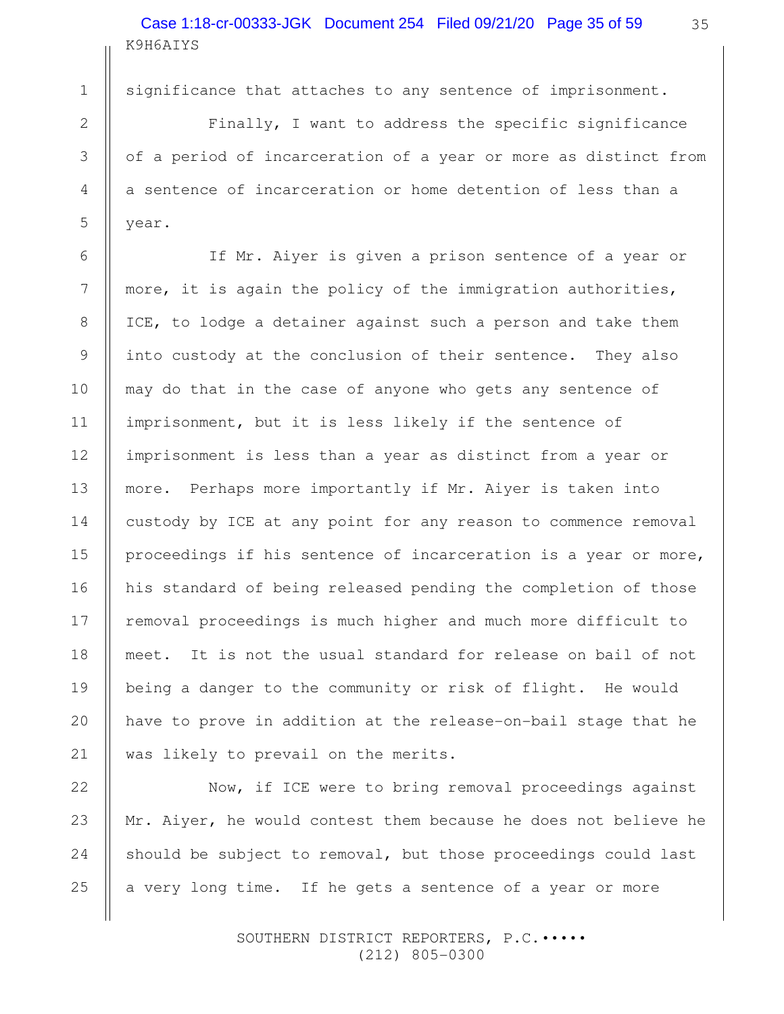K9H6AIYS Case 1:18-cr-00333-JGK Document 254 Filed 09/21/20 Page 35 of 59

2

1

3

4

5

6

7

8

9

10

11

12

13

14

15

16

17

18

19

20

21

significance that attaches to any sentence of imprisonment.

Finally, I want to address the specific significance of a period of incarceration of a year or more as distinct from a sentence of incarceration or home detention of less than a year.

If Mr. Aiyer is given a prison sentence of a year or more, it is again the policy of the immigration authorities, ICE, to lodge a detainer against such a person and take them into custody at the conclusion of their sentence. They also may do that in the case of anyone who gets any sentence of imprisonment, but it is less likely if the sentence of imprisonment is less than a year as distinct from a year or more. Perhaps more importantly if Mr. Aiyer is taken into custody by ICE at any point for any reason to commence removal proceedings if his sentence of incarceration is a year or more, his standard of being released pending the completion of those removal proceedings is much higher and much more difficult to meet. It is not the usual standard for release on bail of not being a danger to the community or risk of flight. He would have to prove in addition at the release-on-bail stage that he was likely to prevail on the merits.

Now, if ICE were to bring removal proceedings against Mr. Aiyer, he would contest them because he does not believe he should be subject to removal, but those proceedings could last a very long time. If he gets a sentence of a year or more 22 23 24 25

> SOUTHERN DISTRICT REPORTERS, P.C.••••• (212) 805-0300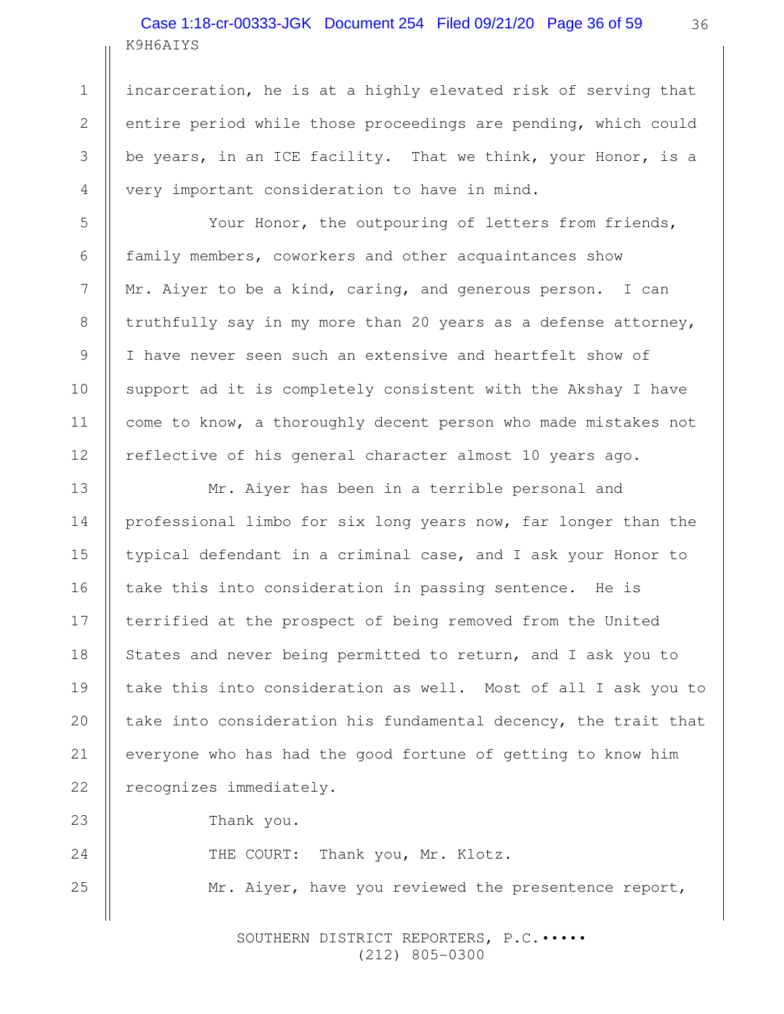# K9H6AIYS Case 1:18-cr-00333-JGK Document 254 Filed 09/21/20 Page 36 of 59

1

2

3

4

5

6

7

8

9

10

11

12

13

14

15

16

17

18

19

20

21

22

23

24

25

incarceration, he is at a highly elevated risk of serving that entire period while those proceedings are pending, which could be years, in an ICE facility. That we think, your Honor, is a very important consideration to have in mind.

Your Honor, the outpouring of letters from friends, family members, coworkers and other acquaintances show Mr. Aiyer to be a kind, caring, and generous person. I can truthfully say in my more than 20 years as a defense attorney, I have never seen such an extensive and heartfelt show of support ad it is completely consistent with the Akshay I have come to know, a thoroughly decent person who made mistakes not reflective of his general character almost 10 years ago.

Mr. Aiyer has been in a terrible personal and professional limbo for six long years now, far longer than the typical defendant in a criminal case, and I ask your Honor to take this into consideration in passing sentence. He is terrified at the prospect of being removed from the United States and never being permitted to return, and I ask you to take this into consideration as well. Most of all I ask you to take into consideration his fundamental decency, the trait that everyone who has had the good fortune of getting to know him recognizes immediately.

Thank you.

THE COURT: Thank you, Mr. Klotz.

Mr. Aiyer, have you reviewed the presentence report,

SOUTHERN DISTRICT REPORTERS, P.C. .... (212) 805-0300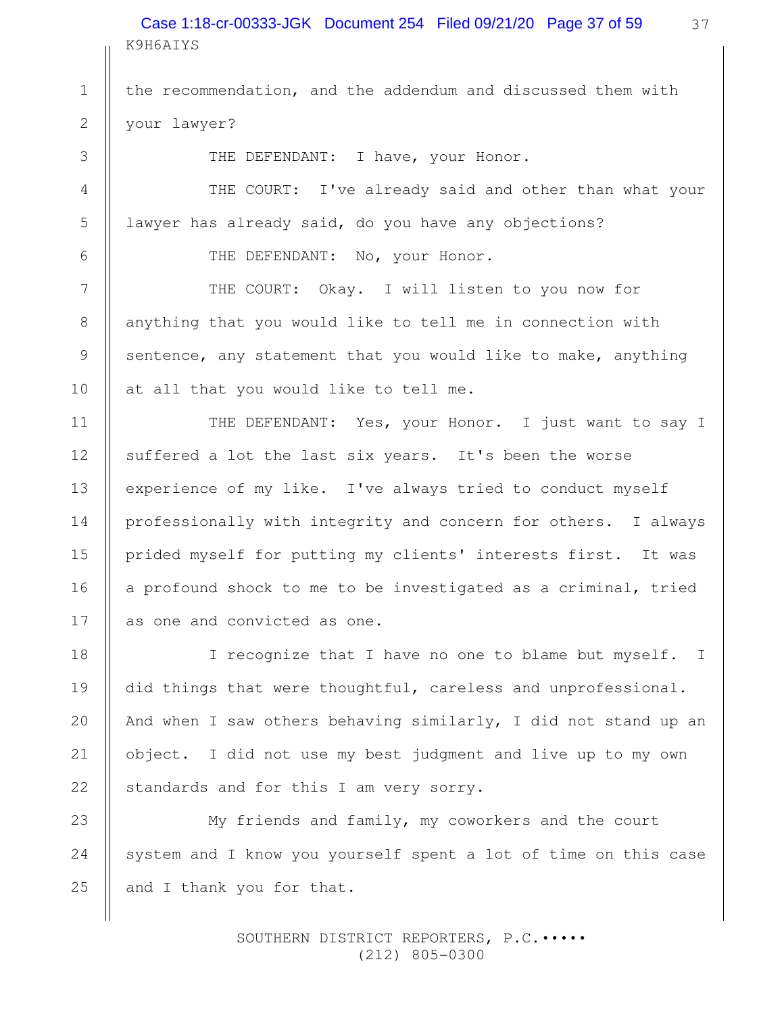### K9H6AIYS Case 1:18-cr-00333-JGK Document 254 Filed 09/21/20 Page 37 of 59

the recommendation, and the addendum and discussed them with your lawyer?

THE DEFENDANT: I have, your Honor.

THE COURT: I've already said and other than what your lawyer has already said, do you have any objections?

THE DEFENDANT: No, your Honor.

THE COURT: Okay. I will listen to you now for anything that you would like to tell me in connection with sentence, any statement that you would like to make, anything at all that you would like to tell me.

THE DEFENDANT: Yes, your Honor. I just want to say I suffered a lot the last six years. It's been the worse experience of my like. I've always tried to conduct myself professionally with integrity and concern for others. I always prided myself for putting my clients' interests first. It was a profound shock to me to be investigated as a criminal, tried as one and convicted as one.

I recognize that I have no one to blame but myself. I did things that were thoughtful, careless and unprofessional. And when I saw others behaving similarly, I did not stand up an object. I did not use my best judgment and live up to my own standards and for this I am very sorry.

My friends and family, my coworkers and the court system and I know you yourself spent a lot of time on this case and I thank you for that. 24 25

> SOUTHERN DISTRICT REPORTERS, P.C. .... (212) 805-0300

1

2

3

4

5

6

7

8

9

10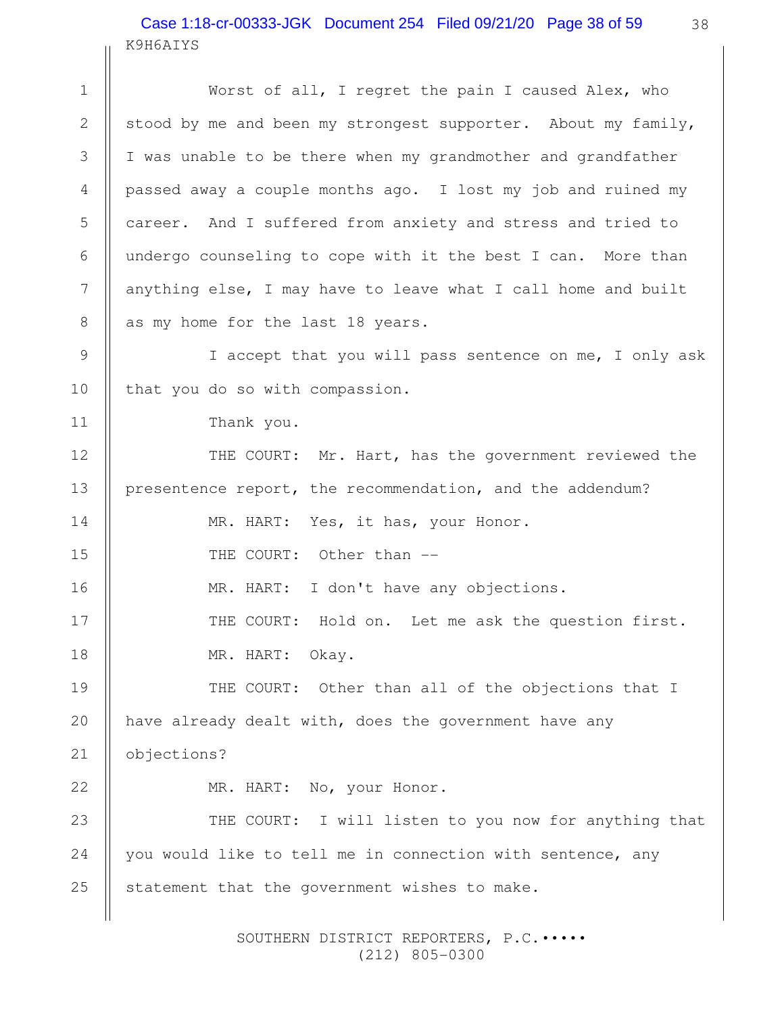### K9H6AIYS Case 1:18-cr-00333-JGK Document 254 Filed 09/21/20 Page 38 of 59

Worst of all, I regret the pain I caused Alex, who stood by me and been my strongest supporter. About my family, I was unable to be there when my grandmother and grandfather passed away a couple months ago. I lost my job and ruined my career. And I suffered from anxiety and stress and tried to undergo counseling to cope with it the best I can. More than anything else, I may have to leave what I call home and built as my home for the last 18 years. I accept that you will pass sentence on me, I only ask that you do so with compassion. Thank you. THE COURT: Mr. Hart, has the government reviewed the presentence report, the recommendation, and the addendum? MR. HART: Yes, it has, your Honor. THE COURT: Other than --MR. HART: I don't have any objections. THE COURT: Hold on. Let me ask the question first. MR. HART: Okay. THE COURT: Other than all of the objections that I have already dealt with, does the government have any objections? MR. HART: No, your Honor. THE COURT: I will listen to you now for anything that you would like to tell me in connection with sentence, any statement that the government wishes to make. 1 2 3 4 5 6 7 8 9 10 11 12 13 14 15 16 17 18 19 20 21 22 23 24 25

> SOUTHERN DISTRICT REPORTERS, P.C.••••• (212) 805-0300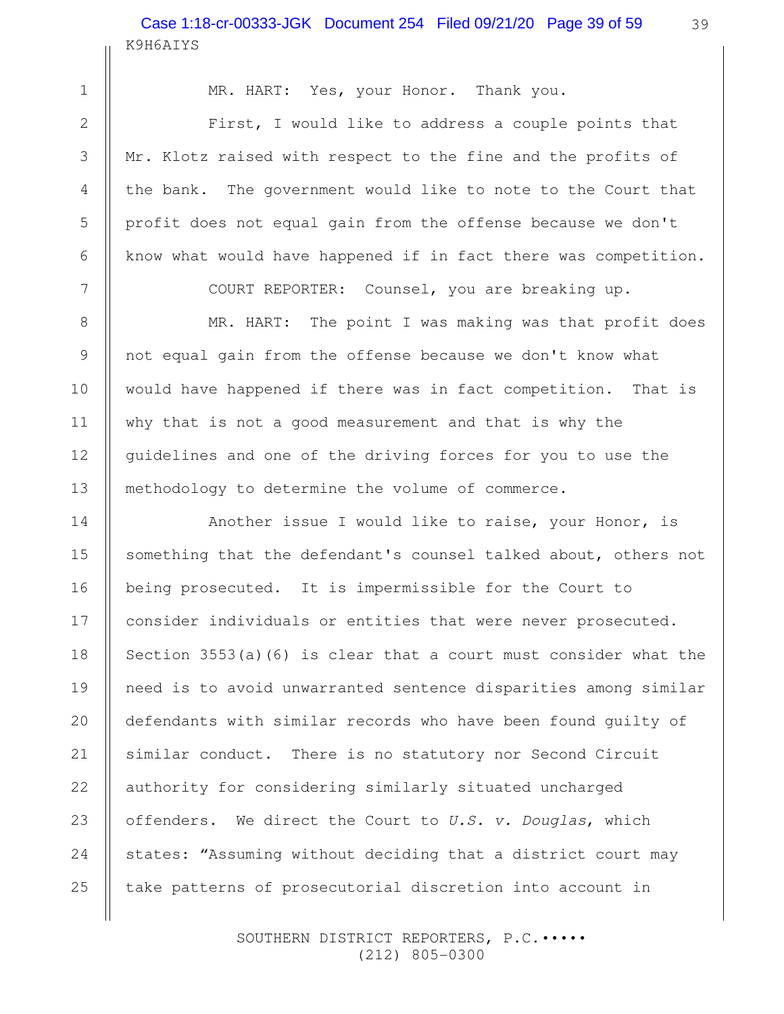# K9H6AIYS Case 1:18-cr-00333-JGK Document 254 Filed 09/21/20 Page 39 of 59

15

16

17

18

19

20

21

22

23

24

25

MR. HART: Yes, your Honor. Thank you.

First, I would like to address a couple points that Mr. Klotz raised with respect to the fine and the profits of the bank. The government would like to note to the Court that profit does not equal gain from the offense because we don't know what would have happened if in fact there was competition.

COURT REPORTER: Counsel, you are breaking up.

MR. HART: The point I was making was that profit does not equal gain from the offense because we don't know what would have happened if there was in fact competition. That is why that is not a good measurement and that is why the guidelines and one of the driving forces for you to use the methodology to determine the volume of commerce.

Another issue I would like to raise, your Honor, is something that the defendant's counsel talked about, others not being prosecuted. It is impermissible for the Court to consider individuals or entities that were never prosecuted. Section 3553(a)(6) is clear that a court must consider what the need is to avoid unwarranted sentence disparities among similar defendants with similar records who have been found guilty of similar conduct. There is no statutory nor Second Circuit authority for considering similarly situated uncharged offenders. We direct the Court to U.S. v. Douglas, which states: "Assuming without deciding that a district court may take patterns of prosecutorial discretion into account in

> SOUTHERN DISTRICT REPORTERS, P.C.••••• (212) 805-0300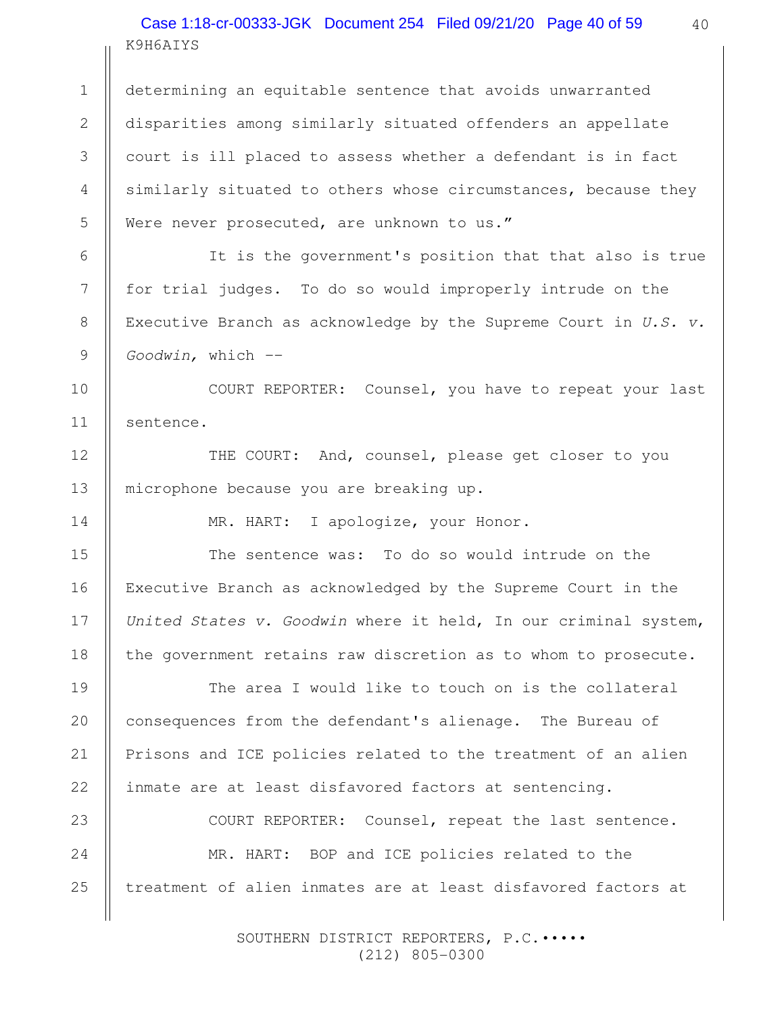# K9H6AIYS Case 1:18-cr-00333-JGK Document 254 Filed 09/21/20 Page 40 of 59

determining an equitable sentence that avoids unwarranted disparities among similarly situated offenders an appellate court is ill placed to assess whether a defendant is in fact similarly situated to others whose circumstances, because they Were never prosecuted, are unknown to us." 1 2 3 4 5

6

7

8

9

12

13

14

15

16

17

18

19

20

21

22

It is the government's position that that also is true for trial judges. To do so would improperly intrude on the Executive Branch as acknowledge by the Supreme Court in  $U.S.$   $V.$ Goodwin, which --

COURT REPORTER: Counsel, you have to repeat your last sentence. 10 11

THE COURT: And, counsel, please get closer to you microphone because you are breaking up.

MR. HART: I apologize, your Honor.

The sentence was: To do so would intrude on the Executive Branch as acknowledged by the Supreme Court in the United States v. Goodwin where it held, In our criminal system, the government retains raw discretion as to whom to prosecute.

The area I would like to touch on is the collateral consequences from the defendant's alienage. The Bureau of Prisons and ICE policies related to the treatment of an alien inmate are at least disfavored factors at sentencing.

COURT REPORTER: Counsel, repeat the last sentence. MR. HART: BOP and ICE policies related to the treatment of alien inmates are at least disfavored factors at 23 24 25

> SOUTHERN DISTRICT REPORTERS, P.C.••••• (212) 805-0300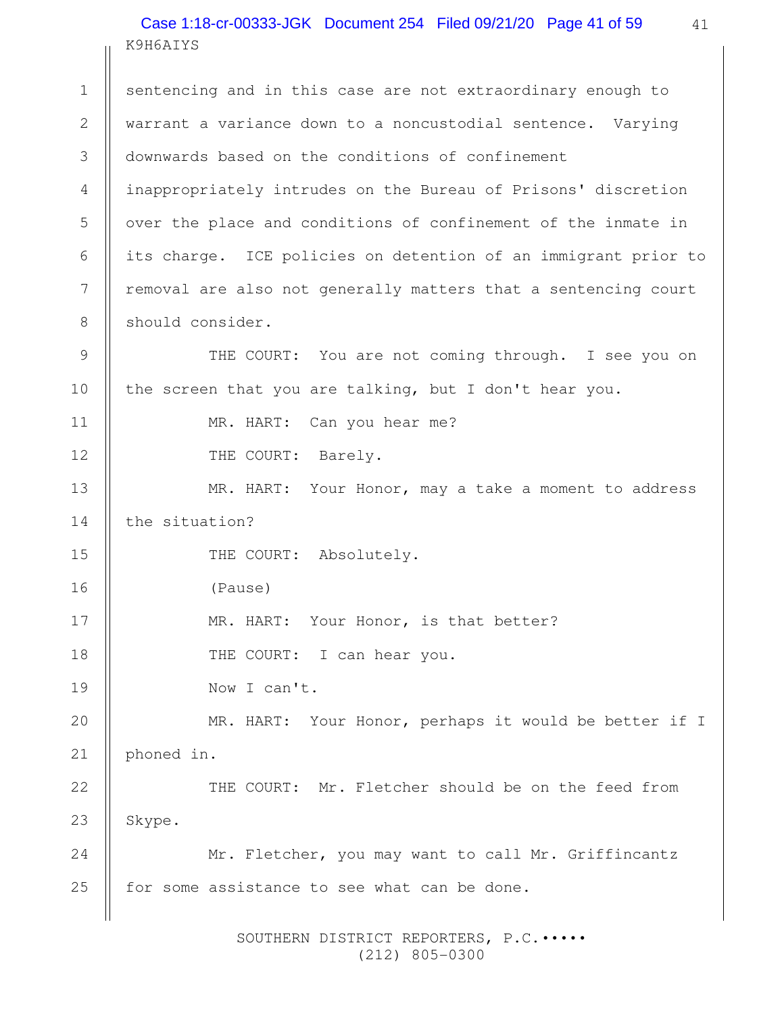K9H6AIYS Case 1:18-cr-00333-JGK Document 254 Filed 09/21/20 Page 41 of 59

sentencing and in this case are not extraordinary enough to warrant a variance down to a noncustodial sentence. Varying downwards based on the conditions of confinement inappropriately intrudes on the Bureau of Prisons' discretion over the place and conditions of confinement of the inmate in its charge. ICE policies on detention of an immigrant prior to removal are also not generally matters that a sentencing court should consider. THE COURT: You are not coming through. I see you on the screen that you are talking, but I don't hear you. MR. HART: Can you hear me? THE COURT: Barely. MR. HART: Your Honor, may a take a moment to address the situation? THE COURT: Absolutely. (Pause) MR. HART: Your Honor, is that better? THE COURT: I can hear you. Now I can't. MR. HART: Your Honor, perhaps it would be better if I phoned in. THE COURT: Mr. Fletcher should be on the feed from Skype. Mr. Fletcher, you may want to call Mr. Griffincantz for some assistance to see what can be done. 1 2 3 4 5 6 7 8 9 10 11 12 13 14 15 16 17 18 19 20 21 22 23 24 25

> SOUTHERN DISTRICT REPORTERS, P.C.••••• (212) 805-0300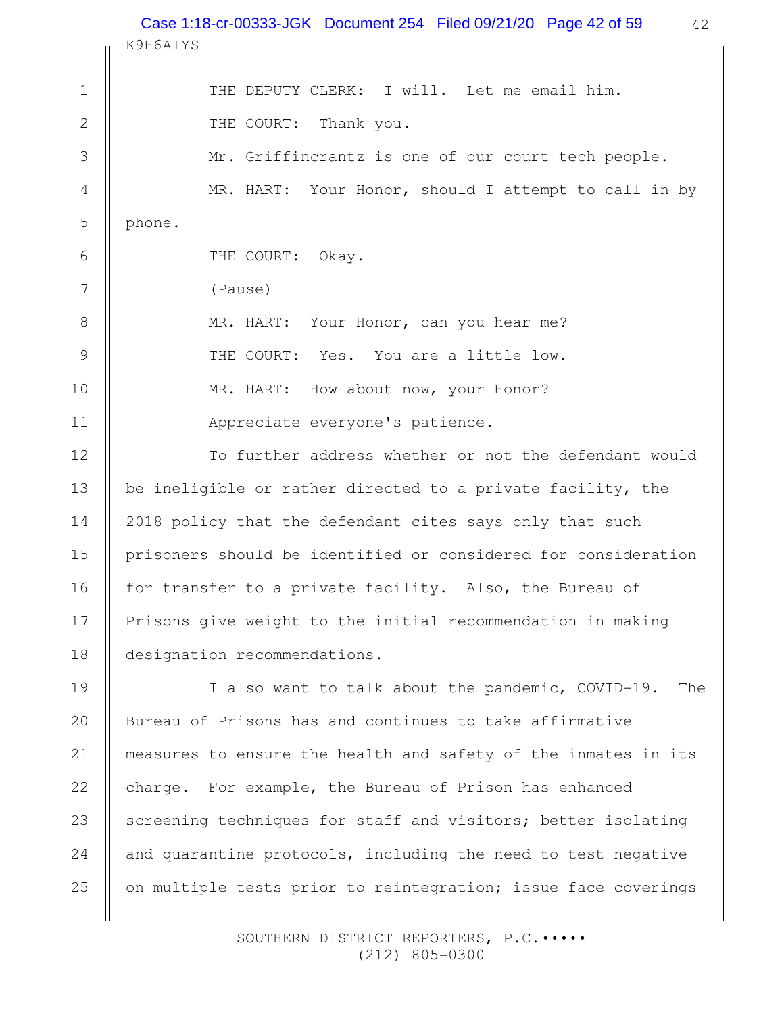42 K9H6AIYS THE DEPUTY CLERK: I will. Let me email him. THE COURT: Thank you. Mr. Griffincrantz is one of our court tech people. MR. HART: Your Honor, should I attempt to call in by phone. THE COURT: Okay. (Pause) MR. HART: Your Honor, can you hear me? THE COURT: Yes. You are a little low. MR. HART: How about now, your Honor? Appreciate everyone's patience. To further address whether or not the defendant would be ineligible or rather directed to a private facility, the 2018 policy that the defendant cites says only that such prisoners should be identified or considered for consideration for transfer to a private facility. Also, the Bureau of Prisons give weight to the initial recommendation in making designation recommendations. I also want to talk about the pandemic, COVID-19. The Bureau of Prisons has and continues to take affirmative measures to ensure the health and safety of the inmates in its charge. For example, the Bureau of Prison has enhanced screening techniques for staff and visitors; better isolating and quarantine protocols, including the need to test negative on multiple tests prior to reintegration; issue face coverings 1 2 3 4 5 6 7 8 9 10 11 12 13 14 15 16 17 18 19 20 21 22 23 24 25 Case 1:18-cr-00333-JGK Document 254 Filed 09/21/20 Page 42 of 59

> SOUTHERN DISTRICT REPORTERS, P.C.••••• (212) 805-0300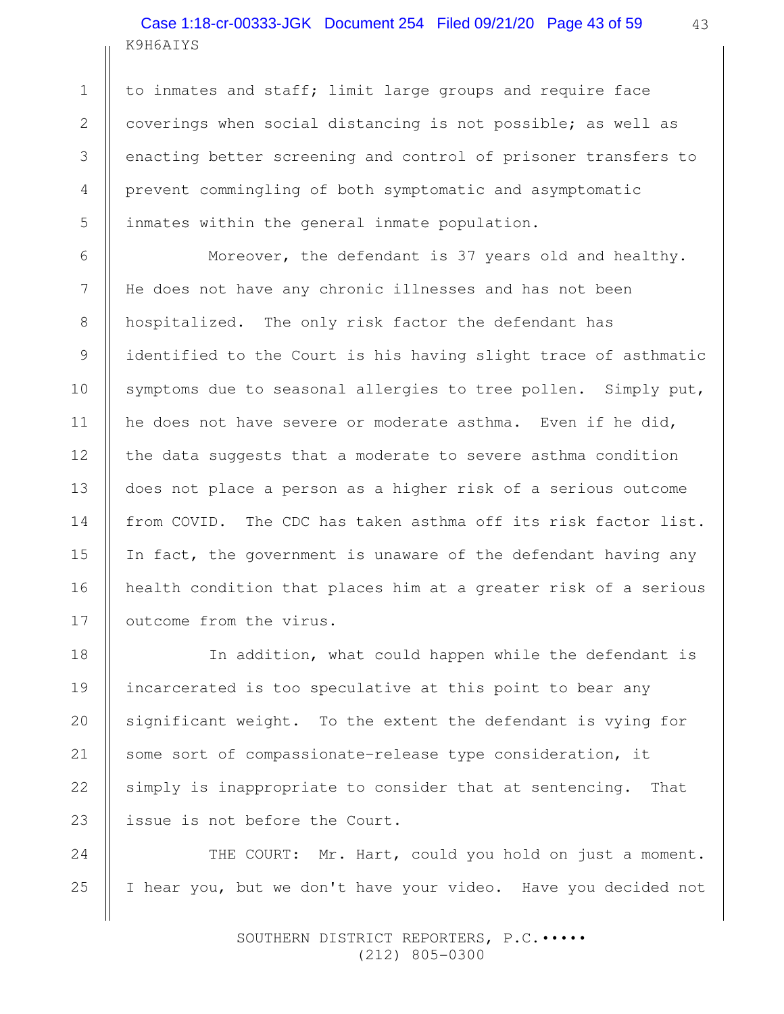# K9H6AIYS Case 1:18-cr-00333-JGK Document 254 Filed 09/21/20 Page 43 of 59

1

2

3

4

5

6

7

8

9

10

11

12

13

14

15

16

17

to inmates and staff; limit large groups and require face coverings when social distancing is not possible; as well as enacting better screening and control of prisoner transfers to prevent commingling of both symptomatic and asymptomatic inmates within the general inmate population.

Moreover, the defendant is 37 years old and healthy. He does not have any chronic illnesses and has not been hospitalized. The only risk factor the defendant has identified to the Court is his having slight trace of asthmatic symptoms due to seasonal allergies to tree pollen. Simply put, he does not have severe or moderate asthma. Even if he did, the data suggests that a moderate to severe asthma condition does not place a person as a higher risk of a serious outcome from COVID. The CDC has taken asthma off its risk factor list. In fact, the government is unaware of the defendant having any health condition that places him at a greater risk of a serious outcome from the virus.

In addition, what could happen while the defendant is incarcerated is too speculative at this point to bear any significant weight. To the extent the defendant is vying for some sort of compassionate-release type consideration, it simply is inappropriate to consider that at sentencing. That issue is not before the Court. 18 19 20 21 22 23

THE COURT: Mr. Hart, could you hold on just a moment. I hear you, but we don't have your video. Have you decided not 24 25

> SOUTHERN DISTRICT REPORTERS, P.C.••••• (212) 805-0300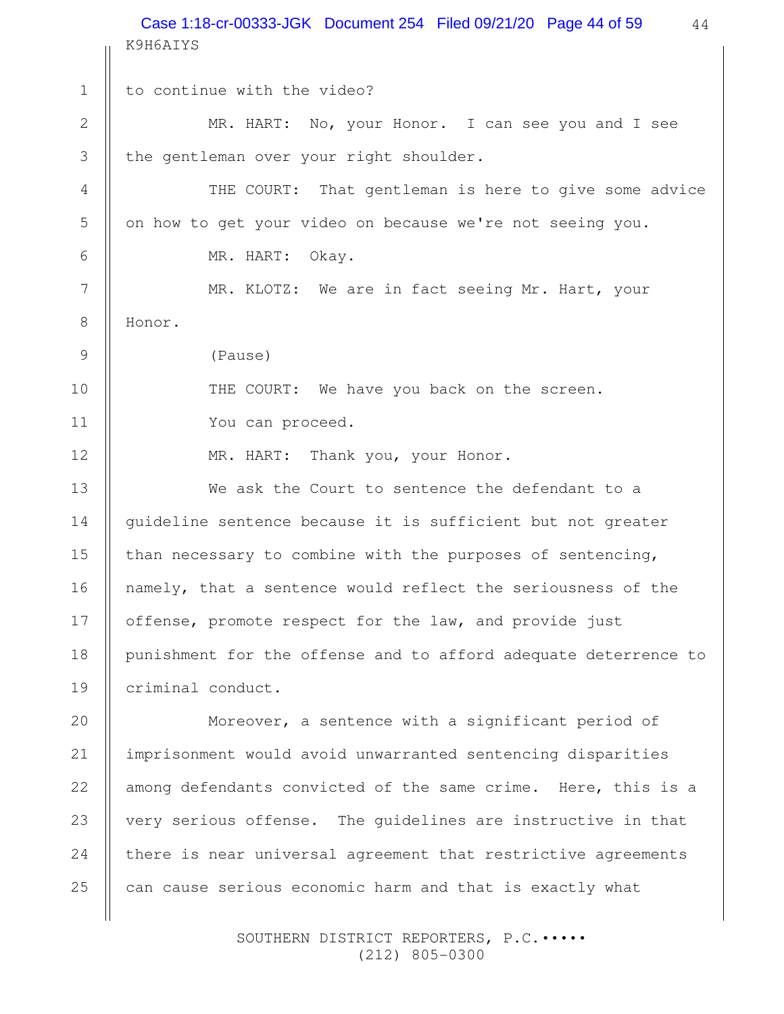44 K9H6AIYS to continue with the video? MR. HART: No, your Honor. I can see you and I see the gentleman over your right shoulder. THE COURT: That gentleman is here to give some advice on how to get your video on because we're not seeing you. MR. HART: Okay. MR. KLOTZ: We are in fact seeing Mr. Hart, your Honor. (Pause) THE COURT: We have you back on the screen. You can proceed. MR. HART: Thank you, your Honor. We ask the Court to sentence the defendant to a guideline sentence because it is sufficient but not greater than necessary to combine with the purposes of sentencing, namely, that a sentence would reflect the seriousness of the offense, promote respect for the law, and provide just punishment for the offense and to afford adequate deterrence to criminal conduct. Moreover, a sentence with a significant period of imprisonment would avoid unwarranted sentencing disparities among defendants convicted of the same crime. Here, this is a very serious offense. The guidelines are instructive in that there is near universal agreement that restrictive agreements 1 2 3 4 5 6 7 8 9 10 11 12 13 14 15 16 17 18 19 20 21 22 23 24 Case 1:18-cr-00333-JGK Document 254 Filed 09/21/20 Page 44 of 59

> SOUTHERN DISTRICT REPORTERS, P.C.••••• (212) 805-0300

can cause serious economic harm and that is exactly what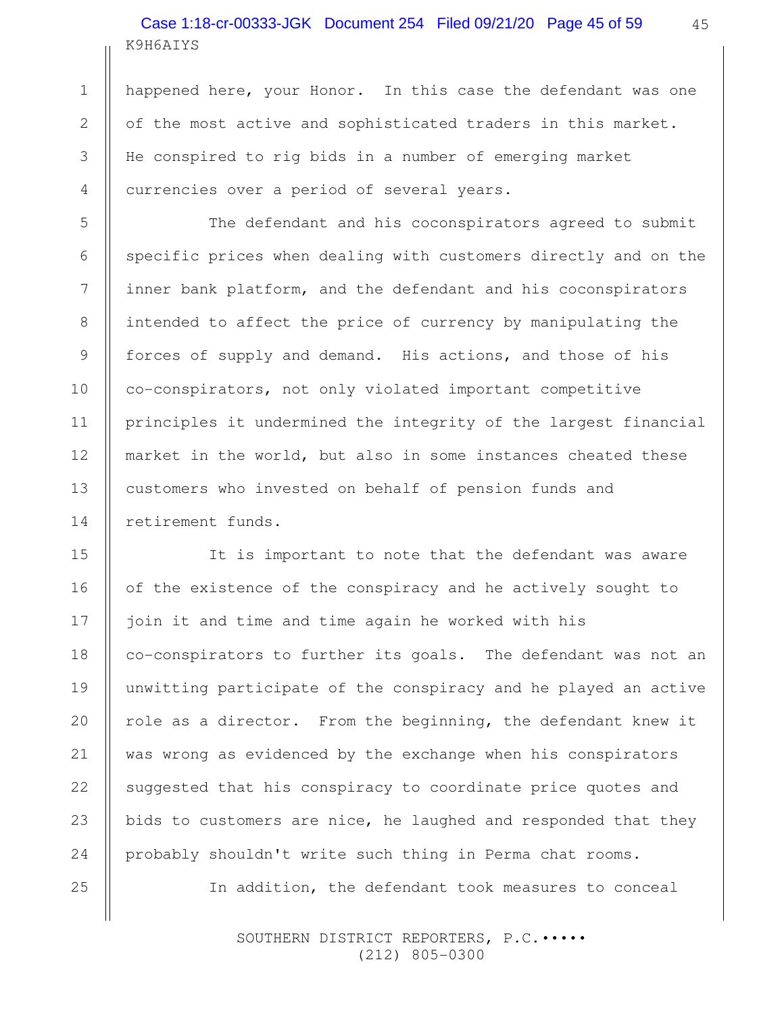# K9H6AIYS Case 1:18-cr-00333-JGK Document 254 Filed 09/21/20 Page 45 of 59

happened here, your Honor. In this case the defendant was one of the most active and sophisticated traders in this market. He conspired to rig bids in a number of emerging market currencies over a period of several years.

The defendant and his coconspirators agreed to submit specific prices when dealing with customers directly and on the inner bank platform, and the defendant and his coconspirators intended to affect the price of currency by manipulating the forces of supply and demand. His actions, and those of his co-conspirators, not only violated important competitive principles it undermined the integrity of the largest financial market in the world, but also in some instances cheated these customers who invested on behalf of pension funds and retirement funds.

It is important to note that the defendant was aware of the existence of the conspiracy and he actively sought to join it and time and time again he worked with his co-conspirators to further its goals. The defendant was not an unwitting participate of the conspiracy and he played an active role as a director. From the beginning, the defendant knew it was wrong as evidenced by the exchange when his conspirators suggested that his conspiracy to coordinate price quotes and bids to customers are nice, he laughed and responded that they probably shouldn't write such thing in Perma chat rooms. 15 16 17 18 19 20 21 22 23 24

In addition, the defendant took measures to conceal

 SOUTHERN DISTRICT REPORTERS, P.C.••••• (212) 805-0300

1

2

3

4

5

6

7

8

9

10

11

12

13

14

25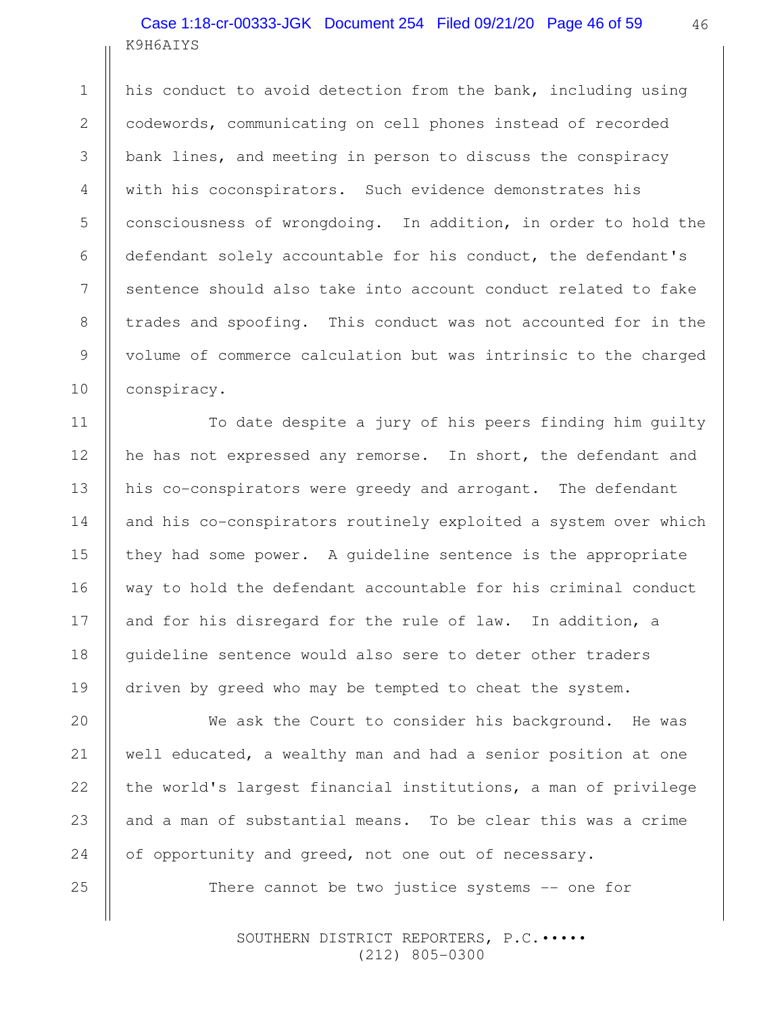# K9H6AIYS Case 1:18-cr-00333-JGK Document 254 Filed 09/21/20 Page 46 of 59

his conduct to avoid detection from the bank, including using codewords, communicating on cell phones instead of recorded bank lines, and meeting in person to discuss the conspiracy with his coconspirators. Such evidence demonstrates his consciousness of wrongdoing. In addition, in order to hold the defendant solely accountable for his conduct, the defendant's sentence should also take into account conduct related to fake trades and spoofing. This conduct was not accounted for in the volume of commerce calculation but was intrinsic to the charged conspiracy.

To date despite a jury of his peers finding him guilty he has not expressed any remorse. In short, the defendant and his co-conspirators were greedy and arrogant. The defendant and his co-conspirators routinely exploited a system over which they had some power. A guideline sentence is the appropriate way to hold the defendant accountable for his criminal conduct and for his disregard for the rule of law. In addition, a guideline sentence would also sere to deter other traders driven by greed who may be tempted to cheat the system.

We ask the Court to consider his background. He was well educated, a wealthy man and had a senior position at one the world's largest financial institutions, a man of privilege and a man of substantial means. To be clear this was a crime of opportunity and greed, not one out of necessary.

There cannot be two justice systems -- one for

 SOUTHERN DISTRICT REPORTERS, P.C.••••• (212) 805-0300

1

2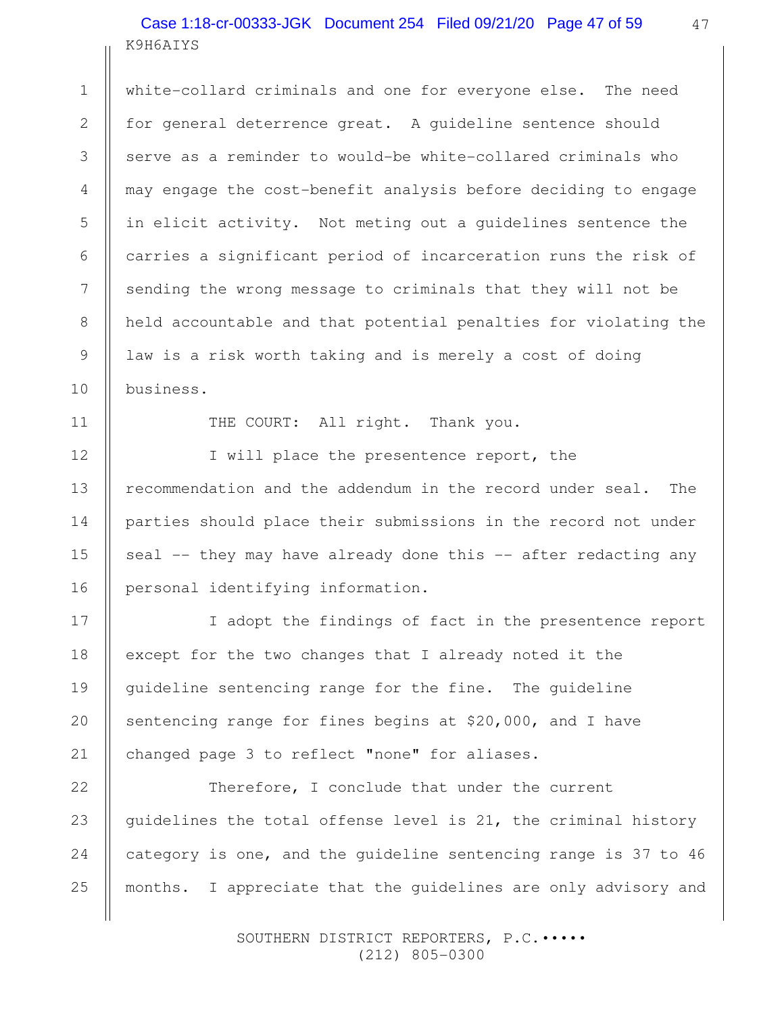## K9H6AIYS Case 1:18-cr-00333-JGK Document 254 Filed 09/21/20 Page 47 of 59

white-collard criminals and one for everyone else. The need for general deterrence great. A guideline sentence should serve as a reminder to would-be white-collared criminals who may engage the cost-benefit analysis before deciding to engage in elicit activity. Not meting out a guidelines sentence the carries a significant period of incarceration runs the risk of sending the wrong message to criminals that they will not be held accountable and that potential penalties for violating the law is a risk worth taking and is merely a cost of doing business.

11

1

2

3

4

5

6

7

8

9

10

12

13

14

15

16

17

18

19

20

21

THE COURT: All right. Thank you.

I will place the presentence report, the recommendation and the addendum in the record under seal. The parties should place their submissions in the record not under seal -- they may have already done this -- after redacting any personal identifying information.

I adopt the findings of fact in the presentence report except for the two changes that I already noted it the guideline sentencing range for the fine. The guideline sentencing range for fines begins at \$20,000, and I have changed page 3 to reflect "none" for aliases.

Therefore, I conclude that under the current guidelines the total offense level is 21, the criminal history category is one, and the guideline sentencing range is 37 to 46 months. I appreciate that the guidelines are only advisory and 22 23 24 25

> SOUTHERN DISTRICT REPORTERS, P.C.••••• (212) 805-0300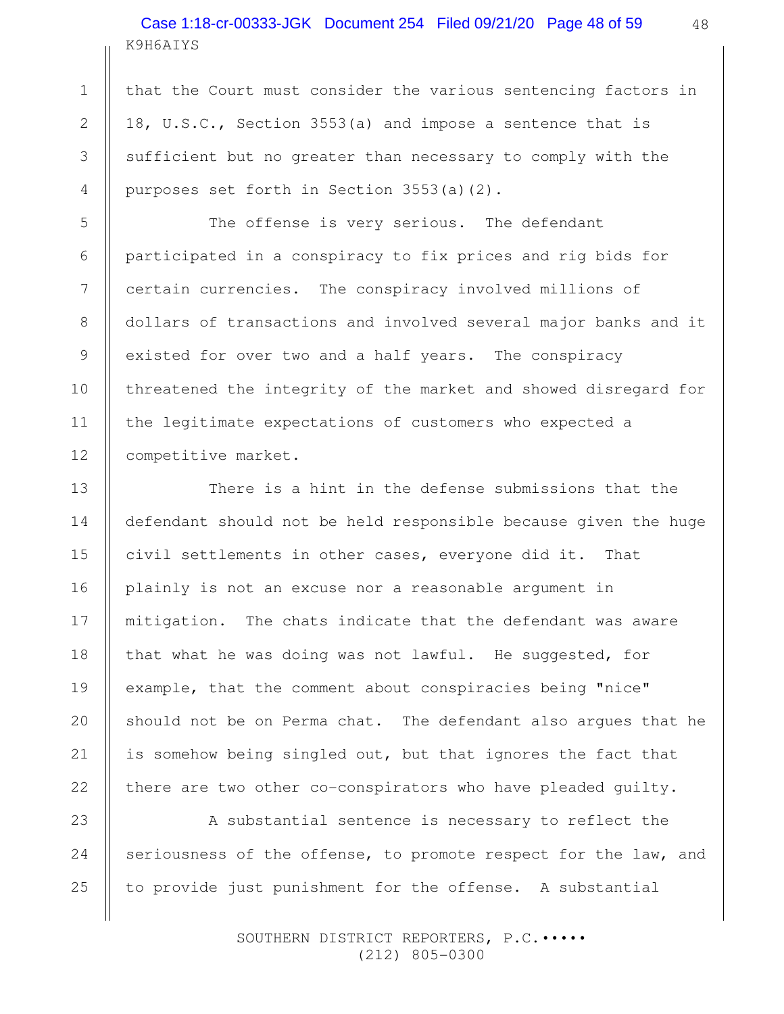# K9H6AIYS Case 1:18-cr-00333-JGK Document 254 Filed 09/21/20 Page 48 of 59

that the Court must consider the various sentencing factors in 18, U.S.C., Section 3553(a) and impose a sentence that is sufficient but no greater than necessary to comply with the purposes set forth in Section 3553(a)(2).

The offense is very serious. The defendant participated in a conspiracy to fix prices and rig bids for certain currencies. The conspiracy involved millions of dollars of transactions and involved several major banks and it existed for over two and a half years. The conspiracy threatened the integrity of the market and showed disregard for the legitimate expectations of customers who expected a competitive market.

There is a hint in the defense submissions that the defendant should not be held responsible because given the huge civil settlements in other cases, everyone did it. That plainly is not an excuse nor a reasonable argument in mitigation. The chats indicate that the defendant was aware that what he was doing was not lawful. He suggested, for example, that the comment about conspiracies being "nice" should not be on Perma chat. The defendant also argues that he is somehow being singled out, but that ignores the fact that there are two other co-conspirators who have pleaded guilty.

A substantial sentence is necessary to reflect the seriousness of the offense, to promote respect for the law, and to provide just punishment for the offense. A substantial

> SOUTHERN DISTRICT REPORTERS, P.C.••••• (212) 805-0300

1

2

3

4

5

6

8

9

10

11

12

13

14

15

16

18

20

21

22

24

25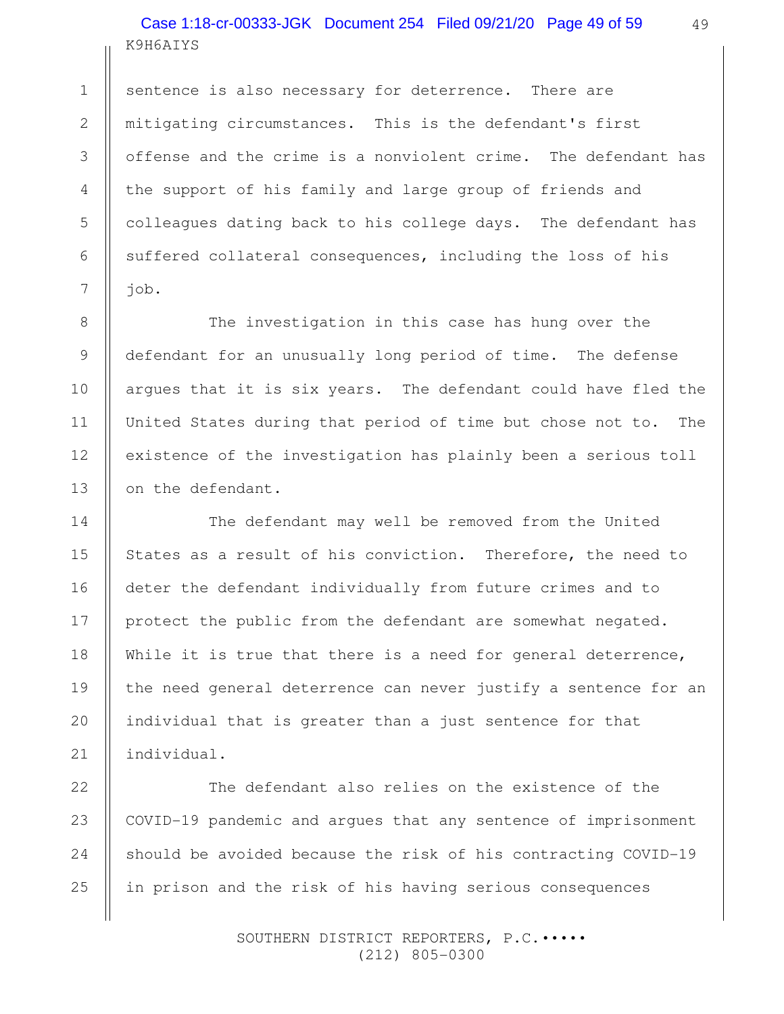# K9H6AIYS Case 1:18-cr-00333-JGK Document 254 Filed 09/21/20 Page 49 of 59

sentence is also necessary for deterrence. There are mitigating circumstances. This is the defendant's first offense and the crime is a nonviolent crime. The defendant has the support of his family and large group of friends and colleagues dating back to his college days. The defendant has suffered collateral consequences, including the loss of his job.

The investigation in this case has hung over the defendant for an unusually long period of time. The defense argues that it is six years. The defendant could have fled the United States during that period of time but chose not to. The existence of the investigation has plainly been a serious toll on the defendant.

The defendant may well be removed from the United States as a result of his conviction. Therefore, the need to deter the defendant individually from future crimes and to protect the public from the defendant are somewhat negated. While it is true that there is a need for general deterrence, the need general deterrence can never justify a sentence for an individual that is greater than a just sentence for that individual.

The defendant also relies on the existence of the COVID-19 pandemic and argues that any sentence of imprisonment should be avoided because the risk of his contracting COVID-19 in prison and the risk of his having serious consequences 22 23 24 25

> SOUTHERN DISTRICT REPORTERS, P.C.••••• (212) 805-0300

1

2

3

4

5

6

7

8

9

10

11

12

13

14

15

16

17

18

19

20

21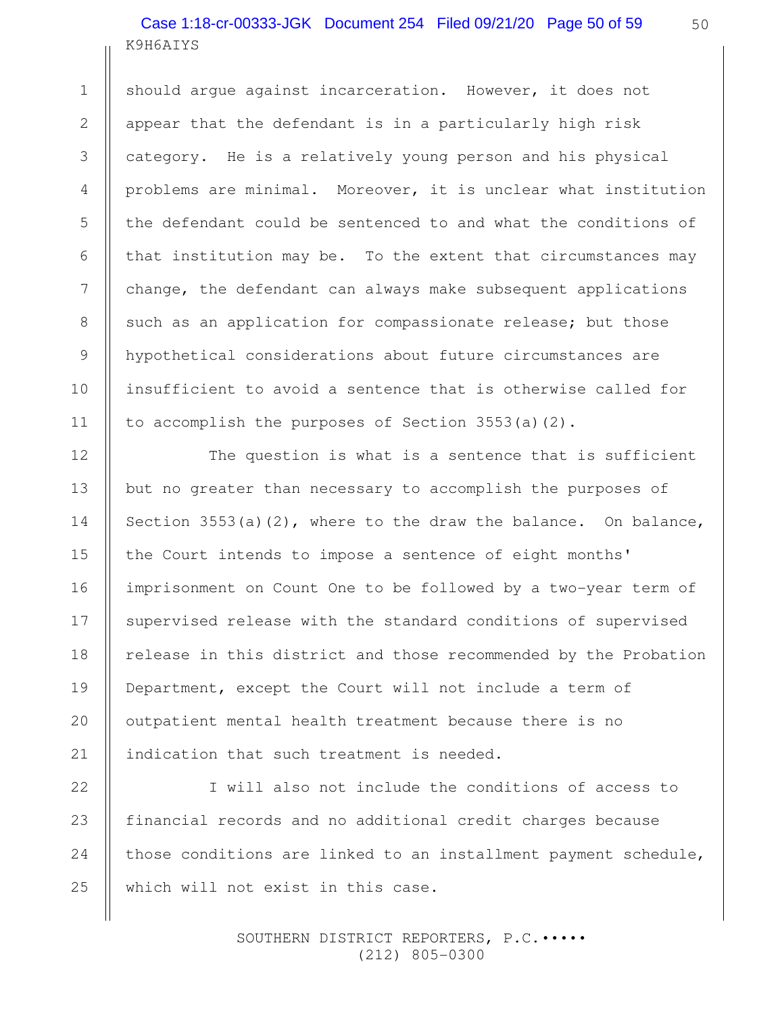# K9H6AIYS Case 1:18-cr-00333-JGK Document 254 Filed 09/21/20 Page 50 of 59

should argue against incarceration. However, it does not appear that the defendant is in a particularly high risk category. He is a relatively young person and his physical problems are minimal. Moreover, it is unclear what institution the defendant could be sentenced to and what the conditions of that institution may be. To the extent that circumstances may change, the defendant can always make subsequent applications such as an application for compassionate release; but those hypothetical considerations about future circumstances are insufficient to avoid a sentence that is otherwise called for to accomplish the purposes of Section 3553(a)(2).

The question is what is a sentence that is sufficient but no greater than necessary to accomplish the purposes of Section 3553(a)(2), where to the draw the balance. On balance, the Court intends to impose a sentence of eight months' imprisonment on Count One to be followed by a two-year term of supervised release with the standard conditions of supervised release in this district and those recommended by the Probation Department, except the Court will not include a term of outpatient mental health treatment because there is no indication that such treatment is needed.

I will also not include the conditions of access to financial records and no additional credit charges because those conditions are linked to an installment payment schedule, which will not exist in this case. 23 24 25

> SOUTHERN DISTRICT REPORTERS, P.C.••••• (212) 805-0300

1

2

3

4

5

6

7

8

9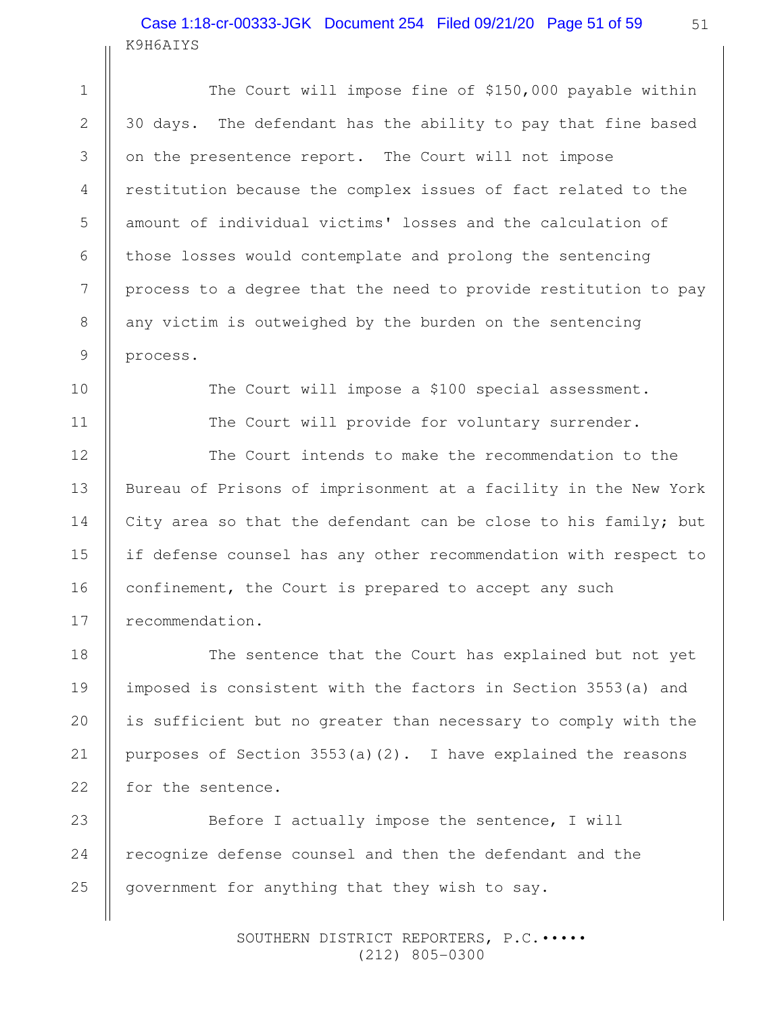# K9H6AIYS Case 1:18-cr-00333-JGK Document 254 Filed 09/21/20 Page 51 of 59

1

2

3

4

5

6

7

8

9

10

11

12

13

14

15

16

17

18

19

20

21

22

The Court will impose fine of \$150,000 payable within 30 days. The defendant has the ability to pay that fine based on the presentence report. The Court will not impose restitution because the complex issues of fact related to the amount of individual victims' losses and the calculation of those losses would contemplate and prolong the sentencing process to a degree that the need to provide restitution to pay any victim is outweighed by the burden on the sentencing process. The Court will impose a \$100 special assessment. The Court will provide for voluntary surrender. The Court intends to make the recommendation to the Bureau of Prisons of imprisonment at a facility in the New York

City area so that the defendant can be close to his family; but if defense counsel has any other recommendation with respect to confinement, the Court is prepared to accept any such recommendation.

The sentence that the Court has explained but not yet imposed is consistent with the factors in Section 3553(a) and is sufficient but no greater than necessary to comply with the purposes of Section 3553(a)(2). I have explained the reasons for the sentence.

Before I actually impose the sentence, I will recognize defense counsel and then the defendant and the government for anything that they wish to say. 23 24 25

> SOUTHERN DISTRICT REPORTERS, P.C.••••• (212) 805-0300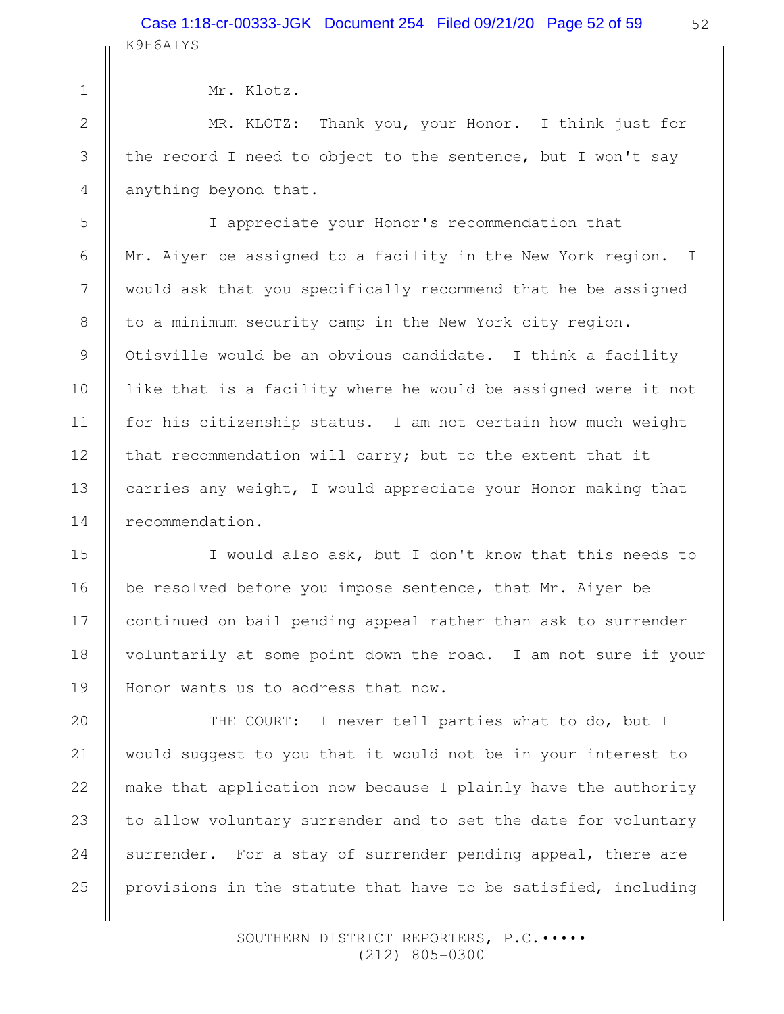| 2 |  |
|---|--|
| ર |  |

1

3

4

5

6

7

8

9

10

11

12

13

14

15

16

17

18

19

20

21

22

23

24

25

Mr. Klotz.

MR. KLOTZ: Thank you, your Honor. I think just for the record I need to object to the sentence, but I won't say anything beyond that.

I appreciate your Honor's recommendation that Mr. Aiyer be assigned to a facility in the New York region. I would ask that you specifically recommend that he be assigned to a minimum security camp in the New York city region. Otisville would be an obvious candidate. I think a facility like that is a facility where he would be assigned were it not for his citizenship status. I am not certain how much weight that recommendation will carry; but to the extent that it carries any weight, I would appreciate your Honor making that recommendation.

I would also ask, but I don't know that this needs to be resolved before you impose sentence, that Mr. Aiyer be continued on bail pending appeal rather than ask to surrender voluntarily at some point down the road. I am not sure if your Honor wants us to address that now.

THE COURT: I never tell parties what to do, but I would suggest to you that it would not be in your interest to make that application now because I plainly have the authority to allow voluntary surrender and to set the date for voluntary surrender. For a stay of surrender pending appeal, there are provisions in the statute that have to be satisfied, including

> SOUTHERN DISTRICT REPORTERS, P.C.••••• (212) 805-0300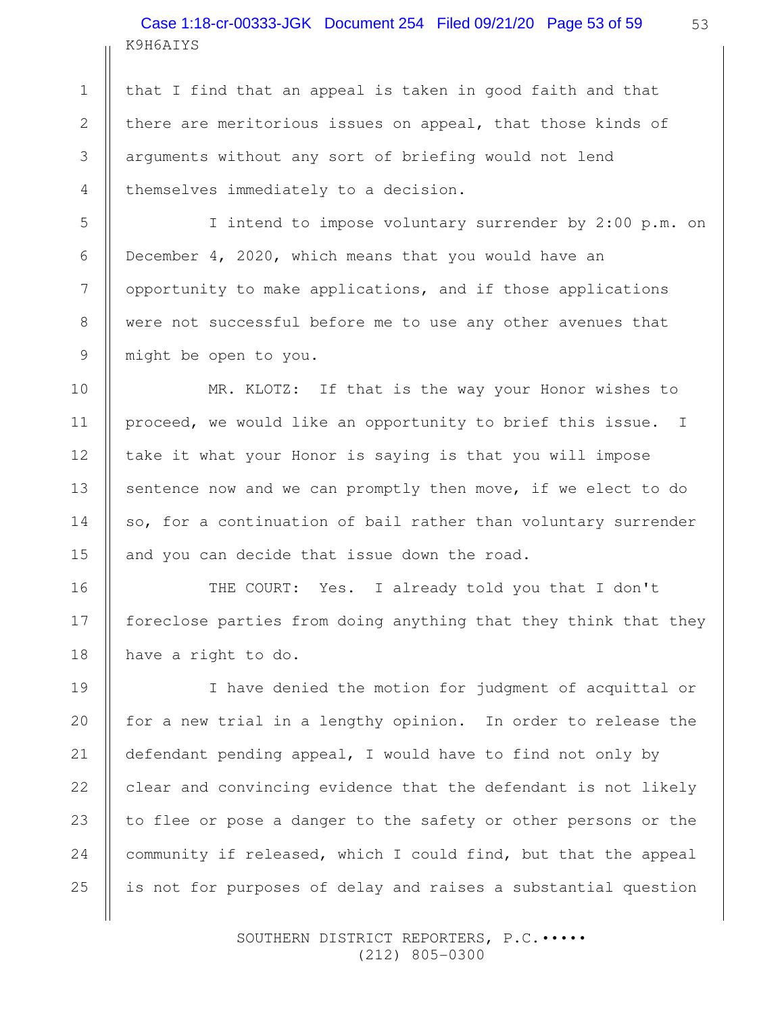K9H6AIYS Case 1:18-cr-00333-JGK Document 254 Filed 09/21/20 Page 53 of 59

that I find that an appeal is taken in good faith and that there are meritorious issues on appeal, that those kinds of arguments without any sort of briefing would not lend themselves immediately to a decision.

1

2

3

4

5

6

7

8

9

10

11

12

13

14

15

16

17

18

I intend to impose voluntary surrender by 2:00 p.m. on December 4, 2020, which means that you would have an opportunity to make applications, and if those applications were not successful before me to use any other avenues that might be open to you.

MR. KLOTZ: If that is the way your Honor wishes to proceed, we would like an opportunity to brief this issue. I take it what your Honor is saying is that you will impose sentence now and we can promptly then move, if we elect to do so, for a continuation of bail rather than voluntary surrender and you can decide that issue down the road.

THE COURT: Yes. I already told you that I don't foreclose parties from doing anything that they think that they have a right to do.

I have denied the motion for judgment of acquittal or for a new trial in a lengthy opinion. In order to release the defendant pending appeal, I would have to find not only by clear and convincing evidence that the defendant is not likely to flee or pose a danger to the safety or other persons or the community if released, which I could find, but that the appeal is not for purposes of delay and raises a substantial question 19 20 21 22 23 24 25

> SOUTHERN DISTRICT REPORTERS, P.C.••••• (212) 805-0300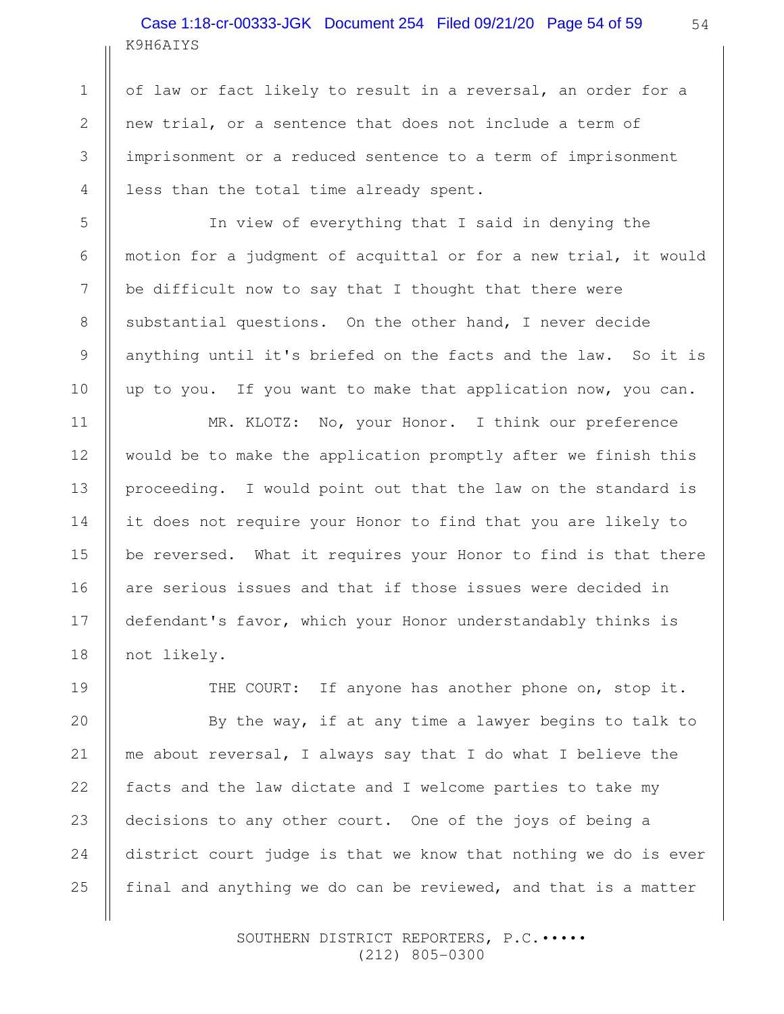# K9H6AIYS Case 1:18-cr-00333-JGK Document 254 Filed 09/21/20 Page 54 of 59

of law or fact likely to result in a reversal, an order for a new trial, or a sentence that does not include a term of imprisonment or a reduced sentence to a term of imprisonment less than the total time already spent.

In view of everything that I said in denying the motion for a judgment of acquittal or for a new trial, it would be difficult now to say that I thought that there were substantial questions. On the other hand, I never decide anything until it's briefed on the facts and the law. So it is up to you. If you want to make that application now, you can.

MR. KLOTZ: No, your Honor. I think our preference would be to make the application promptly after we finish this proceeding. I would point out that the law on the standard is it does not require your Honor to find that you are likely to be reversed. What it requires your Honor to find is that there are serious issues and that if those issues were decided in defendant's favor, which your Honor understandably thinks is not likely.

THE COURT: If anyone has another phone on, stop it.

By the way, if at any time a lawyer begins to talk to me about reversal, I always say that I do what I believe the facts and the law dictate and I welcome parties to take my decisions to any other court. One of the joys of being a district court judge is that we know that nothing we do is ever final and anything we do can be reviewed, and that is a matter

> SOUTHERN DISTRICT REPORTERS, P.C. .... (212) 805-0300

1

2

3

4

5

6

7

8

9

10

11

12

13

14

15

16

17

18

19

20

21

22

23

24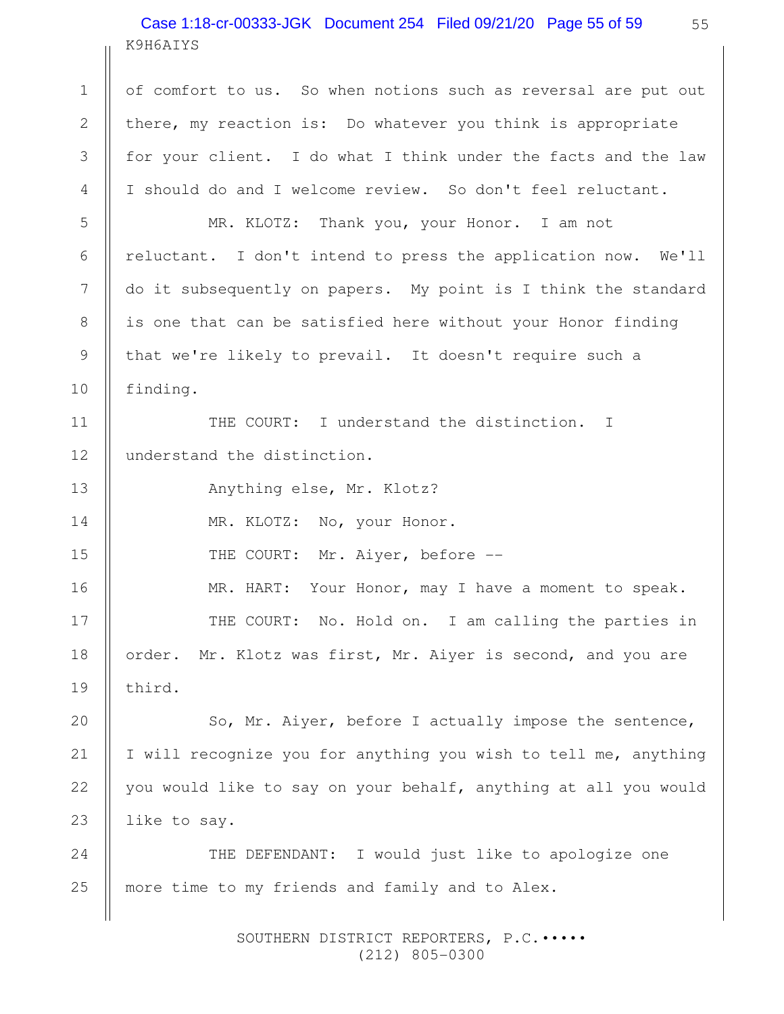# K9H6AIYS Case 1:18-cr-00333-JGK Document 254 Filed 09/21/20 Page 55 of 59

of comfort to us. So when notions such as reversal are put out there, my reaction is: Do whatever you think is appropriate for your client. I do what I think under the facts and the law I should do and I welcome review. So don't feel reluctant.

MR. KLOTZ: Thank you, your Honor. I am not reluctant. I don't intend to press the application now. We'll do it subsequently on papers. My point is I think the standard is one that can be satisfied here without your Honor finding that we're likely to prevail. It doesn't require such a finding.

THE COURT: I understand the distinction. I understand the distinction. 11 12

Anything else, Mr. Klotz?

1

2

3

4

5

6

7

8

9

10

13

14

15

MR. KLOTZ: No, your Honor.

THE COURT: Mr. Aiyer, before --

MR. HART: Your Honor, may I have a moment to speak. THE COURT: No. Hold on. I am calling the parties in order. Mr. Klotz was first, Mr. Aiyer is second, and you are third. 16 17 18 19

So, Mr. Aiyer, before I actually impose the sentence, I will recognize you for anything you wish to tell me, anything you would like to say on your behalf, anything at all you would like to say. 20 21 22 23

THE DEFENDANT: I would just like to apologize one more time to my friends and family and to Alex. 24 25

> SOUTHERN DISTRICT REPORTERS, P.C. .... (212) 805-0300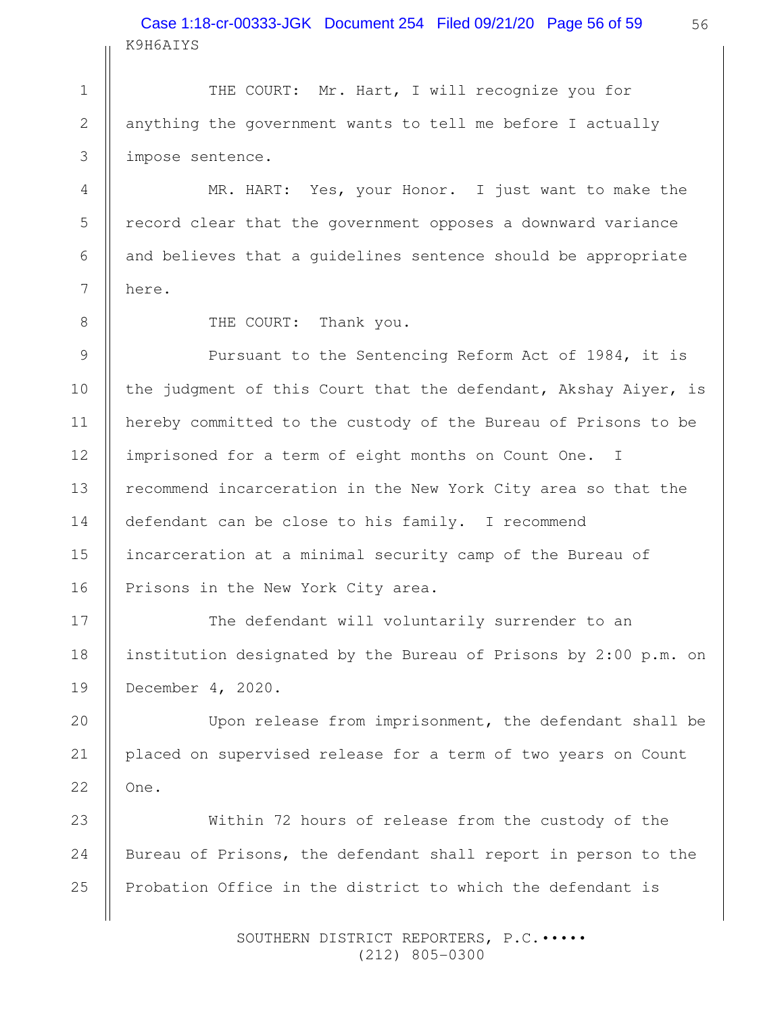K9H6AIYS Case 1:18-cr-00333-JGK Document 254 Filed 09/21/20 Page 56 of 59

THE COURT: Mr. Hart, I will recognize you for anything the government wants to tell me before I actually impose sentence. 1 2 3

MR. HART: Yes, your Honor. I just want to make the record clear that the government opposes a downward variance and believes that a guidelines sentence should be appropriate here.

4

5

6

7

8

17

18

19

20

21

22

THE COURT: Thank you.

Pursuant to the Sentencing Reform Act of 1984, it is the judgment of this Court that the defendant, Akshay Aiyer, is hereby committed to the custody of the Bureau of Prisons to be imprisoned for a term of eight months on Count One. I recommend incarceration in the New York City area so that the defendant can be close to his family. I recommend incarceration at a minimal security camp of the Bureau of Prisons in the New York City area. 9 10 11 12 13 14 15 16

The defendant will voluntarily surrender to an institution designated by the Bureau of Prisons by 2:00 p.m. on December 4, 2020.

Upon release from imprisonment, the defendant shall be placed on supervised release for a term of two years on Count One.

Within 72 hours of release from the custody of the Bureau of Prisons, the defendant shall report in person to the Probation Office in the district to which the defendant is 23 24 25

> SOUTHERN DISTRICT REPORTERS, P.C.••••• (212) 805-0300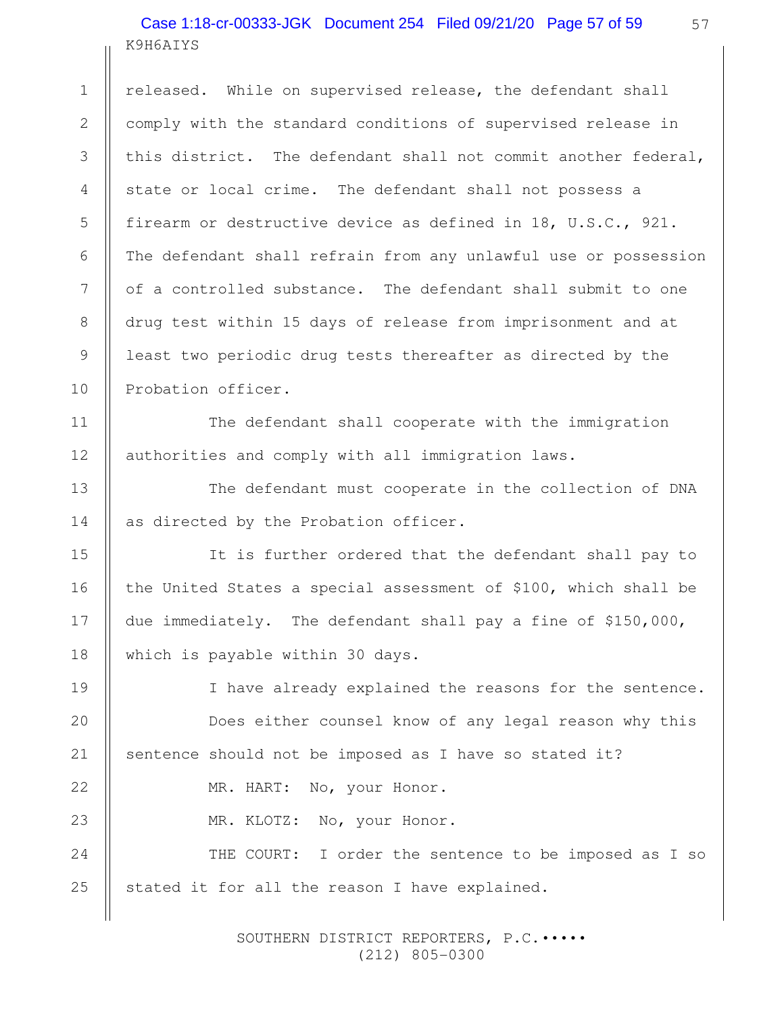# K9H6AIYS Case 1:18-cr-00333-JGK Document 254 Filed 09/21/20 Page 57 of 59

1

11

12

13

14

15

16

17

18

22

23

released. While on supervised release, the defendant shall comply with the standard conditions of supervised release in this district. The defendant shall not commit another federal, state or local crime. The defendant shall not possess a firearm or destructive device as defined in 18, U.S.C., 921. The defendant shall refrain from any unlawful use or possession of a controlled substance. The defendant shall submit to one drug test within 15 days of release from imprisonment and at least two periodic drug tests thereafter as directed by the Probation officer. 2 3 4 5 6 7 8 9 10

The defendant shall cooperate with the immigration authorities and comply with all immigration laws.

The defendant must cooperate in the collection of DNA as directed by the Probation officer.

It is further ordered that the defendant shall pay to the United States a special assessment of \$100, which shall be due immediately. The defendant shall pay a fine of \$150,000, which is payable within 30 days.

I have already explained the reasons for the sentence. Does either counsel know of any legal reason why this sentence should not be imposed as I have so stated it? 19 20 21

MR. HART: No, your Honor.

MR. KLOTZ: No, your Honor.

THE COURT: I order the sentence to be imposed as I so stated it for all the reason I have explained. 24 25

> SOUTHERN DISTRICT REPORTERS, P.C.••••• (212) 805-0300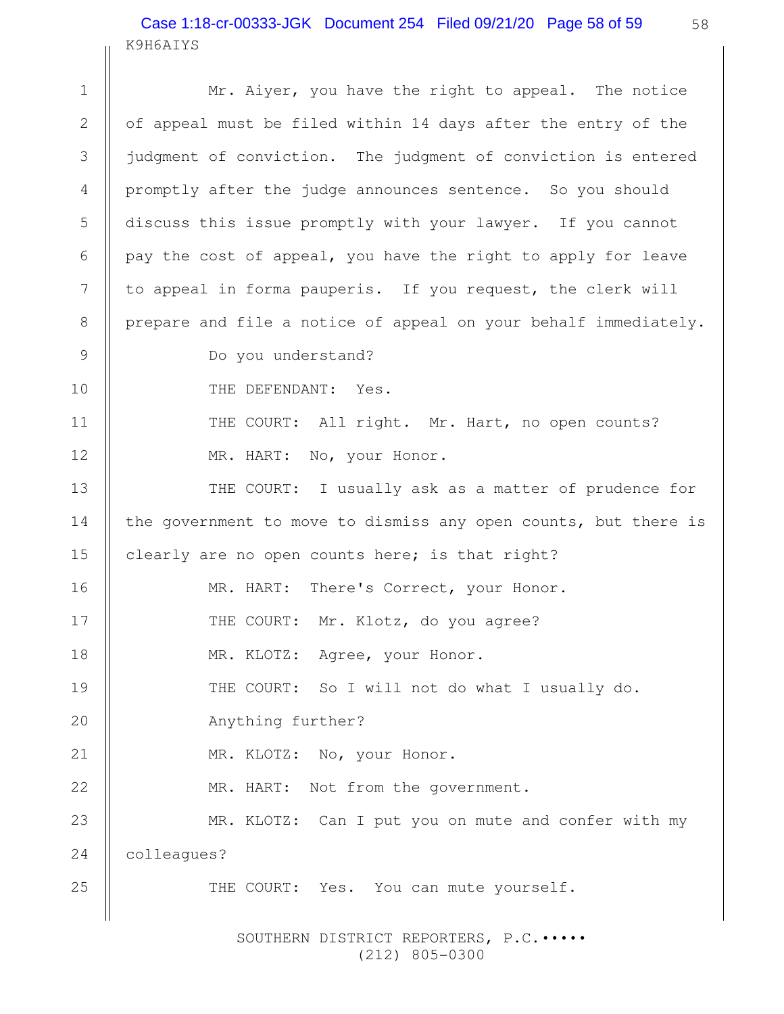# K9H6AIYS Case 1:18-cr-00333-JGK Document 254 Filed 09/21/20 Page 58 of 59

|             | KAHOHTIP                                                        |  |
|-------------|-----------------------------------------------------------------|--|
| $\mathbf 1$ | Mr. Aiyer, you have the right to appeal. The notice             |  |
| 2           | of appeal must be filed within 14 days after the entry of the   |  |
| 3           | judgment of conviction. The judgment of conviction is entered   |  |
| 4           | promptly after the judge announces sentence. So you should      |  |
| 5           | discuss this issue promptly with your lawyer. If you cannot     |  |
| 6           | pay the cost of appeal, you have the right to apply for leave   |  |
| 7           | to appeal in forma pauperis. If you request, the clerk will     |  |
| 8           | prepare and file a notice of appeal on your behalf immediately. |  |
| 9           | Do you understand?                                              |  |
| 10          | THE DEFENDANT: Yes.                                             |  |
| 11          | THE COURT: All right. Mr. Hart, no open counts?                 |  |
| 12          | MR. HART: No, your Honor.                                       |  |
| 13          | THE COURT: I usually ask as a matter of prudence for            |  |
| 14          | the government to move to dismiss any open counts, but there is |  |
| 15          | clearly are no open counts here; is that right?                 |  |
| 16          | There's Correct, your Honor.<br>MR. HART:                       |  |
| 17          | THE COURT: Mr. Klotz, do you agree?                             |  |
| 18          | MR. KLOTZ:<br>Agree, your Honor.                                |  |
| 19          | THE COURT: So I will not do what I usually do.                  |  |
| 20          | Anything further?                                               |  |
| 21          | MR. KLOTZ: No, your Honor.                                      |  |
| 22          | MR. HART: Not from the government.                              |  |
| 23          | MR. KLOTZ: Can I put you on mute and confer with my             |  |
| 24          | colleagues?                                                     |  |
| 25          | THE COURT: Yes. You can mute yourself.                          |  |
|             |                                                                 |  |

SOUTHERN DISTRICT REPORTERS, P.C.  $\cdots$ (212) 805-0300